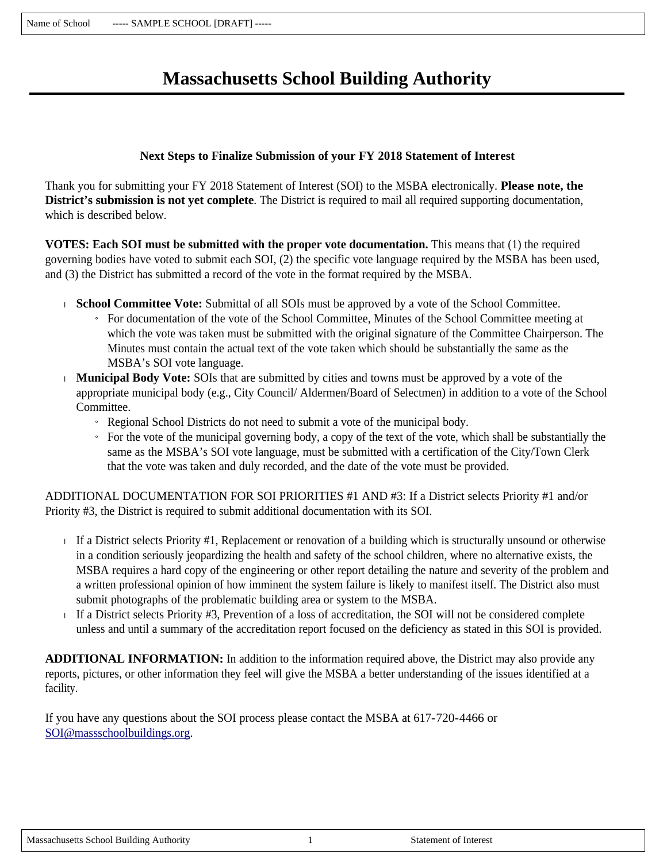# **Massachusetts School Building Authority**

### **Next Steps to Finalize Submission of your FY 2018 Statement of Interest**

Thank you for submitting your FY 2018 Statement of Interest (SOI) to the MSBA electronically. **Please note, the District's submission is not yet complete**. The District is required to mail all required supporting documentation, which is described below.

**VOTES: Each SOI must be submitted with the proper vote documentation.** This means that (1) the required governing bodies have voted to submit each SOI, (2) the specific vote language required by the MSBA has been used, and (3) the District has submitted a record of the vote in the format required by the MSBA.

- **School Committee Vote:** Submittal of all SOIs must be approved by a vote of the School Committee.
	- » For documentation of the vote of the School Committee, Minutes of the School Committee meeting at which the vote was taken must be submitted with the original signature of the Committee Chairperson. The Minutes must contain the actual text of the vote taken which should be substantially the same as the MSBA's SOI vote language.
- **Municipal Body Vote:** SOIs that are submitted by cities and towns must be approved by a vote of the appropriate municipal body (e.g., City Council/ Aldermen/Board of Selectmen) in addition to a vote of the School Committee.
	- » Regional School Districts do not need to submit a vote of the municipal body.
	- $\overline{a}$  For the vote of the municipal governing body, a copy of the text of the vote, which shall be substantially the same as the MSBA's SOI vote language, must be submitted with a certification of the City/Town Clerk that the vote was taken and duly recorded, and the date of the vote must be provided.

ADDITIONAL DOCUMENTATION FOR SOI PRIORITIES #1 AND #3: If a District selects Priority #1 and/or Priority #3, the District is required to submit additional documentation with its SOI.

- If a District selects Priority  $#1$ , Replacement or renovation of a building which is structurally unsound or otherwise in a condition seriously jeopardizing the health and safety of the school children, where no alternative exists, the MSBA requires a hard copy of the engineering or other report detailing the nature and severity of the problem and a written professional opinion of how imminent the system failure is likely to manifest itself. The District also must submit photographs of the problematic building area or system to the MSBA.
- If a District selects Priority #3, Prevention of a loss of accreditation, the SOI will not be considered complete unless and until a summary of the accreditation report focused on the deficiency as stated in this SOI is provided.

**ADDITIONAL INFORMATION:** In addition to the information required above, the District may also provide any reports, pictures, or other information they feel will give the MSBA a better understanding of the issues identified at a facility.

If you have any questions about the SOI process please contact the MSBA at 617-720-4466 or SOI@massschoolbuildings.org.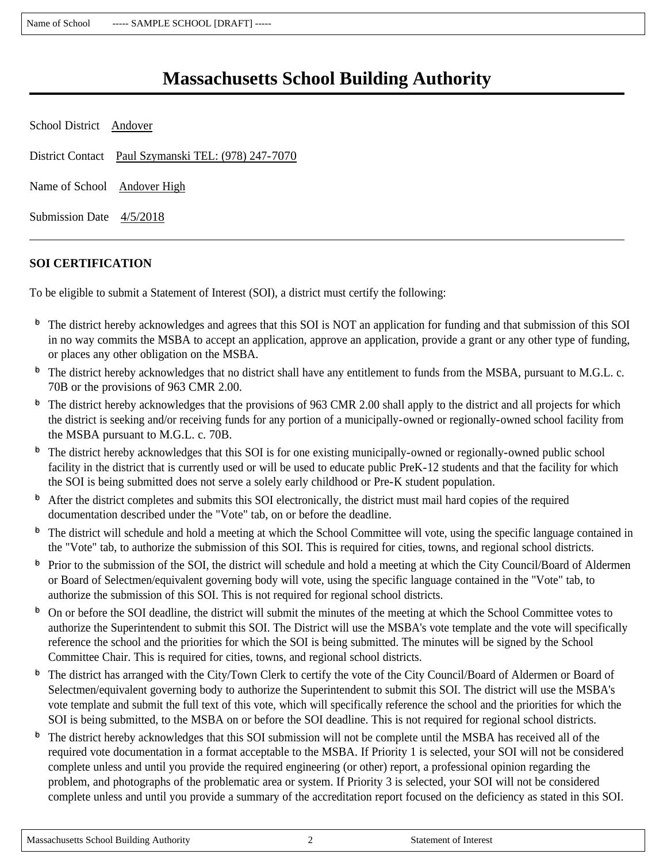# **Massachusetts School Building Authority**

| School District Andover     |                                                     |
|-----------------------------|-----------------------------------------------------|
|                             | District Contact Paul Szymanski TEL: (978) 247-7070 |
| Name of School Andover High |                                                     |
| Submission Date 4/5/2018    |                                                     |

## **SOI CERTIFICATION**

To be eligible to submit a Statement of Interest (SOI), a district must certify the following:

- $\overline{p}$  The district hereby acknowledges and agrees that this SOI is NOT an application for funding and that submission of this SOI in no way commits the MSBA to accept an application, approve an application, provide a grant or any other type of funding, or places any other obligation on the MSBA.
- $\Phi$  The district hereby acknowledges that no district shall have any entitlement to funds from the MSBA, pursuant to M.G.L. c. 70B or the provisions of 963 CMR 2.00.
- $\Phi$  The district hereby acknowledges that the provisions of 963 CMR 2.00 shall apply to the district and all projects for which the district is seeking and/or receiving funds for any portion of a municipally-owned or regionally-owned school facility from the MSBA pursuant to M.G.L. c. 70B.
- $\Phi$  The district hereby acknowledges that this SOI is for one existing municipally-owned or regionally-owned public school facility in the district that is currently used or will be used to educate public PreK-12 students and that the facility for which the SOI is being submitted does not serve a solely early childhood or Pre-K student population.
- $\Phi$  After the district completes and submits this SOI electronically, the district must mail hard copies of the required documentation described under the "Vote" tab, on or before the deadline.
- $\Phi$  The district will schedule and hold a meeting at which the School Committee will vote, using the specific language contained in the "Vote" tab, to authorize the submission of this SOI. This is required for cities, towns, and regional school districts.
- $\Phi$  Prior to the submission of the SOI, the district will schedule and hold a meeting at which the City Council/Board of Aldermen or Board of Selectmen/equivalent governing body will vote, using the specific language contained in the "Vote" tab, to authorize the submission of this SOI. This is not required for regional school districts.
- $\overline{P}$  On or before the SOI deadline, the district will submit the minutes of the meeting at which the School Committee votes to authorize the Superintendent to submit this SOI. The District will use the MSBA's vote template and the vote will specifically reference the school and the priorities for which the SOI is being submitted. The minutes will be signed by the School Committee Chair. This is required for cities, towns, and regional school districts.
- $\Phi$  The district has arranged with the City/Town Clerk to certify the vote of the City Council/Board of Aldermen or Board of Selectmen/equivalent governing body to authorize the Superintendent to submit this SOI. The district will use the MSBA's vote template and submit the full text of this vote, which will specifically reference the school and the priorities for which the SOI is being submitted, to the MSBA on or before the SOI deadline. This is not required for regional school districts.
- $\Phi$  The district hereby acknowledges that this SOI submission will not be complete until the MSBA has received all of the required vote documentation in a format acceptable to the MSBA. If Priority 1 is selected, your SOI will not be considered complete unless and until you provide the required engineering (or other) report, a professional opinion regarding the problem, and photographs of the problematic area or system. If Priority 3 is selected, your SOI will not be considered complete unless and until you provide a summary of the accreditation report focused on the deficiency as stated in this SOI.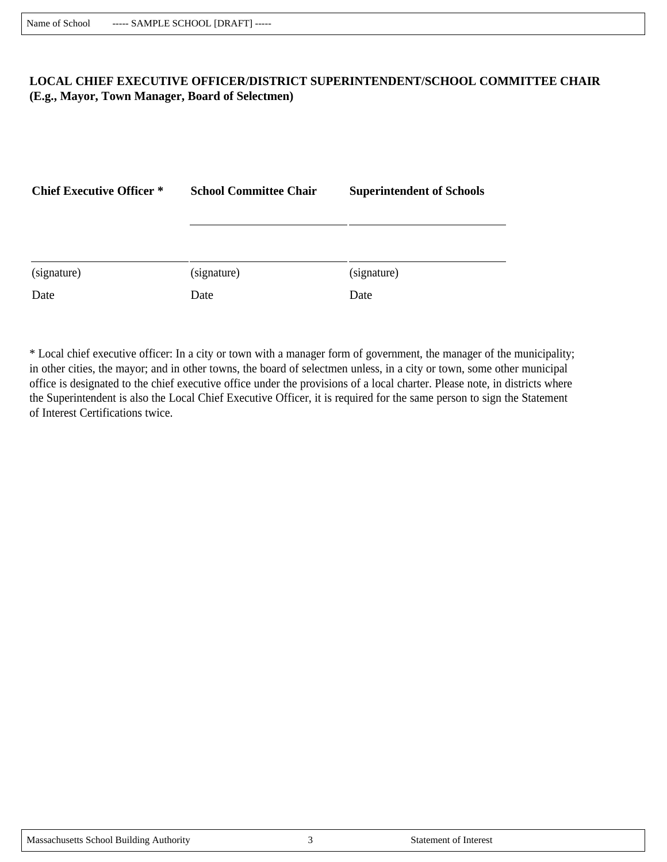### **LOCAL CHIEF EXECUTIVE OFFICER/DISTRICT SUPERINTENDENT/SCHOOL COMMITTEE CHAIR (E.g., Mayor, Town Manager, Board of Selectmen)**

| <b>Chief Executive Officer *</b> | <b>School Committee Chair</b> | <b>Superintendent of Schools</b> |  |
|----------------------------------|-------------------------------|----------------------------------|--|
|                                  |                               |                                  |  |
|                                  |                               |                                  |  |
| (signature)                      | (signature)                   | (signature)                      |  |
| Date                             | Date                          | Date                             |  |

\* Local chief executive officer: In a city or town with a manager form of government, the manager of the municipality; in other cities, the mayor; and in other towns, the board of selectmen unless, in a city or town, some other municipal office is designated to the chief executive office under the provisions of a local charter. Please note, in districts where the Superintendent is also the Local Chief Executive Officer, it is required for the same person to sign the Statement of Interest Certifications twice.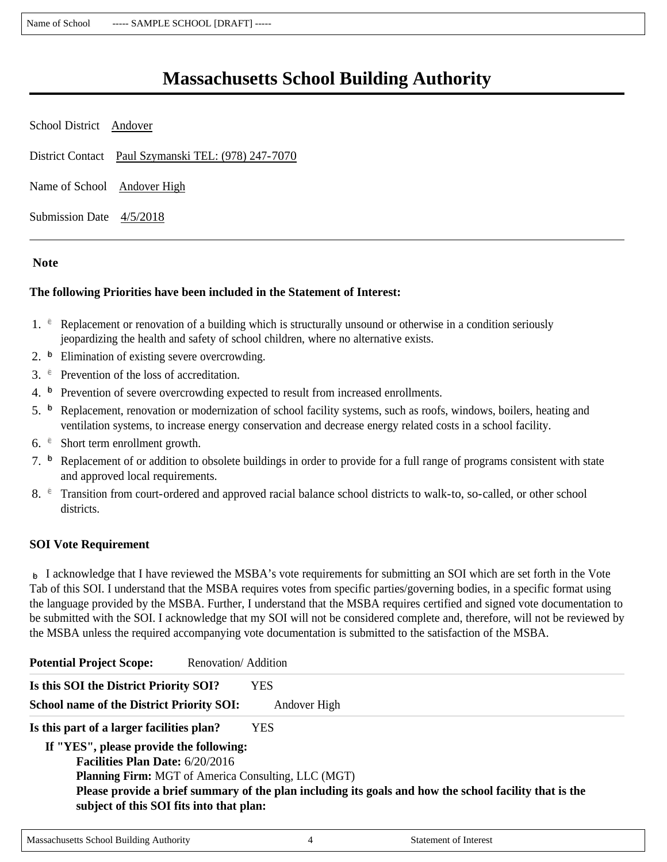# **Massachusetts School Building Authority**

| School District Andover                             |  |
|-----------------------------------------------------|--|
| District Contact Paul Szymanski TEL: (978) 247-7070 |  |
| Name of School Andover High                         |  |
| Submission Date 4/5/2018                            |  |

#### **Note**

#### **The following Priorities have been included in the Statement of Interest:**

- 1.  $\epsilon$  Replacement or renovation of a building which is structurally unsound or otherwise in a condition seriously jeopardizing the health and safety of school children, where no alternative exists.
- 2.  $\overline{p}$  Elimination of existing severe overcrowding.
- 3.  $e^{\theta}$  Prevention of the loss of accreditation.
- 4.  $\overline{P}$  Prevention of severe overcrowding expected to result from increased enrollments.
- 5.  $\overline{p}$  Replacement, renovation or modernization of school facility systems, such as roofs, windows, boilers, heating and ventilation systems, to increase energy conservation and decrease energy related costs in a school facility.
- 6.  $\epsilon$  Short term enrollment growth.
- 7.  $\overline{P}$  Replacement of or addition to obsolete buildings in order to provide for a full range of programs consistent with state and approved local requirements.
- 8.  $\epsilon$  Transition from court-ordered and approved racial balance school districts to walk-to, so-called, or other school districts.

#### **SOI Vote Requirement**

 $\triangleright$  I acknowledge that I have reviewed the MSBA's vote requirements for submitting an SOI which are set forth in the Vote Tab of this SOI. I understand that the MSBA requires votes from specific parties/governing bodies, in a specific format using the language provided by the MSBA. Further, I understand that the MSBA requires certified and signed vote documentation to be submitted with the SOI. I acknowledge that my SOI will not be considered complete and, therefore, will not be reviewed by the MSBA unless the required accompanying vote documentation is submitted to the satisfaction of the MSBA.

| <b>Potential Project Scope:</b>                  | Renovation/Addition                                                                                    |
|--------------------------------------------------|--------------------------------------------------------------------------------------------------------|
| Is this SOI the District Priority SOI?           | <b>YES</b>                                                                                             |
| <b>School name of the District Priority SOI:</b> | Andover High                                                                                           |
| Is this part of a larger facilities plan?        | YES.                                                                                                   |
| If "YES", please provide the following:          |                                                                                                        |
| <b>Facilities Plan Date: 6/20/2016</b>           |                                                                                                        |
|                                                  | <b>Planning Firm:</b> MGT of America Consulting, LLC (MGT)                                             |
| subject of this SOI fits into that plan:         | Please provide a brief summary of the plan including its goals and how the school facility that is the |
|                                                  |                                                                                                        |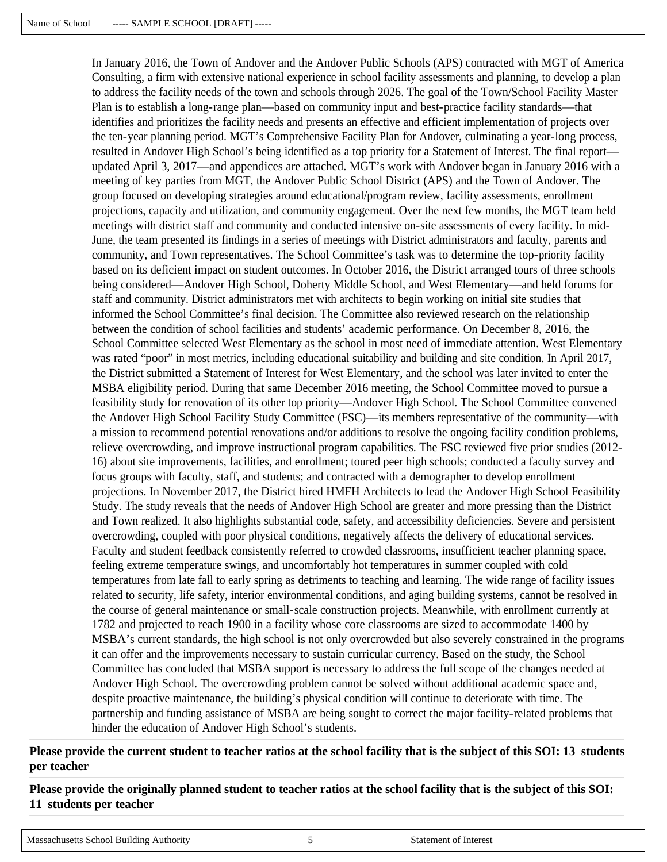In January 2016, the Town of Andover and the Andover Public Schools (APS) contracted with MGT of America Consulting, a firm with extensive national experience in school facility assessments and planning, to develop a plan to address the facility needs of the town and schools through 2026. The goal of the Town/School Facility Master Plan is to establish a long-range plan—based on community input and best-practice facility standards—that identifies and prioritizes the facility needs and presents an effective and efficient implementation of projects over the ten-year planning period. MGT's Comprehensive Facility Plan for Andover, culminating a year-long process, resulted in Andover High School's being identified as a top priority for a Statement of Interest. The final report updated April 3, 2017—and appendices are attached. MGT's work with Andover began in January 2016 with a meeting of key parties from MGT, the Andover Public School District (APS) and the Town of Andover. The group focused on developing strategies around educational/program review, facility assessments, enrollment projections, capacity and utilization, and community engagement. Over the next few months, the MGT team held meetings with district staff and community and conducted intensive on-site assessments of every facility. In mid-June, the team presented its findings in a series of meetings with District administrators and faculty, parents and community, and Town representatives. The School Committee's task was to determine the top-priority facility based on its deficient impact on student outcomes. In October 2016, the District arranged tours of three schools being considered—Andover High School, Doherty Middle School, and West Elementary—and held forums for staff and community. District administrators met with architects to begin working on initial site studies that informed the School Committee's final decision. The Committee also reviewed research on the relationship between the condition of school facilities and students' academic performance. On December 8, 2016, the School Committee selected West Elementary as the school in most need of immediate attention. West Elementary was rated "poor" in most metrics, including educational suitability and building and site condition. In April 2017, the District submitted a Statement of Interest for West Elementary, and the school was later invited to enter the MSBA eligibility period. During that same December 2016 meeting, the School Committee moved to pursue a feasibility study for renovation of its other top priority—Andover High School. The School Committee convened the Andover High School Facility Study Committee (FSC)—its members representative of the community—with a mission to recommend potential renovations and/or additions to resolve the ongoing facility condition problems, relieve overcrowding, and improve instructional program capabilities. The FSC reviewed five prior studies (2012- 16) about site improvements, facilities, and enrollment; toured peer high schools; conducted a faculty survey and focus groups with faculty, staff, and students; and contracted with a demographer to develop enrollment projections. In November 2017, the District hired HMFH Architects to lead the Andover High School Feasibility Study. The study reveals that the needs of Andover High School are greater and more pressing than the District and Town realized. It also highlights substantial code, safety, and accessibility deficiencies. Severe and persistent overcrowding, coupled with poor physical conditions, negatively affects the delivery of educational services. Faculty and student feedback consistently referred to crowded classrooms, insufficient teacher planning space, feeling extreme temperature swings, and uncomfortably hot temperatures in summer coupled with cold temperatures from late fall to early spring as detriments to teaching and learning. The wide range of facility issues related to security, life safety, interior environmental conditions, and aging building systems, cannot be resolved in the course of general maintenance or small-scale construction projects. Meanwhile, with enrollment currently at 1782 and projected to reach 1900 in a facility whose core classrooms are sized to accommodate 1400 by MSBA's current standards, the high school is not only overcrowded but also severely constrained in the programs it can offer and the improvements necessary to sustain curricular currency. Based on the study, the School Committee has concluded that MSBA support is necessary to address the full scope of the changes needed at Andover High School. The overcrowding problem cannot be solved without additional academic space and, despite proactive maintenance, the building's physical condition will continue to deteriorate with time. The partnership and funding assistance of MSBA are being sought to correct the major facility-related problems that hinder the education of Andover High School's students.

**Please provide the current student to teacher ratios at the school facility that is the subject of this SOI: 13 students per teacher**

**Please provide the originally planned student to teacher ratios at the school facility that is the subject of this SOI: 11 students per teacher**

```
Massachusetts School Building Authority 5 5 Statement of Interest
```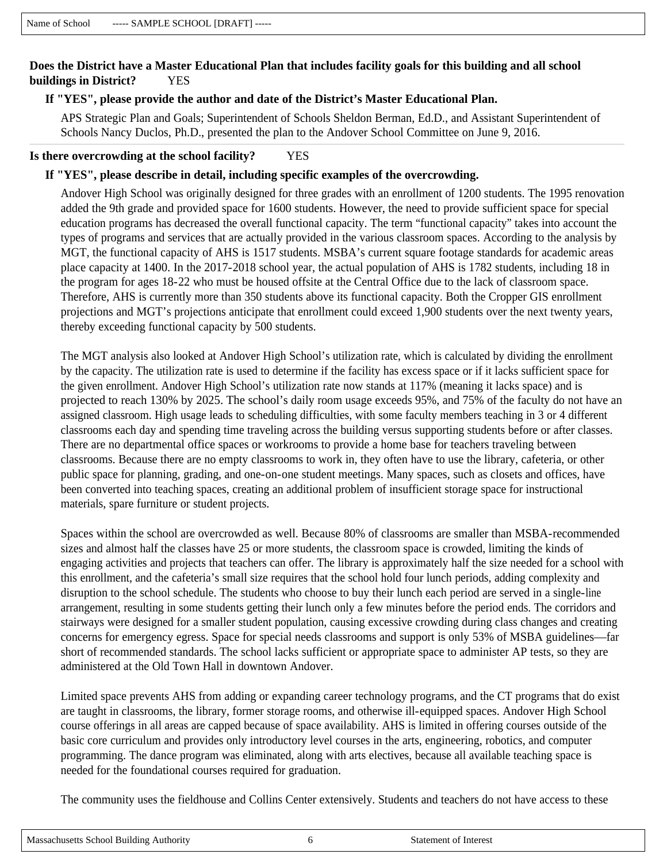## **Does the District have a Master Educational Plan that includes facility goals for this building and all school buildings in District?** YES

#### **If "YES", please provide the author and date of the District's Master Educational Plan.**

APS Strategic Plan and Goals; Superintendent of Schools Sheldon Berman, Ed.D., and Assistant Superintendent of Schools Nancy Duclos, Ph.D., presented the plan to the Andover School Committee on June 9, 2016.

#### **Is there overcrowding at the school facility?** YES

#### **If "YES", please describe in detail, including specific examples of the overcrowding.**

Andover High School was originally designed for three grades with an enrollment of 1200 students. The 1995 renovation added the 9th grade and provided space for 1600 students. However, the need to provide sufficient space for special education programs has decreased the overall functional capacity. The term "functional capacity" takes into account the types of programs and services that are actually provided in the various classroom spaces. According to the analysis by MGT, the functional capacity of AHS is 1517 students. MSBA's current square footage standards for academic areas place capacity at 1400. In the 2017-2018 school year, the actual population of AHS is 1782 students, including 18 in the program for ages 18-22 who must be housed offsite at the Central Office due to the lack of classroom space. Therefore, AHS is currently more than 350 students above its functional capacity. Both the Cropper GIS enrollment projections and MGT's projections anticipate that enrollment could exceed 1,900 students over the next twenty years, thereby exceeding functional capacity by 500 students.

The MGT analysis also looked at Andover High School's utilization rate, which is calculated by dividing the enrollment by the capacity. The utilization rate is used to determine if the facility has excess space or if it lacks sufficient space for the given enrollment. Andover High School's utilization rate now stands at 117% (meaning it lacks space) and is projected to reach 130% by 2025. The school's daily room usage exceeds 95%, and 75% of the faculty do not have an assigned classroom. High usage leads to scheduling difficulties, with some faculty members teaching in 3 or 4 different classrooms each day and spending time traveling across the building versus supporting students before or after classes. There are no departmental office spaces or workrooms to provide a home base for teachers traveling between classrooms. Because there are no empty classrooms to work in, they often have to use the library, cafeteria, or other public space for planning, grading, and one-on-one student meetings. Many spaces, such as closets and offices, have been converted into teaching spaces, creating an additional problem of insufficient storage space for instructional materials, spare furniture or student projects.

Spaces within the school are overcrowded as well. Because 80% of classrooms are smaller than MSBA-recommended sizes and almost half the classes have 25 or more students, the classroom space is crowded, limiting the kinds of engaging activities and projects that teachers can offer. The library is approximately half the size needed for a school with this enrollment, and the cafeteria's small size requires that the school hold four lunch periods, adding complexity and disruption to the school schedule. The students who choose to buy their lunch each period are served in a single-line arrangement, resulting in some students getting their lunch only a few minutes before the period ends. The corridors and stairways were designed for a smaller student population, causing excessive crowding during class changes and creating concerns for emergency egress. Space for special needs classrooms and support is only 53% of MSBA guidelines—far short of recommended standards. The school lacks sufficient or appropriate space to administer AP tests, so they are administered at the Old Town Hall in downtown Andover.

Limited space prevents AHS from adding or expanding career technology programs, and the CT programs that do exist are taught in classrooms, the library, former storage rooms, and otherwise ill-equipped spaces. Andover High School course offerings in all areas are capped because of space availability. AHS is limited in offering courses outside of the basic core curriculum and provides only introductory level courses in the arts, engineering, robotics, and computer programming. The dance program was eliminated, along with arts electives, because all available teaching space is needed for the foundational courses required for graduation.

The community uses the fieldhouse and Collins Center extensively. Students and teachers do not have access to these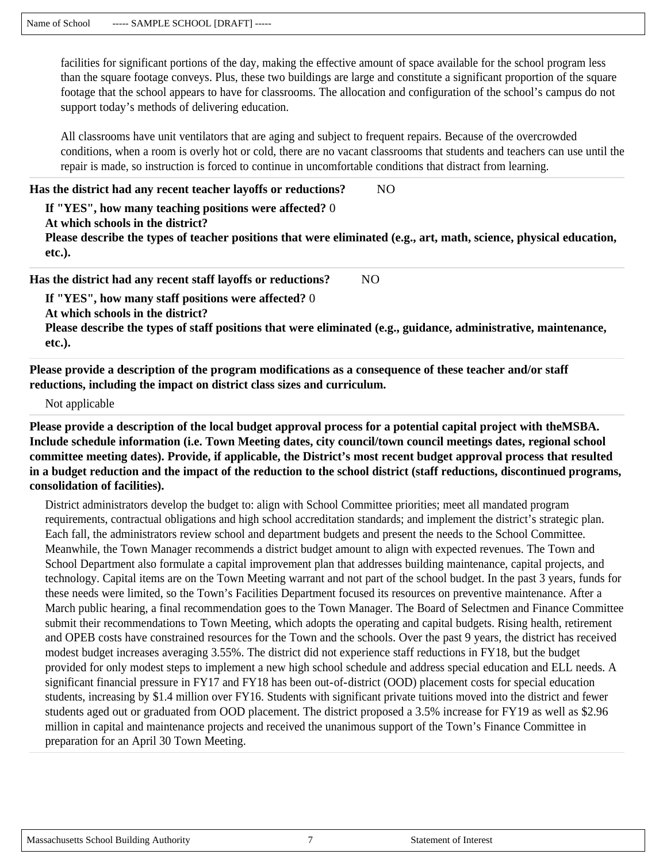facilities for significant portions of the day, making the effective amount of space available for the school program less than the square footage conveys. Plus, these two buildings are large and constitute a significant proportion of the square footage that the school appears to have for classrooms. The allocation and configuration of the school's campus do not support today's methods of delivering education.

All classrooms have unit ventilators that are aging and subject to frequent repairs. Because of the overcrowded conditions, when a room is overly hot or cold, there are no vacant classrooms that students and teachers can use until the repair is made, so instruction is forced to continue in uncomfortable conditions that distract from learning.

#### **Has the district had any recent teacher layoffs or reductions?** NO

### **If "YES", how many teaching positions were affected?** 0

**At which schools in the district?** 

**Please describe the types of teacher positions that were eliminated (e.g., art, math, science, physical education, etc.).** 

**Has the district had any recent staff layoffs or reductions?** NO

**If "YES", how many staff positions were affected?** 0

**At which schools in the district?** 

**Please describe the types of staff positions that were eliminated (e.g., guidance, administrative, maintenance, etc.).** 

**Please provide a description of the program modifications as a consequence of these teacher and/or staff reductions, including the impact on district class sizes and curriculum.**

Not applicable

**Please provide a description of the local budget approval process for a potential capital project with theMSBA. Include schedule information (i.e. Town Meeting dates, city council/town council meetings dates, regional school committee meeting dates). Provide, if applicable, the District's most recent budget approval process that resulted in a budget reduction and the impact of the reduction to the school district (staff reductions, discontinued programs, consolidation of facilities).**

District administrators develop the budget to: align with School Committee priorities; meet all mandated program requirements, contractual obligations and high school accreditation standards; and implement the district's strategic plan. Each fall, the administrators review school and department budgets and present the needs to the School Committee. Meanwhile, the Town Manager recommends a district budget amount to align with expected revenues. The Town and School Department also formulate a capital improvement plan that addresses building maintenance, capital projects, and technology. Capital items are on the Town Meeting warrant and not part of the school budget. In the past 3 years, funds for these needs were limited, so the Town's Facilities Department focused its resources on preventive maintenance. After a March public hearing, a final recommendation goes to the Town Manager. The Board of Selectmen and Finance Committee submit their recommendations to Town Meeting, which adopts the operating and capital budgets. Rising health, retirement and OPEB costs have constrained resources for the Town and the schools. Over the past 9 years, the district has received modest budget increases averaging 3.55%. The district did not experience staff reductions in FY18, but the budget provided for only modest steps to implement a new high school schedule and address special education and ELL needs. A significant financial pressure in FY17 and FY18 has been out-of-district (OOD) placement costs for special education students, increasing by \$1.4 million over FY16. Students with significant private tuitions moved into the district and fewer students aged out or graduated from OOD placement. The district proposed a 3.5% increase for FY19 as well as \$2.96 million in capital and maintenance projects and received the unanimous support of the Town's Finance Committee in preparation for an April 30 Town Meeting.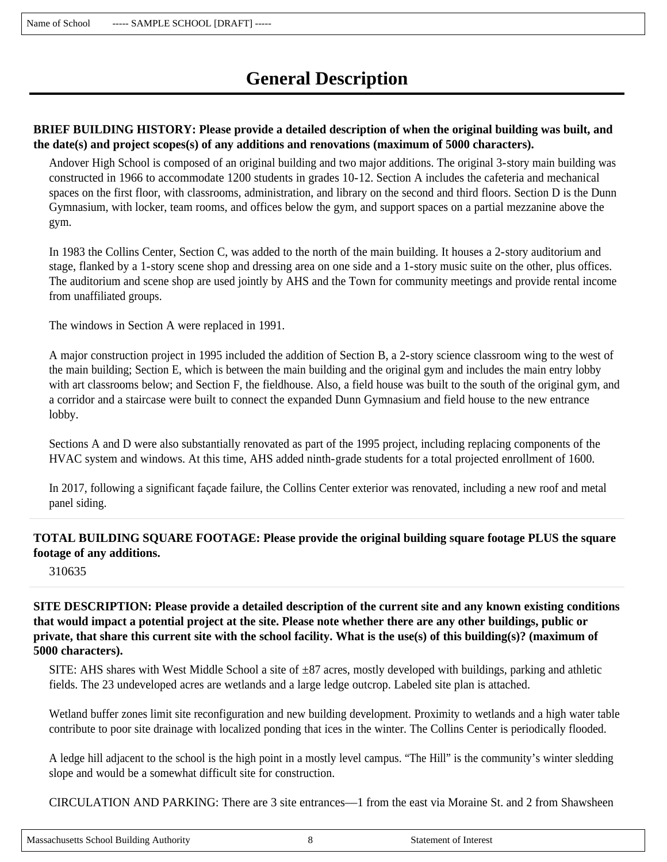# **General Description**

## **BRIEF BUILDING HISTORY: Please provide a detailed description of when the original building was built, and the date(s) and project scopes(s) of any additions and renovations (maximum of 5000 characters).**

Andover High School is composed of an original building and two major additions. The original 3-story main building was constructed in 1966 to accommodate 1200 students in grades 10-12. Section A includes the cafeteria and mechanical spaces on the first floor, with classrooms, administration, and library on the second and third floors. Section D is the Dunn Gymnasium, with locker, team rooms, and offices below the gym, and support spaces on a partial mezzanine above the gym.

In 1983 the Collins Center, Section C, was added to the north of the main building. It houses a 2-story auditorium and stage, flanked by a 1-story scene shop and dressing area on one side and a 1-story music suite on the other, plus offices. The auditorium and scene shop are used jointly by AHS and the Town for community meetings and provide rental income from unaffiliated groups.

The windows in Section A were replaced in 1991.

A major construction project in 1995 included the addition of Section B, a 2-story science classroom wing to the west of the main building; Section E, which is between the main building and the original gym and includes the main entry lobby with art classrooms below; and Section F, the fieldhouse. Also, a field house was built to the south of the original gym, and a corridor and a staircase were built to connect the expanded Dunn Gymnasium and field house to the new entrance lobby.

Sections A and D were also substantially renovated as part of the 1995 project, including replacing components of the HVAC system and windows. At this time, AHS added ninth-grade students for a total projected enrollment of 1600.

In 2017, following a significant façade failure, the Collins Center exterior was renovated, including a new roof and metal panel siding.

## **TOTAL BUILDING SQUARE FOOTAGE: Please provide the original building square footage PLUS the square footage of any additions.**

310635

**SITE DESCRIPTION: Please provide a detailed description of the current site and any known existing conditions that would impact a potential project at the site. Please note whether there are any other buildings, public or private, that share this current site with the school facility. What is the use(s) of this building(s)? (maximum of 5000 characters).**

SITE: AHS shares with West Middle School a site of  $\pm 87$  acres, mostly developed with buildings, parking and athletic fields. The 23 undeveloped acres are wetlands and a large ledge outcrop. Labeled site plan is attached.

Wetland buffer zones limit site reconfiguration and new building development. Proximity to wetlands and a high water table contribute to poor site drainage with localized ponding that ices in the winter. The Collins Center is periodically flooded.

A ledge hill adjacent to the school is the high point in a mostly level campus. "The Hill" is the community's winter sledding slope and would be a somewhat difficult site for construction.

CIRCULATION AND PARKING: There are 3 site entrances—1 from the east via Moraine St. and 2 from Shawsheen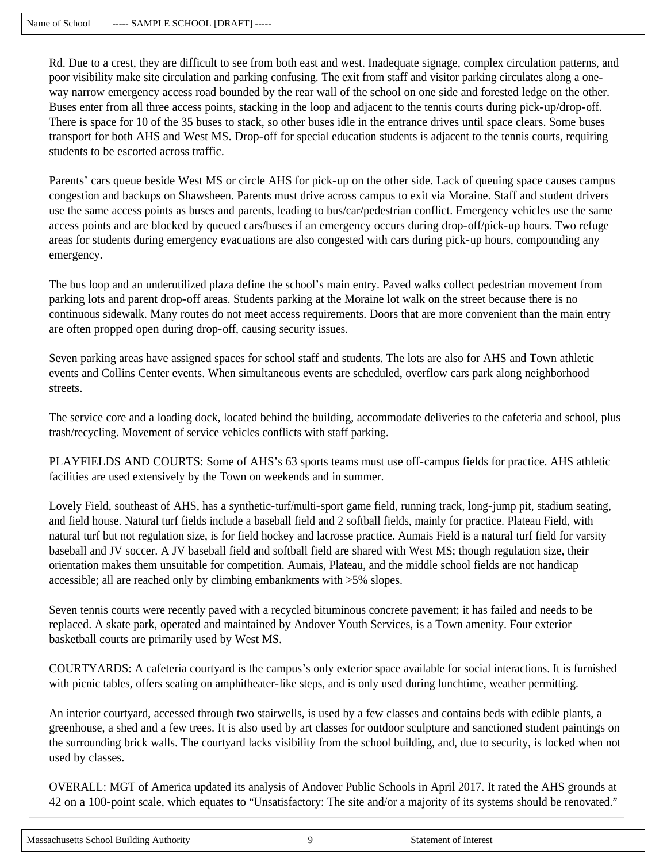Rd. Due to a crest, they are difficult to see from both east and west. Inadequate signage, complex circulation patterns, and poor visibility make site circulation and parking confusing. The exit from staff and visitor parking circulates along a oneway narrow emergency access road bounded by the rear wall of the school on one side and forested ledge on the other. Buses enter from all three access points, stacking in the loop and adjacent to the tennis courts during pick-up/drop-off. There is space for 10 of the 35 buses to stack, so other buses idle in the entrance drives until space clears. Some buses transport for both AHS and West MS. Drop-off for special education students is adjacent to the tennis courts, requiring students to be escorted across traffic.

Parents' cars queue beside West MS or circle AHS for pick-up on the other side. Lack of queuing space causes campus congestion and backups on Shawsheen. Parents must drive across campus to exit via Moraine. Staff and student drivers use the same access points as buses and parents, leading to bus/car/pedestrian conflict. Emergency vehicles use the same access points and are blocked by queued cars/buses if an emergency occurs during drop-off/pick-up hours. Two refuge areas for students during emergency evacuations are also congested with cars during pick-up hours, compounding any emergency.

The bus loop and an underutilized plaza define the school's main entry. Paved walks collect pedestrian movement from parking lots and parent drop-off areas. Students parking at the Moraine lot walk on the street because there is no continuous sidewalk. Many routes do not meet access requirements. Doors that are more convenient than the main entry are often propped open during drop-off, causing security issues.

Seven parking areas have assigned spaces for school staff and students. The lots are also for AHS and Town athletic events and Collins Center events. When simultaneous events are scheduled, overflow cars park along neighborhood streets.

The service core and a loading dock, located behind the building, accommodate deliveries to the cafeteria and school, plus trash/recycling. Movement of service vehicles conflicts with staff parking.

PLAYFIELDS AND COURTS: Some of AHS's 63 sports teams must use off-campus fields for practice. AHS athletic facilities are used extensively by the Town on weekends and in summer.

Lovely Field, southeast of AHS, has a synthetic-turf/multi-sport game field, running track, long-jump pit, stadium seating, and field house. Natural turf fields include a baseball field and 2 softball fields, mainly for practice. Plateau Field, with natural turf but not regulation size, is for field hockey and lacrosse practice. Aumais Field is a natural turf field for varsity baseball and JV soccer. A JV baseball field and softball field are shared with West MS; though regulation size, their orientation makes them unsuitable for competition. Aumais, Plateau, and the middle school fields are not handicap accessible; all are reached only by climbing embankments with >5% slopes.

Seven tennis courts were recently paved with a recycled bituminous concrete pavement; it has failed and needs to be replaced. A skate park, operated and maintained by Andover Youth Services, is a Town amenity. Four exterior basketball courts are primarily used by West MS.

COURTYARDS: A cafeteria courtyard is the campus's only exterior space available for social interactions. It is furnished with picnic tables, offers seating on amphitheater-like steps, and is only used during lunchtime, weather permitting.

An interior courtyard, accessed through two stairwells, is used by a few classes and contains beds with edible plants, a greenhouse, a shed and a few trees. It is also used by art classes for outdoor sculpture and sanctioned student paintings on the surrounding brick walls. The courtyard lacks visibility from the school building, and, due to security, is locked when not used by classes.

OVERALL: MGT of America updated its analysis of Andover Public Schools in April 2017. It rated the AHS grounds at 42 on a 100-point scale, which equates to "Unsatisfactory: The site and/or a majority of its systems should be renovated."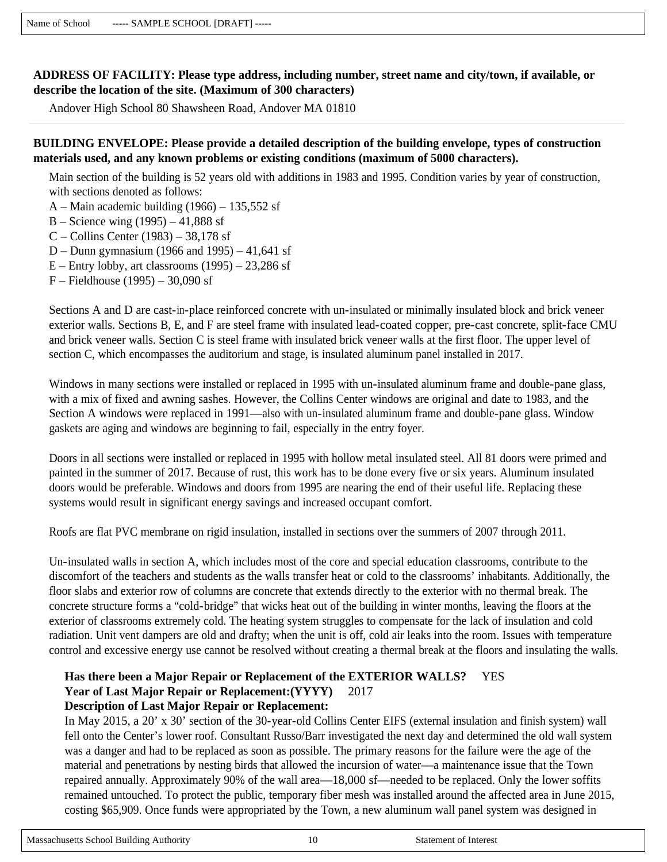## **ADDRESS OF FACILITY: Please type address, including number, street name and city/town, if available, or describe the location of the site. (Maximum of 300 characters)**

Andover High School 80 Shawsheen Road, Andover MA 01810

# **BUILDING ENVELOPE: Please provide a detailed description of the building envelope, types of construction materials used, and any known problems or existing conditions (maximum of 5000 characters).**

Main section of the building is 52 years old with additions in 1983 and 1995. Condition varies by year of construction, with sections denoted as follows:

A – Main academic building  $(1966)$  –  $135,552$  sf

- B Science wing (1995) 41,888 sf
- C Collins Center (1983) 38,178 sf
- D Dunn gymnasium (1966 and 1995) 41,641 sf
- $E$  Entry lobby, art classrooms  $(1995)$  23,286 sf
- F Fieldhouse (1995) 30,090 sf

Sections A and D are cast-in-place reinforced concrete with un-insulated or minimally insulated block and brick veneer exterior walls. Sections B, E, and F are steel frame with insulated lead-coated copper, pre-cast concrete, split-face CMU and brick veneer walls. Section C is steel frame with insulated brick veneer walls at the first floor. The upper level of section C, which encompasses the auditorium and stage, is insulated aluminum panel installed in 2017.

Windows in many sections were installed or replaced in 1995 with un-insulated aluminum frame and double-pane glass, with a mix of fixed and awning sashes. However, the Collins Center windows are original and date to 1983, and the Section A windows were replaced in 1991—also with un-insulated aluminum frame and double-pane glass. Window gaskets are aging and windows are beginning to fail, especially in the entry foyer.

Doors in all sections were installed or replaced in 1995 with hollow metal insulated steel. All 81 doors were primed and painted in the summer of 2017. Because of rust, this work has to be done every five or six years. Aluminum insulated doors would be preferable. Windows and doors from 1995 are nearing the end of their useful life. Replacing these systems would result in significant energy savings and increased occupant comfort.

Roofs are flat PVC membrane on rigid insulation, installed in sections over the summers of 2007 through 2011.

Un-insulated walls in section A, which includes most of the core and special education classrooms, contribute to the discomfort of the teachers and students as the walls transfer heat or cold to the classrooms' inhabitants. Additionally, the floor slabs and exterior row of columns are concrete that extends directly to the exterior with no thermal break. The concrete structure forms a "cold-bridge" that wicks heat out of the building in winter months, leaving the floors at the exterior of classrooms extremely cold. The heating system struggles to compensate for the lack of insulation and cold radiation. Unit vent dampers are old and drafty; when the unit is off, cold air leaks into the room. Issues with temperature control and excessive energy use cannot be resolved without creating a thermal break at the floors and insulating the walls.

#### **Has there been a Major Repair or Replacement of the EXTERIOR WALLS?** YES **Year of Last Major Repair or Replacement:(YYYY)** 2017 **Description of Last Major Repair or Replacement:**

In May 2015, a 20' x 30' section of the 30-year-old Collins Center EIFS (external insulation and finish system) wall fell onto the Center's lower roof. Consultant Russo/Barr investigated the next day and determined the old wall system was a danger and had to be replaced as soon as possible. The primary reasons for the failure were the age of the material and penetrations by nesting birds that allowed the incursion of water––a maintenance issue that the Town repaired annually. Approximately 90% of the wall area—18,000 sf—needed to be replaced. Only the lower soffits remained untouched. To protect the public, temporary fiber mesh was installed around the affected area in June 2015, costing \$65,909. Once funds were appropriated by the Town, a new aluminum wall panel system was designed in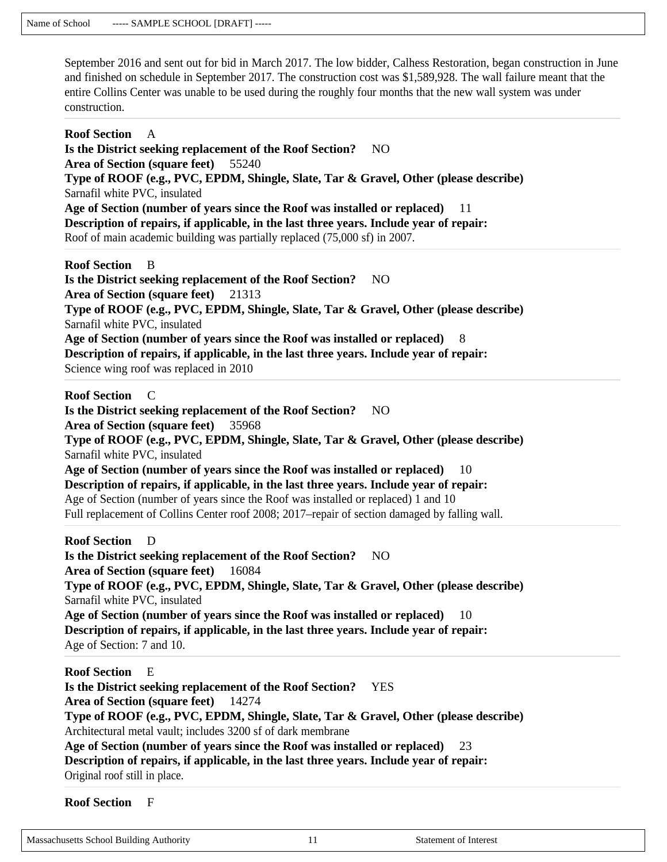September 2016 and sent out for bid in March 2017. The low bidder, Calhess Restoration, began construction in June and finished on schedule in September 2017. The construction cost was \$1,589,928. The wall failure meant that the entire Collins Center was unable to be used during the roughly four months that the new wall system was under construction.

**Roof Section** A **Is the District seeking replacement of the Roof Section?** NO **Area of Section (square feet)** 55240 **Type of ROOF (e.g., PVC, EPDM, Shingle, Slate, Tar & Gravel, Other (please describe)**  Sarnafil white PVC, insulated **Age of Section (number of years since the Roof was installed or replaced)** 11 **Description of repairs, if applicable, in the last three years. Include year of repair:**  Roof of main academic building was partially replaced (75,000 sf) in 2007. **Roof Section** B **Is the District seeking replacement of the Roof Section?** NO **Area of Section (square feet)** 21313 **Type of ROOF (e.g., PVC, EPDM, Shingle, Slate, Tar & Gravel, Other (please describe)**  Sarnafil white PVC, insulated **Age of Section (number of years since the Roof was installed or replaced)** 8 **Description of repairs, if applicable, in the last three years. Include year of repair:**  Science wing roof was replaced in 2010 **Roof Section** C **Is the District seeking replacement of the Roof Section?** NO **Area of Section (square feet)** 35968 **Type of ROOF (e.g., PVC, EPDM, Shingle, Slate, Tar & Gravel, Other (please describe)**  Sarnafil white PVC, insulated **Age of Section (number of years since the Roof was installed or replaced)** 10

**Description of repairs, if applicable, in the last three years. Include year of repair:**  Age of Section (number of years since the Roof was installed or replaced) 1 and 10 Full replacement of Collins Center roof 2008; 2017–repair of section damaged by falling wall.

**Roof Section** D **Is the District seeking replacement of the Roof Section?** NO **Area of Section (square feet)** 16084 **Type of ROOF (e.g., PVC, EPDM, Shingle, Slate, Tar & Gravel, Other (please describe)**  Sarnafil white PVC, insulated **Age of Section (number of years since the Roof was installed or replaced)** 10 **Description of repairs, if applicable, in the last three years. Include year of repair:**  Age of Section: 7 and 10.

**Roof Section** E **Is the District seeking replacement of the Roof Section?** YES **Area of Section (square feet)** 14274 **Type of ROOF (e.g., PVC, EPDM, Shingle, Slate, Tar & Gravel, Other (please describe)**  Architectural metal vault; includes 3200 sf of dark membrane **Age of Section (number of years since the Roof was installed or replaced)** 23 **Description of repairs, if applicable, in the last three years. Include year of repair:**  Original roof still in place.

**Roof Section** F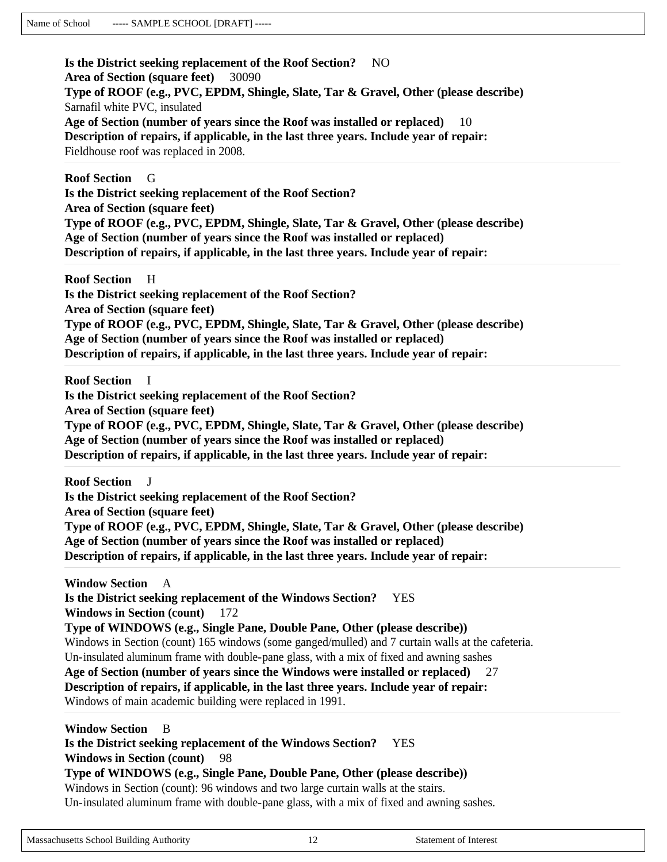**Is the District seeking replacement of the Roof Section?** NO **Area of Section (square feet)** 30090 **Type of ROOF (e.g., PVC, EPDM, Shingle, Slate, Tar & Gravel, Other (please describe)**  Sarnafil white PVC, insulated **Age of Section (number of years since the Roof was installed or replaced)** 10 **Description of repairs, if applicable, in the last three years. Include year of repair:**  Fieldhouse roof was replaced in 2008.

**Roof Section** G **Is the District seeking replacement of the Roof Section? Area of Section (square feet) Type of ROOF (e.g., PVC, EPDM, Shingle, Slate, Tar & Gravel, Other (please describe) Age of Section (number of years since the Roof was installed or replaced) Description of repairs, if applicable, in the last three years. Include year of repair:** 

**Roof Section** H **Is the District seeking replacement of the Roof Section? Area of Section (square feet) Type of ROOF (e.g., PVC, EPDM, Shingle, Slate, Tar & Gravel, Other (please describe) Age of Section (number of years since the Roof was installed or replaced) Description of repairs, if applicable, in the last three years. Include year of repair:** 

**Roof Section** I **Is the District seeking replacement of the Roof Section? Area of Section (square feet) Type of ROOF (e.g., PVC, EPDM, Shingle, Slate, Tar & Gravel, Other (please describe) Age of Section (number of years since the Roof was installed or replaced) Description of repairs, if applicable, in the last three years. Include year of repair:** 

**Roof Section Is the District seeking replacement of the Roof Section? Area of Section (square feet) Type of ROOF (e.g., PVC, EPDM, Shingle, Slate, Tar & Gravel, Other (please describe) Age of Section (number of years since the Roof was installed or replaced) Description of repairs, if applicable, in the last three years. Include year of repair:** 

**Window Section** A **Is the District seeking replacement of the Windows Section?** YES **Windows in Section (count)** 172 **Type of WINDOWS (e.g., Single Pane, Double Pane, Other (please describe))**  Windows in Section (count) 165 windows (some ganged/mulled) and 7 curtain walls at the cafeteria. Un-insulated aluminum frame with double-pane glass, with a mix of fixed and awning sashes **Age of Section (number of years since the Windows were installed or replaced)** 27 **Description of repairs, if applicable, in the last three years. Include year of repair:**  Windows of main academic building were replaced in 1991.

# **Window Section** B **Is the District seeking replacement of the Windows Section?** YES **Windows in Section (count)** 98 **Type of WINDOWS (e.g., Single Pane, Double Pane, Other (please describe))**  Windows in Section (count): 96 windows and two large curtain walls at the stairs. Un-insulated aluminum frame with double-pane glass, with a mix of fixed and awning sashes.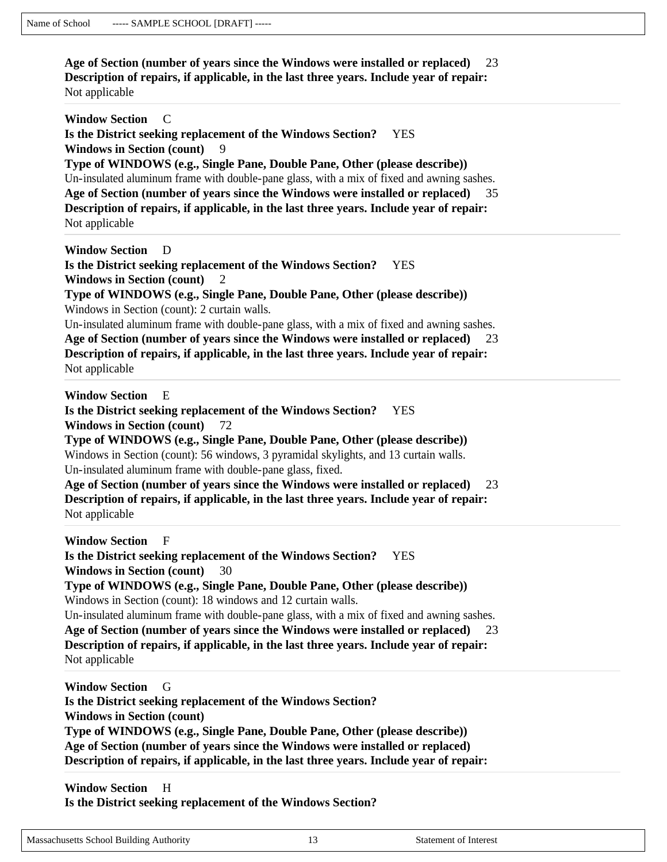**Age of Section (number of years since the Windows were installed or replaced)** 23 **Description of repairs, if applicable, in the last three years. Include year of repair:**  Not applicable

| <b>Window Section</b><br>- C<br>Is the District seeking replacement of the Windows Section?<br><b>YES</b>                                                                                                                                                                                                                                                                                                                                                                                                                                                                                 |  |
|-------------------------------------------------------------------------------------------------------------------------------------------------------------------------------------------------------------------------------------------------------------------------------------------------------------------------------------------------------------------------------------------------------------------------------------------------------------------------------------------------------------------------------------------------------------------------------------------|--|
| <b>Windows in Section (count)</b><br>9<br>Type of WINDOWS (e.g., Single Pane, Double Pane, Other (please describe))<br>Un-insulated aluminum frame with double-pane glass, with a mix of fixed and awning sashes.                                                                                                                                                                                                                                                                                                                                                                         |  |
| Age of Section (number of years since the Windows were installed or replaced)<br>35<br>Description of repairs, if applicable, in the last three years. Include year of repair:<br>Not applicable                                                                                                                                                                                                                                                                                                                                                                                          |  |
| <b>Window Section</b><br>D<br>Is the District seeking replacement of the Windows Section?<br><b>YES</b><br><b>Windows in Section (count)</b><br>2                                                                                                                                                                                                                                                                                                                                                                                                                                         |  |
| Type of WINDOWS (e.g., Single Pane, Double Pane, Other (please describe))<br>Windows in Section (count): 2 curtain walls.                                                                                                                                                                                                                                                                                                                                                                                                                                                                 |  |
| Un-insulated aluminum frame with double-pane glass, with a mix of fixed and awning sashes.<br>Age of Section (number of years since the Windows were installed or replaced)<br>23<br>Description of repairs, if applicable, in the last three years. Include year of repair:<br>Not applicable                                                                                                                                                                                                                                                                                            |  |
| <b>Window Section</b><br>Е<br>Is the District seeking replacement of the Windows Section?<br><b>YES</b><br><b>Windows in Section (count)</b><br>72<br>Type of WINDOWS (e.g., Single Pane, Double Pane, Other (please describe))<br>Windows in Section (count): 56 windows, 3 pyramidal skylights, and 13 curtain walls.<br>Un-insulated aluminum frame with double-pane glass, fixed.<br>Age of Section (number of years since the Windows were installed or replaced)<br>23<br>Description of repairs, if applicable, in the last three years. Include year of repair:<br>Not applicable |  |
| <b>Window Section</b><br>F<br>Is the District seeking replacement of the Windows Section?<br><b>YES</b><br><b>Windows in Section (count)</b><br>30<br>Type of WINDOWS (e.g., Single Pane, Double Pane, Other (please describe))<br>Windows in Section (count): 18 windows and 12 curtain walls.<br>Un-insulated aluminum frame with double-pane glass, with a mix of fixed and awning sashes.<br>Age of Section (number of years since the Windows were installed or replaced)<br>23                                                                                                      |  |
| Description of repairs, if applicable, in the last three years. Include year of repair:<br>Not applicable                                                                                                                                                                                                                                                                                                                                                                                                                                                                                 |  |
| <b>Window Section</b><br>G<br>Is the District seeking replacement of the Windows Section?<br><b>Windows in Section (count)</b><br>Type of WINDOWS (e.g., Single Pane, Double Pane, Other (please describe))<br>Age of Section (number of years since the Windows were installed or replaced)<br>Description of repairs, if applicable, in the last three years. Include year of repair:                                                                                                                                                                                                   |  |
| <b>Window Section</b><br>H                                                                                                                                                                                                                                                                                                                                                                                                                                                                                                                                                                |  |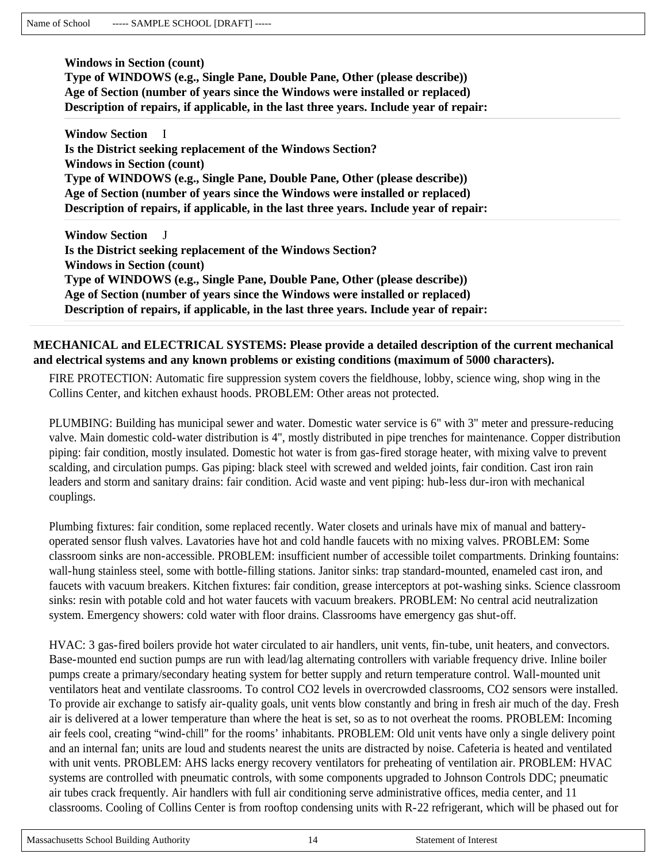**Windows in Section (count) Type of WINDOWS (e.g., Single Pane, Double Pane, Other (please describe)) Age of Section (number of years since the Windows were installed or replaced) Description of repairs, if applicable, in the last three years. Include year of repair:** 

**Window Section** I **Is the District seeking replacement of the Windows Section? Windows in Section (count) Type of WINDOWS (e.g., Single Pane, Double Pane, Other (please describe)) Age of Section (number of years since the Windows were installed or replaced) Description of repairs, if applicable, in the last three years. Include year of repair:** 

**Window Section** J **Is the District seeking replacement of the Windows Section? Windows in Section (count) Type of WINDOWS (e.g., Single Pane, Double Pane, Other (please describe)) Age of Section (number of years since the Windows were installed or replaced) Description of repairs, if applicable, in the last three years. Include year of repair:** 

#### **MECHANICAL and ELECTRICAL SYSTEMS: Please provide a detailed description of the current mechanical and electrical systems and any known problems or existing conditions (maximum of 5000 characters).**

FIRE PROTECTION: Automatic fire suppression system covers the fieldhouse, lobby, science wing, shop wing in the Collins Center, and kitchen exhaust hoods. PROBLEM: Other areas not protected.

PLUMBING: Building has municipal sewer and water. Domestic water service is 6" with 3" meter and pressure-reducing valve. Main domestic cold-water distribution is 4", mostly distributed in pipe trenches for maintenance. Copper distribution piping: fair condition, mostly insulated. Domestic hot water is from gas-fired storage heater, with mixing valve to prevent scalding, and circulation pumps. Gas piping: black steel with screwed and welded joints, fair condition. Cast iron rain leaders and storm and sanitary drains: fair condition. Acid waste and vent piping: hub-less dur-iron with mechanical couplings.

Plumbing fixtures: fair condition, some replaced recently. Water closets and urinals have mix of manual and batteryoperated sensor flush valves. Lavatories have hot and cold handle faucets with no mixing valves. PROBLEM: Some classroom sinks are non-accessible. PROBLEM: insufficient number of accessible toilet compartments. Drinking fountains: wall-hung stainless steel, some with bottle-filling stations. Janitor sinks: trap standard-mounted, enameled cast iron, and faucets with vacuum breakers. Kitchen fixtures: fair condition, grease interceptors at pot-washing sinks. Science classroom sinks: resin with potable cold and hot water faucets with vacuum breakers. PROBLEM: No central acid neutralization system. Emergency showers: cold water with floor drains. Classrooms have emergency gas shut-off.

HVAC: 3 gas-fired boilers provide hot water circulated to air handlers, unit vents, fin-tube, unit heaters, and convectors. Base-mounted end suction pumps are run with lead/lag alternating controllers with variable frequency drive. Inline boiler pumps create a primary/secondary heating system for better supply and return temperature control. Wall-mounted unit ventilators heat and ventilate classrooms. To control CO2 levels in overcrowded classrooms, CO2 sensors were installed. To provide air exchange to satisfy air-quality goals, unit vents blow constantly and bring in fresh air much of the day. Fresh air is delivered at a lower temperature than where the heat is set, so as to not overheat the rooms. PROBLEM: Incoming air feels cool, creating "wind-chill" for the rooms' inhabitants. PROBLEM: Old unit vents have only a single delivery point and an internal fan; units are loud and students nearest the units are distracted by noise. Cafeteria is heated and ventilated with unit vents. PROBLEM: AHS lacks energy recovery ventilators for preheating of ventilation air. PROBLEM: HVAC systems are controlled with pneumatic controls, with some components upgraded to Johnson Controls DDC; pneumatic air tubes crack frequently. Air handlers with full air conditioning serve administrative offices, media center, and 11 classrooms. Cooling of Collins Center is from rooftop condensing units with R-22 refrigerant, which will be phased out for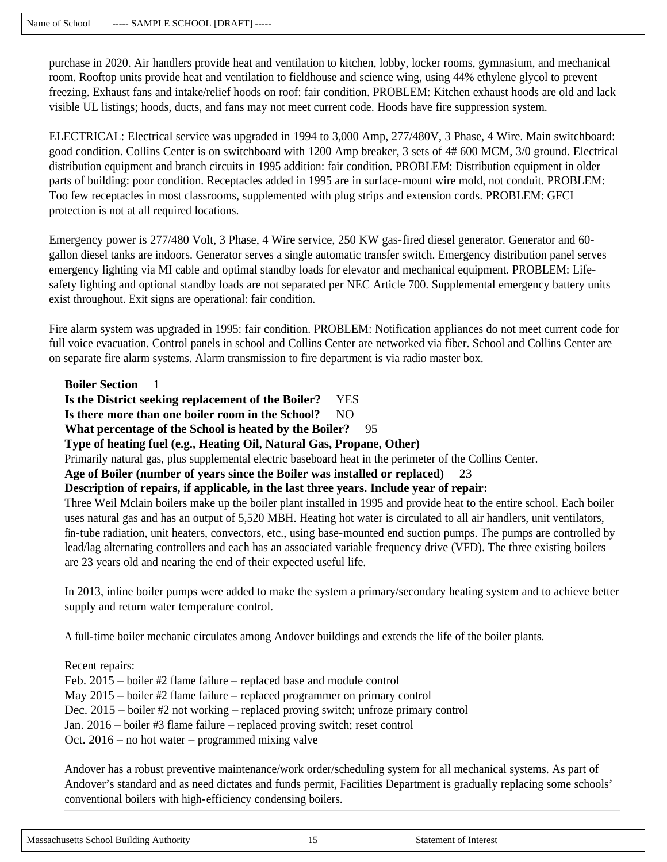purchase in 2020. Air handlers provide heat and ventilation to kitchen, lobby, locker rooms, gymnasium, and mechanical room. Rooftop units provide heat and ventilation to fieldhouse and science wing, using 44% ethylene glycol to prevent freezing. Exhaust fans and intake/relief hoods on roof: fair condition. PROBLEM: Kitchen exhaust hoods are old and lack visible UL listings; hoods, ducts, and fans may not meet current code. Hoods have fire suppression system.

ELECTRICAL: Electrical service was upgraded in 1994 to 3,000 Amp, 277/480V, 3 Phase, 4 Wire. Main switchboard: good condition. Collins Center is on switchboard with 1200 Amp breaker, 3 sets of 4# 600 MCM, 3/0 ground. Electrical distribution equipment and branch circuits in 1995 addition: fair condition. PROBLEM: Distribution equipment in older parts of building: poor condition. Receptacles added in 1995 are in surface-mount wire mold, not conduit. PROBLEM: Too few receptacles in most classrooms, supplemented with plug strips and extension cords. PROBLEM: GFCI protection is not at all required locations.

Emergency power is 277/480 Volt, 3 Phase, 4 Wire service, 250 KW gas-fired diesel generator. Generator and 60 gallon diesel tanks are indoors. Generator serves a single automatic transfer switch. Emergency distribution panel serves emergency lighting via MI cable and optimal standby loads for elevator and mechanical equipment. PROBLEM: Lifesafety lighting and optional standby loads are not separated per NEC Article 700. Supplemental emergency battery units exist throughout. Exit signs are operational: fair condition.

Fire alarm system was upgraded in 1995: fair condition. PROBLEM: Notification appliances do not meet current code for full voice evacuation. Control panels in school and Collins Center are networked via fiber. School and Collins Center are on separate fire alarm systems. Alarm transmission to fire department is via radio master box.

**Boiler Section** 

**Is the District seeking replacement of the Boiler?** YES

Is there more than one boiler room in the School? NO

**What percentage of the School is heated by the Boiler?** 95

**Type of heating fuel (e.g., Heating Oil, Natural Gas, Propane, Other)** 

Primarily natural gas, plus supplemental electric baseboard heat in the perimeter of the Collins Center.

**Age of Boiler (number of years since the Boiler was installed or replaced)** 23

**Description of repairs, if applicable, in the last three years. Include year of repair:** 

Three Weil Mclain boilers make up the boiler plant installed in 1995 and provide heat to the entire school. Each boiler uses natural gas and has an output of 5,520 MBH. Heating hot water is circulated to all air handlers, unit ventilators, fin-tube radiation, unit heaters, convectors, etc., using base-mounted end suction pumps. The pumps are controlled by lead/lag alternating controllers and each has an associated variable frequency drive (VFD). The three existing boilers are 23 years old and nearing the end of their expected useful life.

In 2013, inline boiler pumps were added to make the system a primary/secondary heating system and to achieve better supply and return water temperature control.

A full-time boiler mechanic circulates among Andover buildings and extends the life of the boiler plants.

Recent repairs:

Feb. 2015 – boiler #2 flame failure – replaced base and module control May 2015 – boiler #2 flame failure – replaced programmer on primary control Dec. 2015 – boiler #2 not working – replaced proving switch; unfroze primary control Jan. 2016 – boiler #3 flame failure – replaced proving switch; reset control Oct. 2016 – no hot water – programmed mixing valve

Andover has a robust preventive maintenance/work order/scheduling system for all mechanical systems. As part of Andover's standard and as need dictates and funds permit, Facilities Department is gradually replacing some schools' conventional boilers with high-efficiency condensing boilers.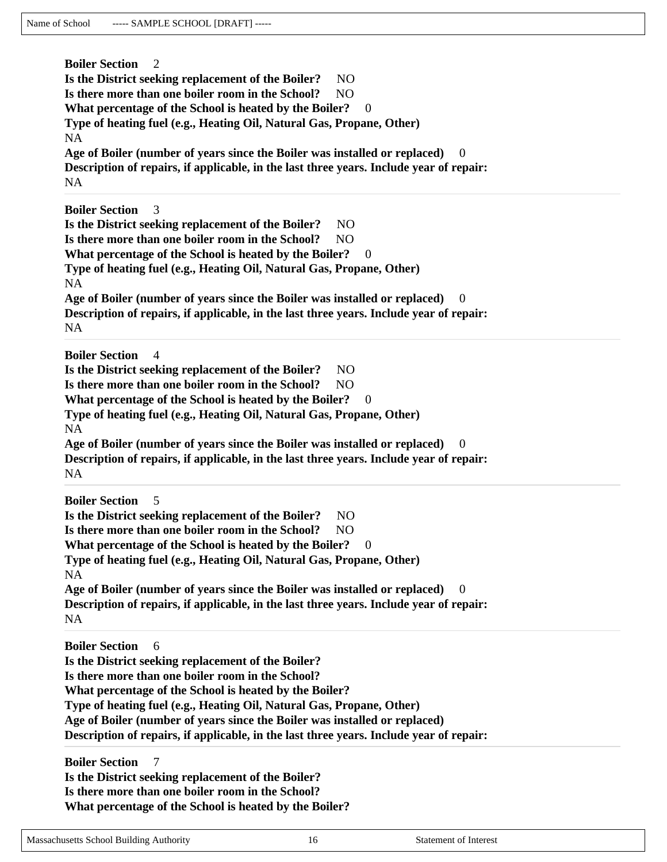**Boiler Section** 2 **Is the District seeking replacement of the Boiler?** NO Is there more than one boiler room in the School? NO What percentage of the School is heated by the Boiler? 0 **Type of heating fuel (e.g., Heating Oil, Natural Gas, Propane, Other)**  NA **Age of Boiler (number of years since the Boiler was installed or replaced)** 0 **Description of repairs, if applicable, in the last three years. Include year of repair:**  NA **Boiler Section** 3 **Is the District seeking replacement of the Boiler?** NO **Is there more than one boiler room in the School?** NO What percentage of the School is heated by the Boiler? 0 **Type of heating fuel (e.g., Heating Oil, Natural Gas, Propane, Other)**  NA Age of Boiler (number of years since the Boiler was installed or replaced) **Description of repairs, if applicable, in the last three years. Include year of repair:**  NA **Boiler Section** 4 **Is the District seeking replacement of the Boiler?** NO **Is there more than one boiler room in the School?** NO **What percentage of the School is heated by the Boiler?** 0 **Type of heating fuel (e.g., Heating Oil, Natural Gas, Propane, Other)**  NA **Age of Boiler (number of years since the Boiler was installed or replaced)** 0 **Description of repairs, if applicable, in the last three years. Include year of repair:**  NA **Boiler Section** 5 **Is the District seeking replacement of the Boiler?** NO Is there more than one boiler room in the School? NO What percentage of the School is heated by the Boiler? 0 **Type of heating fuel (e.g., Heating Oil, Natural Gas, Propane, Other)**  NA **Age of Boiler (number of years since the Boiler was installed or replaced)** 0 **Description of repairs, if applicable, in the last three years. Include year of repair:**  NA **Boiler Section** 6 **Is the District seeking replacement of the Boiler? Is there more than one boiler room in the School? What percentage of the School is heated by the Boiler? Type of heating fuel (e.g., Heating Oil, Natural Gas, Propane, Other) Age of Boiler (number of years since the Boiler was installed or replaced) Description of repairs, if applicable, in the last three years. Include year of repair: Boiler Section** 7 **Is the District seeking replacement of the Boiler? Is there more than one boiler room in the School?** 

**What percentage of the School is heated by the Boiler?**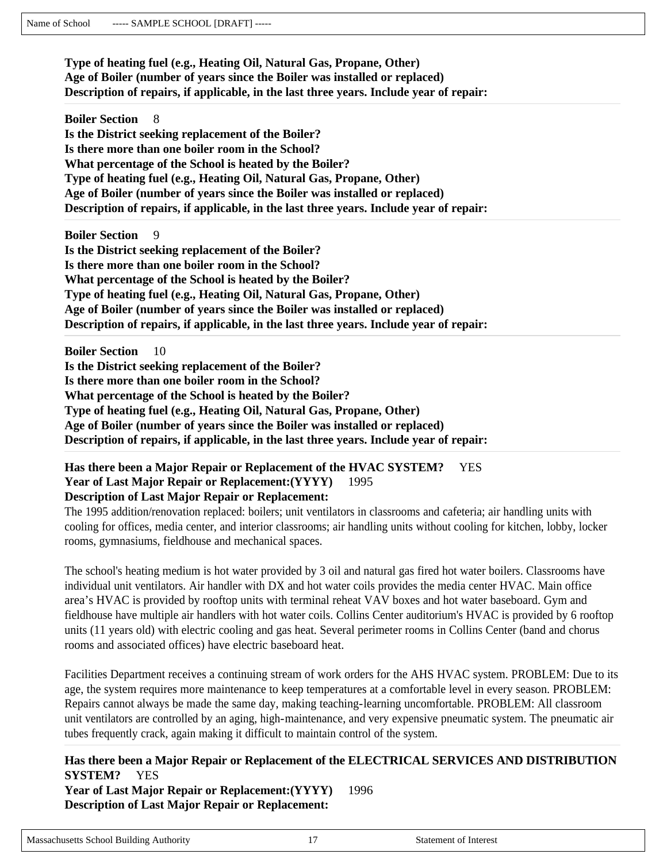**Type of heating fuel (e.g., Heating Oil, Natural Gas, Propane, Other) Age of Boiler (number of years since the Boiler was installed or replaced) Description of repairs, if applicable, in the last three years. Include year of repair:** 

**Boiler Section** 8 **Is the District seeking replacement of the Boiler? Is there more than one boiler room in the School? What percentage of the School is heated by the Boiler? Type of heating fuel (e.g., Heating Oil, Natural Gas, Propane, Other) Age of Boiler (number of years since the Boiler was installed or replaced) Description of repairs, if applicable, in the last three years. Include year of repair:** 

**Boiler Section** 9 **Is the District seeking replacement of the Boiler? Is there more than one boiler room in the School? What percentage of the School is heated by the Boiler? Type of heating fuel (e.g., Heating Oil, Natural Gas, Propane, Other) Age of Boiler (number of years since the Boiler was installed or replaced) Description of repairs, if applicable, in the last three years. Include year of repair:** 

**Boiler Section** 10 **Is the District seeking replacement of the Boiler? Is there more than one boiler room in the School? What percentage of the School is heated by the Boiler? Type of heating fuel (e.g., Heating Oil, Natural Gas, Propane, Other) Age of Boiler (number of years since the Boiler was installed or replaced) Description of repairs, if applicable, in the last three years. Include year of repair:** 

#### **Has there been a Major Repair or Replacement of the HVAC SYSTEM?** YES **Year of Last Major Repair or Replacement:(YYYY)** 1995 **Description of Last Major Repair or Replacement:**

The 1995 addition/renovation replaced: boilers; unit ventilators in classrooms and cafeteria; air handling units with cooling for offices, media center, and interior classrooms; air handling units without cooling for kitchen, lobby, locker rooms, gymnasiums, fieldhouse and mechanical spaces.

The school's heating medium is hot water provided by 3 oil and natural gas fired hot water boilers. Classrooms have individual unit ventilators. Air handler with DX and hot water coils provides the media center HVAC. Main office area's HVAC is provided by rooftop units with terminal reheat VAV boxes and hot water baseboard. Gym and fieldhouse have multiple air handlers with hot water coils. Collins Center auditorium's HVAC is provided by 6 rooftop units (11 years old) with electric cooling and gas heat. Several perimeter rooms in Collins Center (band and chorus rooms and associated offices) have electric baseboard heat.

Facilities Department receives a continuing stream of work orders for the AHS HVAC system. PROBLEM: Due to its age, the system requires more maintenance to keep temperatures at a comfortable level in every season. PROBLEM: Repairs cannot always be made the same day, making teaching-learning uncomfortable. PROBLEM: All classroom unit ventilators are controlled by an aging, high-maintenance, and very expensive pneumatic system. The pneumatic air tubes frequently crack, again making it difficult to maintain control of the system.

**Has there been a Major Repair or Replacement of the ELECTRICAL SERVICES AND DISTRIBUTION SYSTEM?** YES **Year of Last Major Repair or Replacement:(YYYY)** 1996 **Description of Last Major Repair or Replacement:**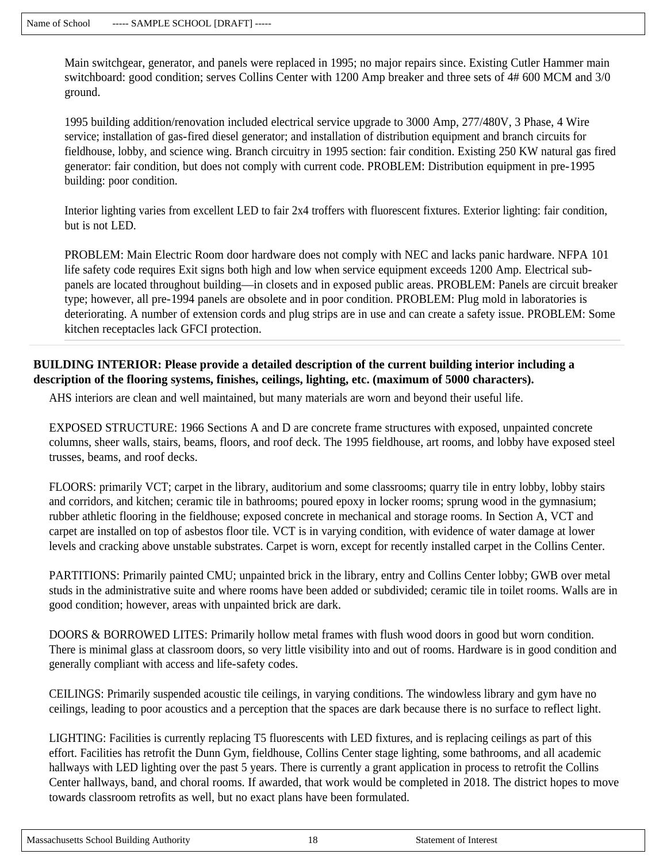Main switchgear, generator, and panels were replaced in 1995; no major repairs since. Existing Cutler Hammer main switchboard: good condition; serves Collins Center with 1200 Amp breaker and three sets of 4# 600 MCM and 3/0 ground.

1995 building addition/renovation included electrical service upgrade to 3000 Amp, 277/480V, 3 Phase, 4 Wire service; installation of gas-fired diesel generator; and installation of distribution equipment and branch circuits for fieldhouse, lobby, and science wing. Branch circuitry in 1995 section: fair condition. Existing 250 KW natural gas fired generator: fair condition, but does not comply with current code. PROBLEM: Distribution equipment in pre-1995 building: poor condition.

Interior lighting varies from excellent LED to fair 2x4 troffers with fluorescent fixtures. Exterior lighting: fair condition, but is not LED.

PROBLEM: Main Electric Room door hardware does not comply with NEC and lacks panic hardware. NFPA 101 life safety code requires Exit signs both high and low when service equipment exceeds 1200 Amp. Electrical subpanels are located throughout building—in closets and in exposed public areas. PROBLEM: Panels are circuit breaker type; however, all pre-1994 panels are obsolete and in poor condition. PROBLEM: Plug mold in laboratories is deteriorating. A number of extension cords and plug strips are in use and can create a safety issue. PROBLEM: Some kitchen receptacles lack GFCI protection.

## **BUILDING INTERIOR: Please provide a detailed description of the current building interior including a description of the flooring systems, finishes, ceilings, lighting, etc. (maximum of 5000 characters).**

AHS interiors are clean and well maintained, but many materials are worn and beyond their useful life.

EXPOSED STRUCTURE: 1966 Sections A and D are concrete frame structures with exposed, unpainted concrete columns, sheer walls, stairs, beams, floors, and roof deck. The 1995 fieldhouse, art rooms, and lobby have exposed steel trusses, beams, and roof decks.

FLOORS: primarily VCT; carpet in the library, auditorium and some classrooms; quarry tile in entry lobby, lobby stairs and corridors, and kitchen; ceramic tile in bathrooms; poured epoxy in locker rooms; sprung wood in the gymnasium; rubber athletic flooring in the fieldhouse; exposed concrete in mechanical and storage rooms. In Section A, VCT and carpet are installed on top of asbestos floor tile. VCT is in varying condition, with evidence of water damage at lower levels and cracking above unstable substrates. Carpet is worn, except for recently installed carpet in the Collins Center.

PARTITIONS: Primarily painted CMU; unpainted brick in the library, entry and Collins Center lobby; GWB over metal studs in the administrative suite and where rooms have been added or subdivided; ceramic tile in toilet rooms. Walls are in good condition; however, areas with unpainted brick are dark.

DOORS & BORROWED LITES: Primarily hollow metal frames with flush wood doors in good but worn condition. There is minimal glass at classroom doors, so very little visibility into and out of rooms. Hardware is in good condition and generally compliant with access and life-safety codes.

CEILINGS: Primarily suspended acoustic tile ceilings, in varying conditions. The windowless library and gym have no ceilings, leading to poor acoustics and a perception that the spaces are dark because there is no surface to reflect light.

LIGHTING: Facilities is currently replacing T5 fluorescents with LED fixtures, and is replacing ceilings as part of this effort. Facilities has retrofit the Dunn Gym, fieldhouse, Collins Center stage lighting, some bathrooms, and all academic hallways with LED lighting over the past 5 years. There is currently a grant application in process to retrofit the Collins Center hallways, band, and choral rooms. If awarded, that work would be completed in 2018. The district hopes to move towards classroom retrofits as well, but no exact plans have been formulated.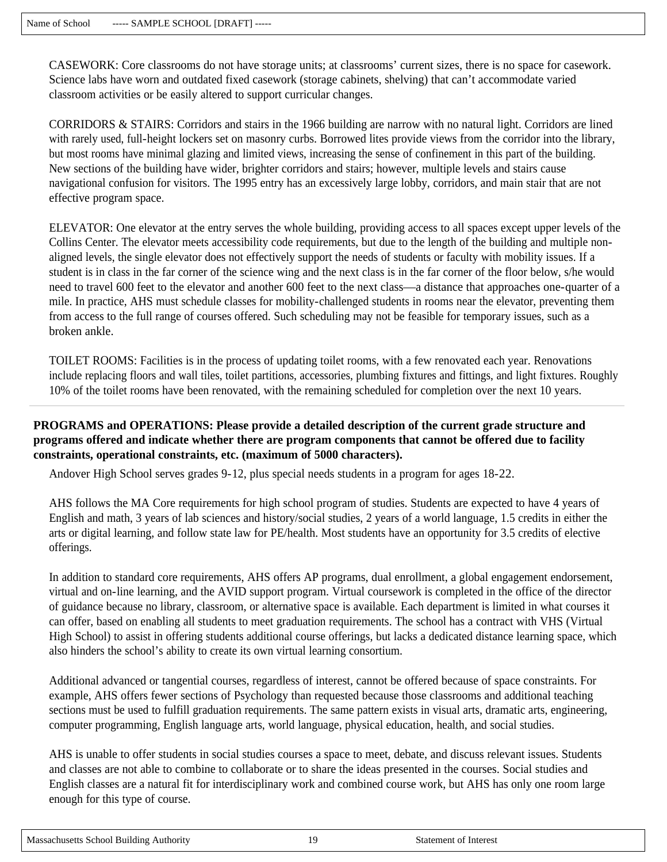CASEWORK: Core classrooms do not have storage units; at classrooms' current sizes, there is no space for casework. Science labs have worn and outdated fixed casework (storage cabinets, shelving) that can't accommodate varied classroom activities or be easily altered to support curricular changes.

CORRIDORS & STAIRS: Corridors and stairs in the 1966 building are narrow with no natural light. Corridors are lined with rarely used, full-height lockers set on masonry curbs. Borrowed lites provide views from the corridor into the library, but most rooms have minimal glazing and limited views, increasing the sense of confinement in this part of the building. New sections of the building have wider, brighter corridors and stairs; however, multiple levels and stairs cause navigational confusion for visitors. The 1995 entry has an excessively large lobby, corridors, and main stair that are not effective program space.

ELEVATOR: One elevator at the entry serves the whole building, providing access to all spaces except upper levels of the Collins Center. The elevator meets accessibility code requirements, but due to the length of the building and multiple nonaligned levels, the single elevator does not effectively support the needs of students or faculty with mobility issues. If a student is in class in the far corner of the science wing and the next class is in the far corner of the floor below, s/he would need to travel 600 feet to the elevator and another 600 feet to the next class—a distance that approaches one-quarter of a mile. In practice, AHS must schedule classes for mobility-challenged students in rooms near the elevator, preventing them from access to the full range of courses offered. Such scheduling may not be feasible for temporary issues, such as a broken ankle.

TOILET ROOMS: Facilities is in the process of updating toilet rooms, with a few renovated each year. Renovations include replacing floors and wall tiles, toilet partitions, accessories, plumbing fixtures and fittings, and light fixtures. Roughly 10% of the toilet rooms have been renovated, with the remaining scheduled for completion over the next 10 years.

#### **PROGRAMS and OPERATIONS: Please provide a detailed description of the current grade structure and programs offered and indicate whether there are program components that cannot be offered due to facility constraints, operational constraints, etc. (maximum of 5000 characters).**

Andover High School serves grades 9-12, plus special needs students in a program for ages 18-22.

AHS follows the MA Core requirements for high school program of studies. Students are expected to have 4 years of English and math, 3 years of lab sciences and history/social studies, 2 years of a world language, 1.5 credits in either the arts or digital learning, and follow state law for PE/health. Most students have an opportunity for 3.5 credits of elective offerings.

In addition to standard core requirements, AHS offers AP programs, dual enrollment, a global engagement endorsement, virtual and on-line learning, and the AVID support program. Virtual coursework is completed in the office of the director of guidance because no library, classroom, or alternative space is available. Each department is limited in what courses it can offer, based on enabling all students to meet graduation requirements. The school has a contract with VHS (Virtual High School) to assist in offering students additional course offerings, but lacks a dedicated distance learning space, which also hinders the school's ability to create its own virtual learning consortium.

Additional advanced or tangential courses, regardless of interest, cannot be offered because of space constraints. For example, AHS offers fewer sections of Psychology than requested because those classrooms and additional teaching sections must be used to fulfill graduation requirements. The same pattern exists in visual arts, dramatic arts, engineering, computer programming, English language arts, world language, physical education, health, and social studies.

AHS is unable to offer students in social studies courses a space to meet, debate, and discuss relevant issues. Students and classes are not able to combine to collaborate or to share the ideas presented in the courses. Social studies and English classes are a natural fit for interdisciplinary work and combined course work, but AHS has only one room large enough for this type of course.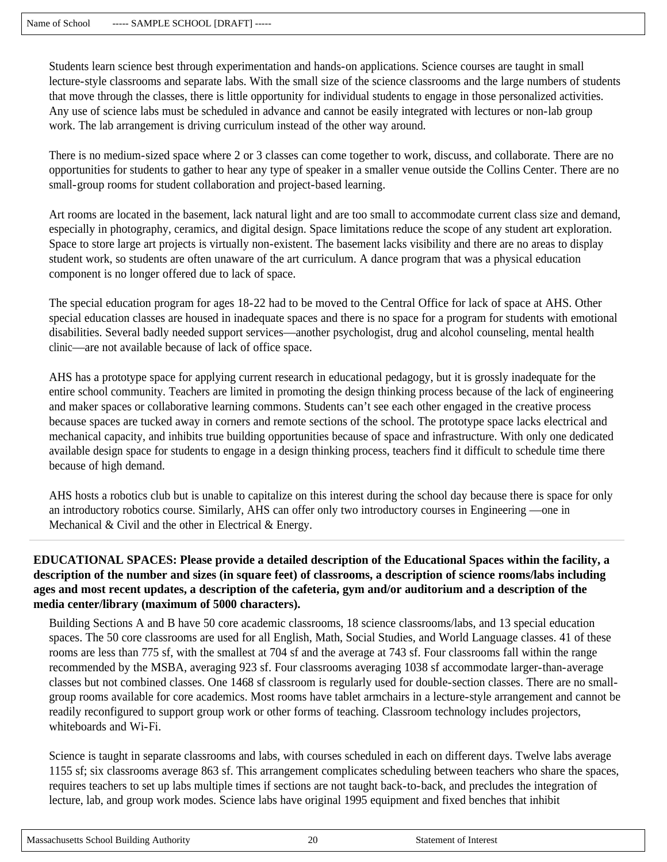Students learn science best through experimentation and hands-on applications. Science courses are taught in small lecture-style classrooms and separate labs. With the small size of the science classrooms and the large numbers of students that move through the classes, there is little opportunity for individual students to engage in those personalized activities. Any use of science labs must be scheduled in advance and cannot be easily integrated with lectures or non-lab group work. The lab arrangement is driving curriculum instead of the other way around.

There is no medium-sized space where 2 or 3 classes can come together to work, discuss, and collaborate. There are no opportunities for students to gather to hear any type of speaker in a smaller venue outside the Collins Center. There are no small-group rooms for student collaboration and project-based learning.

Art rooms are located in the basement, lack natural light and are too small to accommodate current class size and demand, especially in photography, ceramics, and digital design. Space limitations reduce the scope of any student art exploration. Space to store large art projects is virtually non-existent. The basement lacks visibility and there are no areas to display student work, so students are often unaware of the art curriculum. A dance program that was a physical education component is no longer offered due to lack of space.

The special education program for ages 18-22 had to be moved to the Central Office for lack of space at AHS. Other special education classes are housed in inadequate spaces and there is no space for a program for students with emotional disabilities. Several badly needed support services—another psychologist, drug and alcohol counseling, mental health clinic—are not available because of lack of office space.

AHS has a prototype space for applying current research in educational pedagogy, but it is grossly inadequate for the entire school community. Teachers are limited in promoting the design thinking process because of the lack of engineering and maker spaces or collaborative learning commons. Students can't see each other engaged in the creative process because spaces are tucked away in corners and remote sections of the school. The prototype space lacks electrical and mechanical capacity, and inhibits true building opportunities because of space and infrastructure. With only one dedicated available design space for students to engage in a design thinking process, teachers find it difficult to schedule time there because of high demand.

AHS hosts a robotics club but is unable to capitalize on this interest during the school day because there is space for only an introductory robotics course. Similarly, AHS can offer only two introductory courses in Engineering —one in Mechanical  $& Civil$  and the other in Electrical  $& Energy$ .

## **EDUCATIONAL SPACES: Please provide a detailed description of the Educational Spaces within the facility, a description of the number and sizes (in square feet) of classrooms, a description of science rooms/labs including ages and most recent updates, a description of the cafeteria, gym and/or auditorium and a description of the media center/library (maximum of 5000 characters).**

Building Sections A and B have 50 core academic classrooms, 18 science classrooms/labs, and 13 special education spaces. The 50 core classrooms are used for all English, Math, Social Studies, and World Language classes. 41 of these rooms are less than 775 sf, with the smallest at 704 sf and the average at 743 sf. Four classrooms fall within the range recommended by the MSBA, averaging 923 sf. Four classrooms averaging 1038 sf accommodate larger-than-average classes but not combined classes. One 1468 sf classroom is regularly used for double-section classes. There are no smallgroup rooms available for core academics. Most rooms have tablet armchairs in a lecture-style arrangement and cannot be readily reconfigured to support group work or other forms of teaching. Classroom technology includes projectors, whiteboards and Wi-Fi.

Science is taught in separate classrooms and labs, with courses scheduled in each on different days. Twelve labs average 1155 sf; six classrooms average 863 sf. This arrangement complicates scheduling between teachers who share the spaces, requires teachers to set up labs multiple times if sections are not taught back-to-back, and precludes the integration of lecture, lab, and group work modes. Science labs have original 1995 equipment and fixed benches that inhibit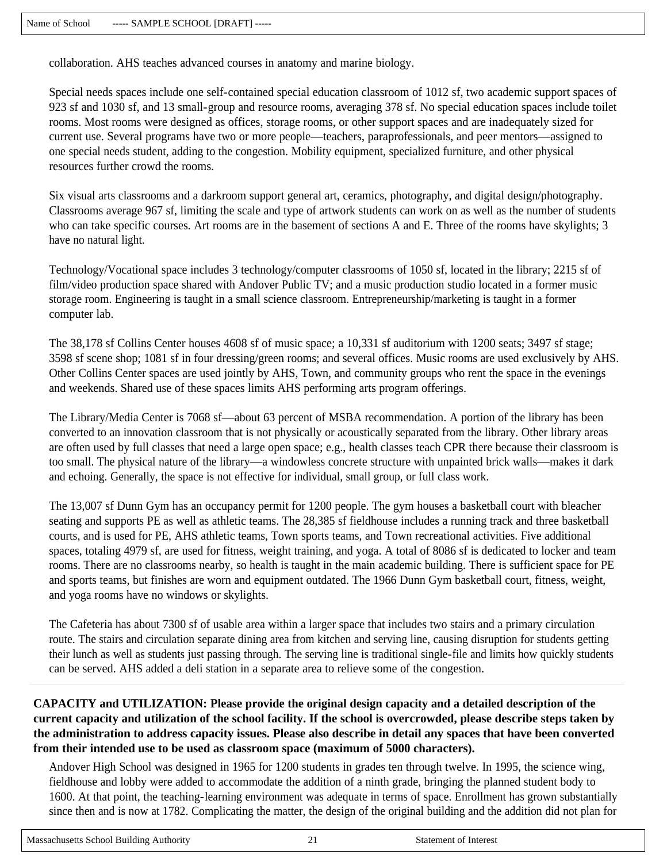collaboration. AHS teaches advanced courses in anatomy and marine biology.

Special needs spaces include one self-contained special education classroom of 1012 sf, two academic support spaces of 923 sf and 1030 sf, and 13 small-group and resource rooms, averaging 378 sf. No special education spaces include toilet rooms. Most rooms were designed as offices, storage rooms, or other support spaces and are inadequately sized for current use. Several programs have two or more people—teachers, paraprofessionals, and peer mentors—assigned to one special needs student, adding to the congestion. Mobility equipment, specialized furniture, and other physical resources further crowd the rooms.

Six visual arts classrooms and a darkroom support general art, ceramics, photography, and digital design/photography. Classrooms average 967 sf, limiting the scale and type of artwork students can work on as well as the number of students who can take specific courses. Art rooms are in the basement of sections A and E. Three of the rooms have skylights; 3 have no natural light.

Technology/Vocational space includes 3 technology/computer classrooms of 1050 sf, located in the library; 2215 sf of film/video production space shared with Andover Public TV; and a music production studio located in a former music storage room. Engineering is taught in a small science classroom. Entrepreneurship/marketing is taught in a former computer lab.

The 38,178 sf Collins Center houses 4608 sf of music space; a 10,331 sf auditorium with 1200 seats; 3497 sf stage; 3598 sf scene shop; 1081 sf in four dressing/green rooms; and several offices. Music rooms are used exclusively by AHS. Other Collins Center spaces are used jointly by AHS, Town, and community groups who rent the space in the evenings and weekends. Shared use of these spaces limits AHS performing arts program offerings.

The Library/Media Center is 7068 sf—about 63 percent of MSBA recommendation. A portion of the library has been converted to an innovation classroom that is not physically or acoustically separated from the library. Other library areas are often used by full classes that need a large open space; e.g., health classes teach CPR there because their classroom is too small. The physical nature of the library—a windowless concrete structure with unpainted brick walls—makes it dark and echoing. Generally, the space is not effective for individual, small group, or full class work.

The 13,007 sf Dunn Gym has an occupancy permit for 1200 people. The gym houses a basketball court with bleacher seating and supports PE as well as athletic teams. The 28,385 sf fieldhouse includes a running track and three basketball courts, and is used for PE, AHS athletic teams, Town sports teams, and Town recreational activities. Five additional spaces, totaling 4979 sf, are used for fitness, weight training, and yoga. A total of 8086 sf is dedicated to locker and team rooms. There are no classrooms nearby, so health is taught in the main academic building. There is sufficient space for PE and sports teams, but finishes are worn and equipment outdated. The 1966 Dunn Gym basketball court, fitness, weight, and yoga rooms have no windows or skylights.

The Cafeteria has about 7300 sf of usable area within a larger space that includes two stairs and a primary circulation route. The stairs and circulation separate dining area from kitchen and serving line, causing disruption for students getting their lunch as well as students just passing through. The serving line is traditional single-file and limits how quickly students can be served. AHS added a deli station in a separate area to relieve some of the congestion.

## **CAPACITY and UTILIZATION: Please provide the original design capacity and a detailed description of the current capacity and utilization of the school facility. If the school is overcrowded, please describe steps taken by the administration to address capacity issues. Please also describe in detail any spaces that have been converted from their intended use to be used as classroom space (maximum of 5000 characters).**

Andover High School was designed in 1965 for 1200 students in grades ten through twelve. In 1995, the science wing, fieldhouse and lobby were added to accommodate the addition of a ninth grade, bringing the planned student body to 1600. At that point, the teaching-learning environment was adequate in terms of space. Enrollment has grown substantially since then and is now at 1782. Complicating the matter, the design of the original building and the addition did not plan for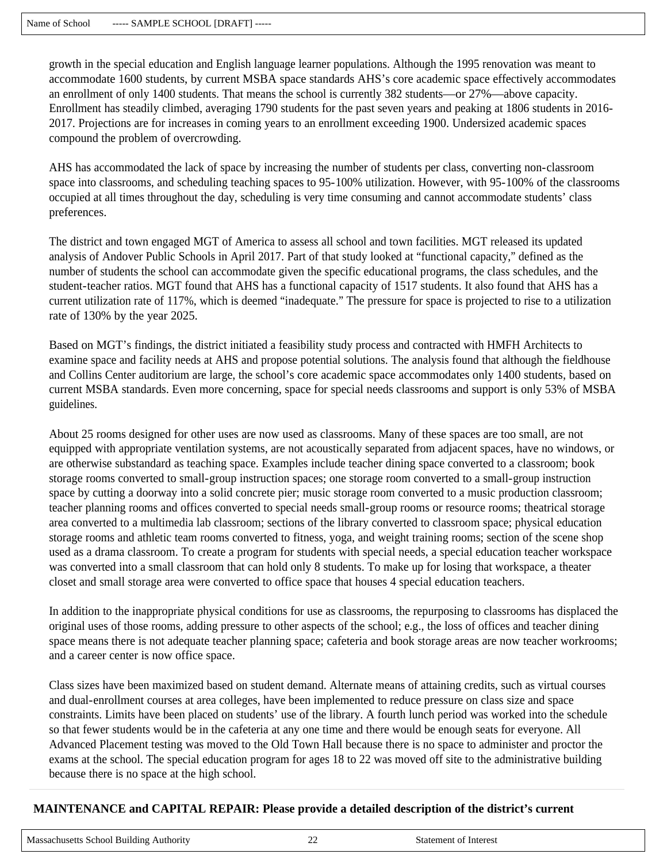growth in the special education and English language learner populations. Although the 1995 renovation was meant to accommodate 1600 students, by current MSBA space standards AHS's core academic space effectively accommodates an enrollment of only 1400 students. That means the school is currently 382 students—or 27%—above capacity. Enrollment has steadily climbed, averaging 1790 students for the past seven years and peaking at 1806 students in 2016- 2017. Projections are for increases in coming years to an enrollment exceeding 1900. Undersized academic spaces compound the problem of overcrowding.

AHS has accommodated the lack of space by increasing the number of students per class, converting non-classroom space into classrooms, and scheduling teaching spaces to 95-100% utilization. However, with 95-100% of the classrooms occupied at all times throughout the day, scheduling is very time consuming and cannot accommodate students' class preferences.

The district and town engaged MGT of America to assess all school and town facilities. MGT released its updated analysis of Andover Public Schools in April 2017. Part of that study looked at "functional capacity," defined as the number of students the school can accommodate given the specific educational programs, the class schedules, and the student-teacher ratios. MGT found that AHS has a functional capacity of 1517 students. It also found that AHS has a current utilization rate of 117%, which is deemed "inadequate." The pressure for space is projected to rise to a utilization rate of 130% by the year 2025.

Based on MGT's findings, the district initiated a feasibility study process and contracted with HMFH Architects to examine space and facility needs at AHS and propose potential solutions. The analysis found that although the fieldhouse and Collins Center auditorium are large, the school's core academic space accommodates only 1400 students, based on current MSBA standards. Even more concerning, space for special needs classrooms and support is only 53% of MSBA guidelines.

About 25 rooms designed for other uses are now used as classrooms. Many of these spaces are too small, are not equipped with appropriate ventilation systems, are not acoustically separated from adjacent spaces, have no windows, or are otherwise substandard as teaching space. Examples include teacher dining space converted to a classroom; book storage rooms converted to small-group instruction spaces; one storage room converted to a small-group instruction space by cutting a doorway into a solid concrete pier; music storage room converted to a music production classroom; teacher planning rooms and offices converted to special needs small-group rooms or resource rooms; theatrical storage area converted to a multimedia lab classroom; sections of the library converted to classroom space; physical education storage rooms and athletic team rooms converted to fitness, yoga, and weight training rooms; section of the scene shop used as a drama classroom. To create a program for students with special needs, a special education teacher workspace was converted into a small classroom that can hold only 8 students. To make up for losing that workspace, a theater closet and small storage area were converted to office space that houses 4 special education teachers.

In addition to the inappropriate physical conditions for use as classrooms, the repurposing to classrooms has displaced the original uses of those rooms, adding pressure to other aspects of the school; e.g., the loss of offices and teacher dining space means there is not adequate teacher planning space; cafeteria and book storage areas are now teacher workrooms; and a career center is now office space.

Class sizes have been maximized based on student demand. Alternate means of attaining credits, such as virtual courses and dual-enrollment courses at area colleges, have been implemented to reduce pressure on class size and space constraints. Limits have been placed on students' use of the library. A fourth lunch period was worked into the schedule so that fewer students would be in the cafeteria at any one time and there would be enough seats for everyone. All Advanced Placement testing was moved to the Old Town Hall because there is no space to administer and proctor the exams at the school. The special education program for ages 18 to 22 was moved off site to the administrative building because there is no space at the high school.

# **MAINTENANCE and CAPITAL REPAIR: Please provide a detailed description of the district's current**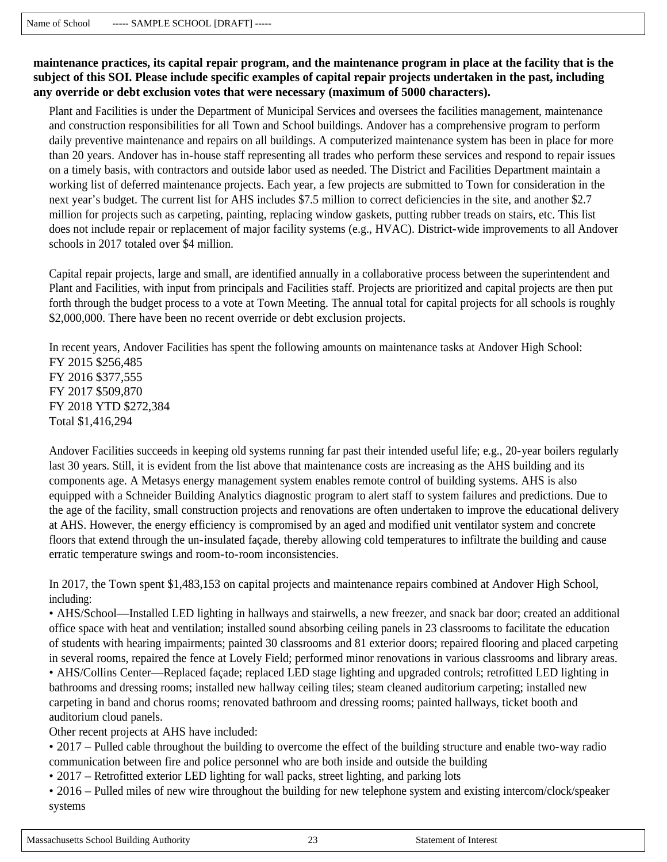**maintenance practices, its capital repair program, and the maintenance program in place at the facility that is the subject of this SOI. Please include specific examples of capital repair projects undertaken in the past, including any override or debt exclusion votes that were necessary (maximum of 5000 characters).**

Plant and Facilities is under the Department of Municipal Services and oversees the facilities management, maintenance and construction responsibilities for all Town and School buildings. Andover has a comprehensive program to perform daily preventive maintenance and repairs on all buildings. A computerized maintenance system has been in place for more than 20 years. Andover has in-house staff representing all trades who perform these services and respond to repair issues on a timely basis, with contractors and outside labor used as needed. The District and Facilities Department maintain a working list of deferred maintenance projects. Each year, a few projects are submitted to Town for consideration in the next year's budget. The current list for AHS includes \$7.5 million to correct deficiencies in the site, and another \$2.7 million for projects such as carpeting, painting, replacing window gaskets, putting rubber treads on stairs, etc. This list does not include repair or replacement of major facility systems (e.g., HVAC). District-wide improvements to all Andover schools in 2017 totaled over \$4 million.

Capital repair projects, large and small, are identified annually in a collaborative process between the superintendent and Plant and Facilities, with input from principals and Facilities staff. Projects are prioritized and capital projects are then put forth through the budget process to a vote at Town Meeting. The annual total for capital projects for all schools is roughly \$2,000,000. There have been no recent override or debt exclusion projects.

In recent years, Andover Facilities has spent the following amounts on maintenance tasks at Andover High School: FY 2015 \$256,485 FY 2016 \$377,555 FY 2017 \$509,870 FY 2018 YTD \$272,384 Total \$1,416,294

Andover Facilities succeeds in keeping old systems running far past their intended useful life; e.g., 20-year boilers regularly last 30 years. Still, it is evident from the list above that maintenance costs are increasing as the AHS building and its components age. A Metasys energy management system enables remote control of building systems. AHS is also equipped with a Schneider Building Analytics diagnostic program to alert staff to system failures and predictions. Due to the age of the facility, small construction projects and renovations are often undertaken to improve the educational delivery at AHS. However, the energy efficiency is compromised by an aged and modified unit ventilator system and concrete floors that extend through the un-insulated façade, thereby allowing cold temperatures to infiltrate the building and cause erratic temperature swings and room-to-room inconsistencies.

In 2017, the Town spent \$1,483,153 on capital projects and maintenance repairs combined at Andover High School, including:

• AHS/School—Installed LED lighting in hallways and stairwells, a new freezer, and snack bar door; created an additional office space with heat and ventilation; installed sound absorbing ceiling panels in 23 classrooms to facilitate the education of students with hearing impairments; painted 30 classrooms and 81 exterior doors; repaired flooring and placed carpeting in several rooms, repaired the fence at Lovely Field; performed minor renovations in various classrooms and library areas. • AHS/Collins Center—Replaced façade; replaced LED stage lighting and upgraded controls; retrofitted LED lighting in

bathrooms and dressing rooms; installed new hallway ceiling tiles; steam cleaned auditorium carpeting; installed new carpeting in band and chorus rooms; renovated bathroom and dressing rooms; painted hallways, ticket booth and auditorium cloud panels.

Other recent projects at AHS have included:

• 2017 – Pulled cable throughout the building to overcome the effect of the building structure and enable two-way radio communication between fire and police personnel who are both inside and outside the building

• 2017 – Retrofitted exterior LED lighting for wall packs, street lighting, and parking lots

• 2016 – Pulled miles of new wire throughout the building for new telephone system and existing intercom/clock/speaker systems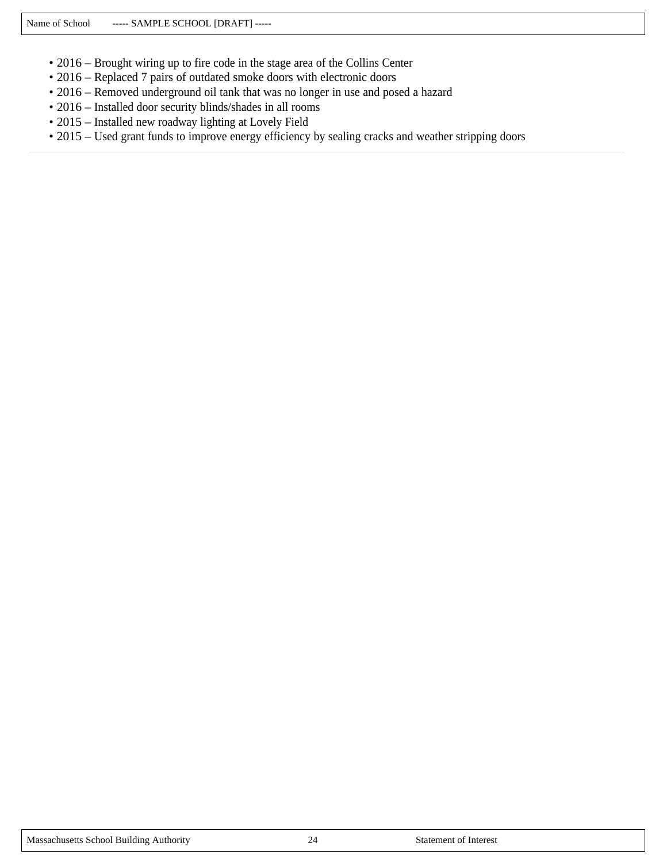- 2016 Brought wiring up to fire code in the stage area of the Collins Center
- 2016 Replaced 7 pairs of outdated smoke doors with electronic doors
- 2016 Removed underground oil tank that was no longer in use and posed a hazard
- 2016 Installed door security blinds/shades in all rooms
- 2015 Installed new roadway lighting at Lovely Field
- 2015 Used grant funds to improve energy efficiency by sealing cracks and weather stripping doors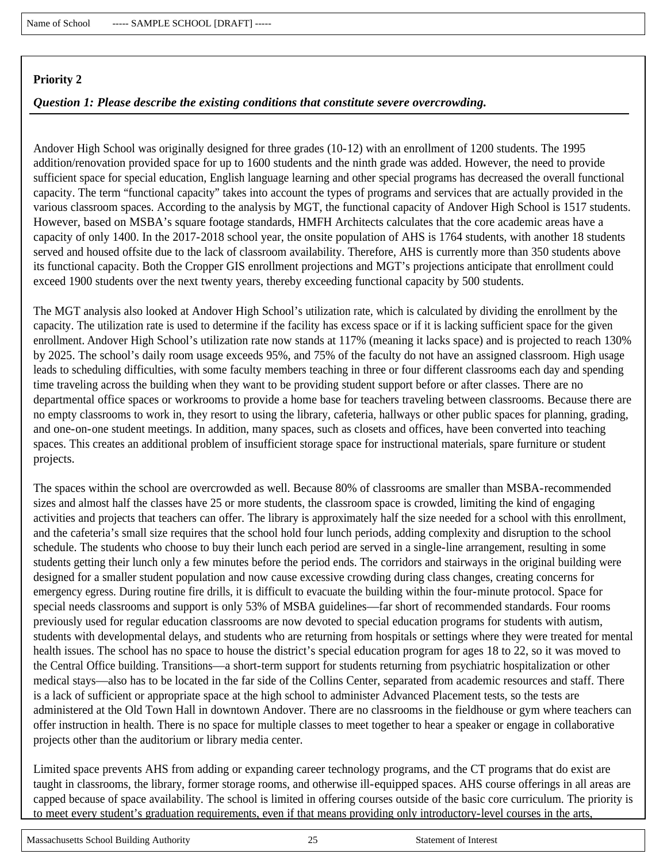### *Question 1: Please describe the existing conditions that constitute severe overcrowding.*

Andover High School was originally designed for three grades (10-12) with an enrollment of 1200 students. The 1995 addition/renovation provided space for up to 1600 students and the ninth grade was added. However, the need to provide sufficient space for special education, English language learning and other special programs has decreased the overall functional capacity. The term "functional capacity" takes into account the types of programs and services that are actually provided in the various classroom spaces. According to the analysis by MGT, the functional capacity of Andover High School is 1517 students. However, based on MSBA's square footage standards, HMFH Architects calculates that the core academic areas have a capacity of only 1400. In the 2017-2018 school year, the onsite population of AHS is 1764 students, with another 18 students served and housed offsite due to the lack of classroom availability. Therefore, AHS is currently more than 350 students above its functional capacity. Both the Cropper GIS enrollment projections and MGT's projections anticipate that enrollment could exceed 1900 students over the next twenty years, thereby exceeding functional capacity by 500 students.

The MGT analysis also looked at Andover High School's utilization rate, which is calculated by dividing the enrollment by the capacity. The utilization rate is used to determine if the facility has excess space or if it is lacking sufficient space for the given enrollment. Andover High School's utilization rate now stands at 117% (meaning it lacks space) and is projected to reach 130% by 2025. The school's daily room usage exceeds 95%, and 75% of the faculty do not have an assigned classroom. High usage leads to scheduling difficulties, with some faculty members teaching in three or four different classrooms each day and spending time traveling across the building when they want to be providing student support before or after classes. There are no departmental office spaces or workrooms to provide a home base for teachers traveling between classrooms. Because there are no empty classrooms to work in, they resort to using the library, cafeteria, hallways or other public spaces for planning, grading, and one-on-one student meetings. In addition, many spaces, such as closets and offices, have been converted into teaching spaces. This creates an additional problem of insufficient storage space for instructional materials, spare furniture or student projects.

The spaces within the school are overcrowded as well. Because 80% of classrooms are smaller than MSBA-recommended sizes and almost half the classes have 25 or more students, the classroom space is crowded, limiting the kind of engaging activities and projects that teachers can offer. The library is approximately half the size needed for a school with this enrollment, and the cafeteria's small size requires that the school hold four lunch periods, adding complexity and disruption to the school schedule. The students who choose to buy their lunch each period are served in a single-line arrangement, resulting in some students getting their lunch only a few minutes before the period ends. The corridors and stairways in the original building were designed for a smaller student population and now cause excessive crowding during class changes, creating concerns for emergency egress. During routine fire drills, it is difficult to evacuate the building within the four-minute protocol. Space for special needs classrooms and support is only 53% of MSBA guidelines—far short of recommended standards. Four rooms previously used for regular education classrooms are now devoted to special education programs for students with autism, students with developmental delays, and students who are returning from hospitals or settings where they were treated for mental health issues. The school has no space to house the district's special education program for ages 18 to 22, so it was moved to the Central Office building. Transitions—a short-term support for students returning from psychiatric hospitalization or other medical stays—also has to be located in the far side of the Collins Center, separated from academic resources and staff. There is a lack of sufficient or appropriate space at the high school to administer Advanced Placement tests, so the tests are administered at the Old Town Hall in downtown Andover. There are no classrooms in the fieldhouse or gym where teachers can offer instruction in health. There is no space for multiple classes to meet together to hear a speaker or engage in collaborative projects other than the auditorium or library media center.

Limited space prevents AHS from adding or expanding career technology programs, and the CT programs that do exist are taught in classrooms, the library, former storage rooms, and otherwise ill-equipped spaces. AHS course offerings in all areas are capped because of space availability. The school is limited in offering courses outside of the basic core curriculum. The priority is to meet every student's graduation requirements, even if that means providing only introductory-level courses in the arts,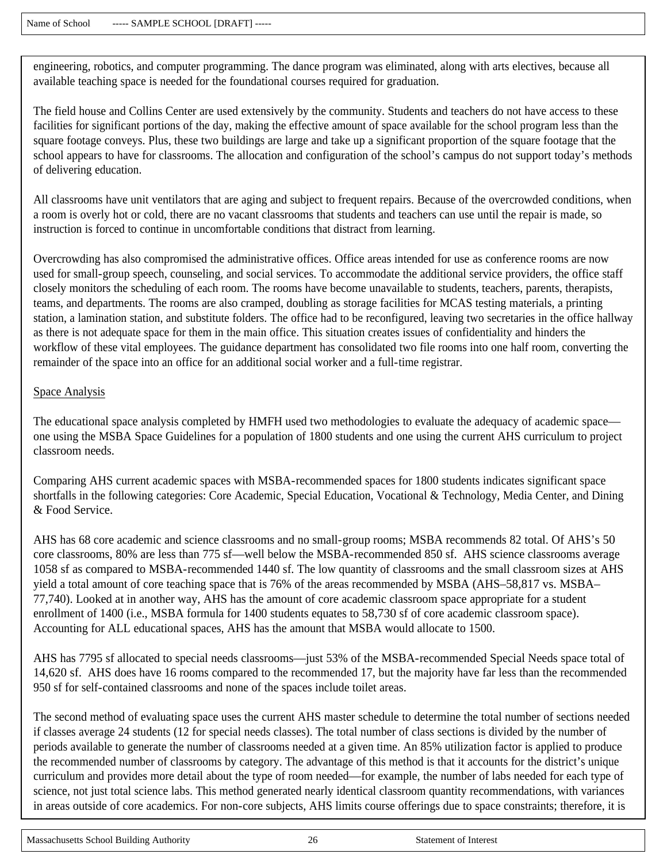engineering, robotics, and computer programming. The dance program was eliminated, along with arts electives, because all available teaching space is needed for the foundational courses required for graduation.

The field house and Collins Center are used extensively by the community. Students and teachers do not have access to these facilities for significant portions of the day, making the effective amount of space available for the school program less than the square footage conveys. Plus, these two buildings are large and take up a significant proportion of the square footage that the school appears to have for classrooms. The allocation and configuration of the school's campus do not support today's methods of delivering education.

All classrooms have unit ventilators that are aging and subject to frequent repairs. Because of the overcrowded conditions, when a room is overly hot or cold, there are no vacant classrooms that students and teachers can use until the repair is made, so instruction is forced to continue in uncomfortable conditions that distract from learning.

Overcrowding has also compromised the administrative offices. Office areas intended for use as conference rooms are now used for small-group speech, counseling, and social services. To accommodate the additional service providers, the office staff closely monitors the scheduling of each room. The rooms have become unavailable to students, teachers, parents, therapists, teams, and departments. The rooms are also cramped, doubling as storage facilities for MCAS testing materials, a printing station, a lamination station, and substitute folders. The office had to be reconfigured, leaving two secretaries in the office hallway as there is not adequate space for them in the main office. This situation creates issues of confidentiality and hinders the workflow of these vital employees. The guidance department has consolidated two file rooms into one half room, converting the remainder of the space into an office for an additional social worker and a full-time registrar.

#### Space Analysis

The educational space analysis completed by HMFH used two methodologies to evaluate the adequacy of academic space one using the MSBA Space Guidelines for a population of 1800 students and one using the current AHS curriculum to project classroom needs.

Comparing AHS current academic spaces with MSBA-recommended spaces for 1800 students indicates significant space shortfalls in the following categories: Core Academic, Special Education, Vocational & Technology, Media Center, and Dining & Food Service.

AHS has 68 core academic and science classrooms and no small-group rooms; MSBA recommends 82 total. Of AHS's 50 core classrooms, 80% are less than 775 sf—well below the MSBA-recommended 850 sf. AHS science classrooms average 1058 sf as compared to MSBA-recommended 1440 sf. The low quantity of classrooms and the small classroom sizes at AHS yield a total amount of core teaching space that is 76% of the areas recommended by MSBA (AHS–58,817 vs. MSBA– 77,740). Looked at in another way, AHS has the amount of core academic classroom space appropriate for a student enrollment of 1400 (i.e., MSBA formula for 1400 students equates to 58,730 sf of core academic classroom space). Accounting for ALL educational spaces, AHS has the amount that MSBA would allocate to 1500.

AHS has 7795 sf allocated to special needs classrooms—just 53% of the MSBA-recommended Special Needs space total of 14,620 sf. AHS does have 16 rooms compared to the recommended 17, but the majority have far less than the recommended 950 sf for self-contained classrooms and none of the spaces include toilet areas.

The second method of evaluating space uses the current AHS master schedule to determine the total number of sections needed if classes average 24 students (12 for special needs classes). The total number of class sections is divided by the number of periods available to generate the number of classrooms needed at a given time. An 85% utilization factor is applied to produce the recommended number of classrooms by category. The advantage of this method is that it accounts for the district's unique curriculum and provides more detail about the type of room needed—for example, the number of labs needed for each type of science, not just total science labs. This method generated nearly identical classroom quantity recommendations, with variances in areas outside of core academics. For non-core subjects, AHS limits course offerings due to space constraints; therefore, it is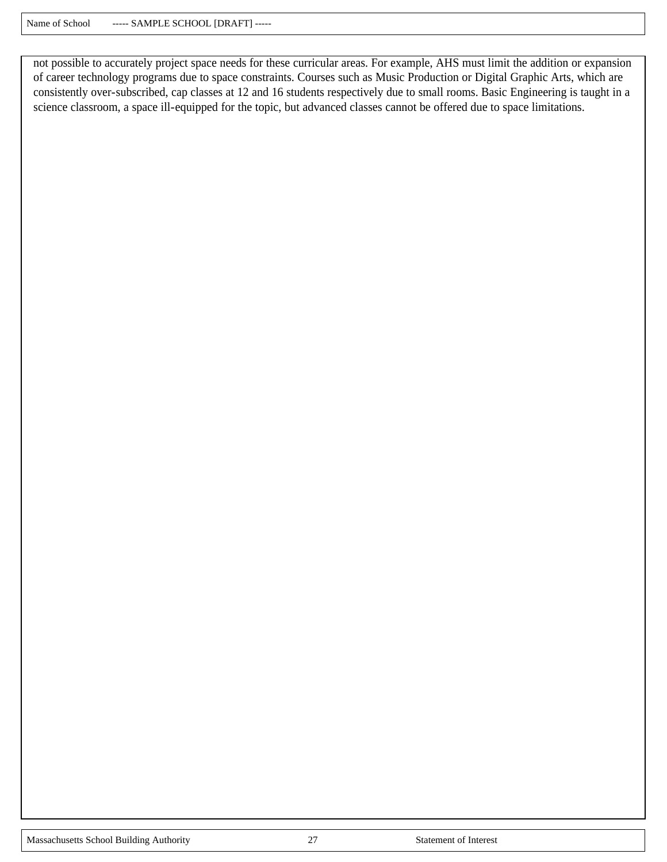not possible to accurately project space needs for these curricular areas. For example, AHS must limit the addition or expansion of career technology programs due to space constraints. Courses such as Music Production or Digital Graphic Arts, which are consistently over-subscribed, cap classes at 12 and 16 students respectively due to small rooms. Basic Engineering is taught in a science classroom, a space ill-equipped for the topic, but advanced classes cannot be offered due to space limitations.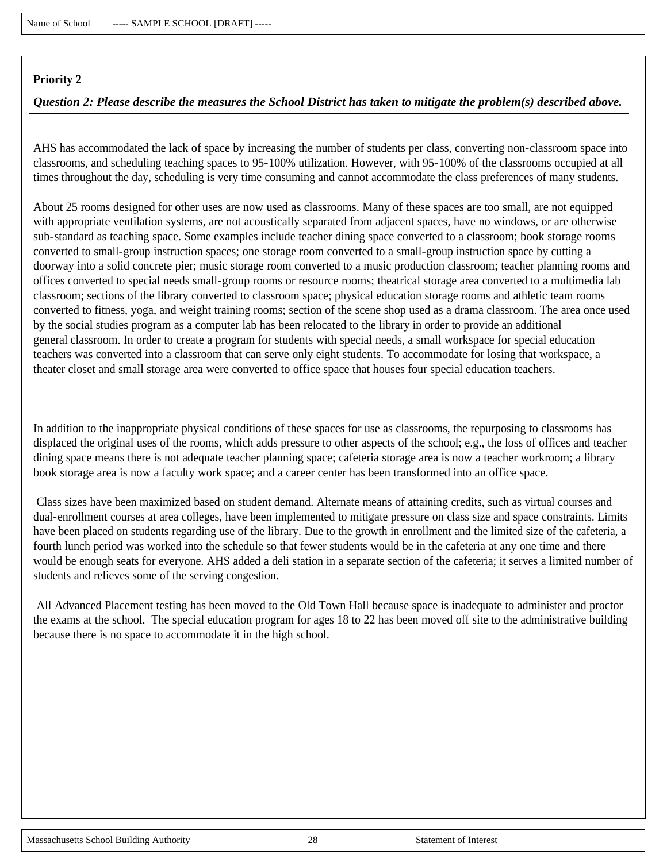### *Question 2: Please describe the measures the School District has taken to mitigate the problem(s) described above.*

AHS has accommodated the lack of space by increasing the number of students per class, converting non-classroom space into classrooms, and scheduling teaching spaces to 95-100% utilization. However, with 95-100% of the classrooms occupied at all times throughout the day, scheduling is very time consuming and cannot accommodate the class preferences of many students.

About 25 rooms designed for other uses are now used as classrooms. Many of these spaces are too small, are not equipped with appropriate ventilation systems, are not acoustically separated from adjacent spaces, have no windows, or are otherwise sub-standard as teaching space. Some examples include teacher dining space converted to a classroom; book storage rooms converted to small-group instruction spaces; one storage room converted to a small-group instruction space by cutting a doorway into a solid concrete pier; music storage room converted to a music production classroom; teacher planning rooms and offices converted to special needs small-group rooms or resource rooms; theatrical storage area converted to a multimedia lab classroom; sections of the library converted to classroom space; physical education storage rooms and athletic team rooms converted to fitness, yoga, and weight training rooms; section of the scene shop used as a drama classroom. The area once used by the social studies program as a computer lab has been relocated to the library in order to provide an additional general classroom. In order to create a program for students with special needs, a small workspace for special education teachers was converted into a classroom that can serve only eight students. To accommodate for losing that workspace, a theater closet and small storage area were converted to office space that houses four special education teachers.

In addition to the inappropriate physical conditions of these spaces for use as classrooms, the repurposing to classrooms has displaced the original uses of the rooms, which adds pressure to other aspects of the school; e.g., the loss of offices and teacher dining space means there is not adequate teacher planning space; cafeteria storage area is now a teacher workroom; a library book storage area is now a faculty work space; and a career center has been transformed into an office space.

Class sizes have been maximized based on student demand. Alternate means of attaining credits, such as virtual courses and dual-enrollment courses at area colleges, have been implemented to mitigate pressure on class size and space constraints. Limits have been placed on students regarding use of the library. Due to the growth in enrollment and the limited size of the cafeteria, a fourth lunch period was worked into the schedule so that fewer students would be in the cafeteria at any one time and there would be enough seats for everyone. AHS added a deli station in a separate section of the cafeteria; it serves a limited number of students and relieves some of the serving congestion.

All Advanced Placement testing has been moved to the Old Town Hall because space is inadequate to administer and proctor the exams at the school. The special education program for ages 18 to 22 has been moved off site to the administrative building because there is no space to accommodate it in the high school.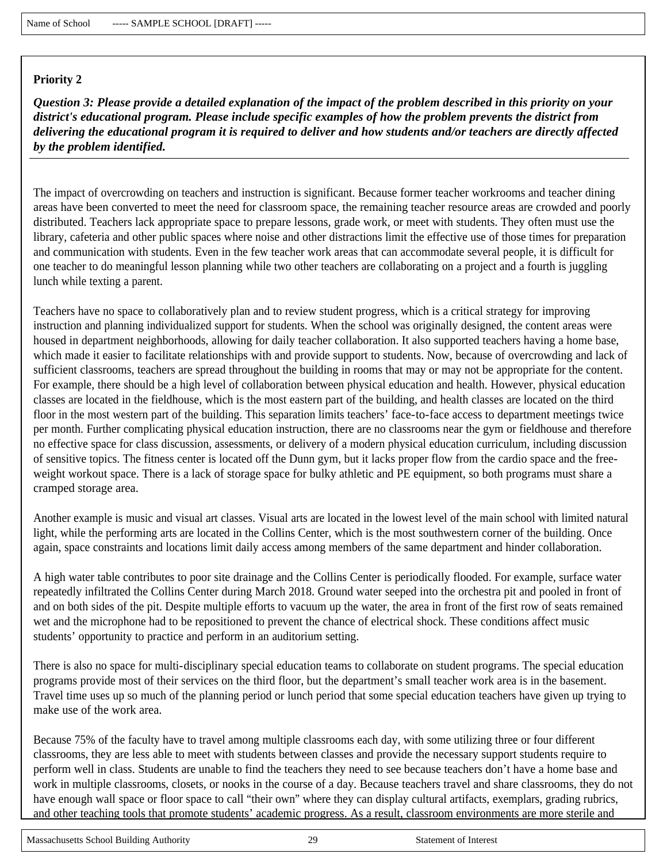*Question 3: Please provide a detailed explanation of the impact of the problem described in this priority on your district's educational program. Please include specific examples of how the problem prevents the district from delivering the educational program it is required to deliver and how students and/or teachers are directly affected by the problem identified.*

The impact of overcrowding on teachers and instruction is significant. Because former teacher workrooms and teacher dining areas have been converted to meet the need for classroom space, the remaining teacher resource areas are crowded and poorly distributed. Teachers lack appropriate space to prepare lessons, grade work, or meet with students. They often must use the library, cafeteria and other public spaces where noise and other distractions limit the effective use of those times for preparation and communication with students. Even in the few teacher work areas that can accommodate several people, it is difficult for one teacher to do meaningful lesson planning while two other teachers are collaborating on a project and a fourth is juggling lunch while texting a parent.

Teachers have no space to collaboratively plan and to review student progress, which is a critical strategy for improving instruction and planning individualized support for students. When the school was originally designed, the content areas were housed in department neighborhoods, allowing for daily teacher collaboration. It also supported teachers having a home base, which made it easier to facilitate relationships with and provide support to students. Now, because of overcrowding and lack of sufficient classrooms, teachers are spread throughout the building in rooms that may or may not be appropriate for the content. For example, there should be a high level of collaboration between physical education and health. However, physical education classes are located in the fieldhouse, which is the most eastern part of the building, and health classes are located on the third floor in the most western part of the building. This separation limits teachers' face-to-face access to department meetings twice per month. Further complicating physical education instruction, there are no classrooms near the gym or fieldhouse and therefore no effective space for class discussion, assessments, or delivery of a modern physical education curriculum, including discussion of sensitive topics. The fitness center is located off the Dunn gym, but it lacks proper flow from the cardio space and the freeweight workout space. There is a lack of storage space for bulky athletic and PE equipment, so both programs must share a cramped storage area.

Another example is music and visual art classes. Visual arts are located in the lowest level of the main school with limited natural light, while the performing arts are located in the Collins Center, which is the most southwestern corner of the building. Once again, space constraints and locations limit daily access among members of the same department and hinder collaboration.

A high water table contributes to poor site drainage and the Collins Center is periodically flooded. For example, surface water repeatedly infiltrated the Collins Center during March 2018. Ground water seeped into the orchestra pit and pooled in front of and on both sides of the pit. Despite multiple efforts to vacuum up the water, the area in front of the first row of seats remained wet and the microphone had to be repositioned to prevent the chance of electrical shock. These conditions affect music students' opportunity to practice and perform in an auditorium setting.

There is also no space for multi-disciplinary special education teams to collaborate on student programs. The special education programs provide most of their services on the third floor, but the department's small teacher work area is in the basement. Travel time uses up so much of the planning period or lunch period that some special education teachers have given up trying to make use of the work area.

Because 75% of the faculty have to travel among multiple classrooms each day, with some utilizing three or four different classrooms, they are less able to meet with students between classes and provide the necessary support students require to perform well in class. Students are unable to find the teachers they need to see because teachers don't have a home base and work in multiple classrooms, closets, or nooks in the course of a day. Because teachers travel and share classrooms, they do not have enough wall space or floor space to call "their own" where they can display cultural artifacts, exemplars, grading rubrics, and other teaching tools that promote students' academic progress. As a result, classroom environments are more sterile and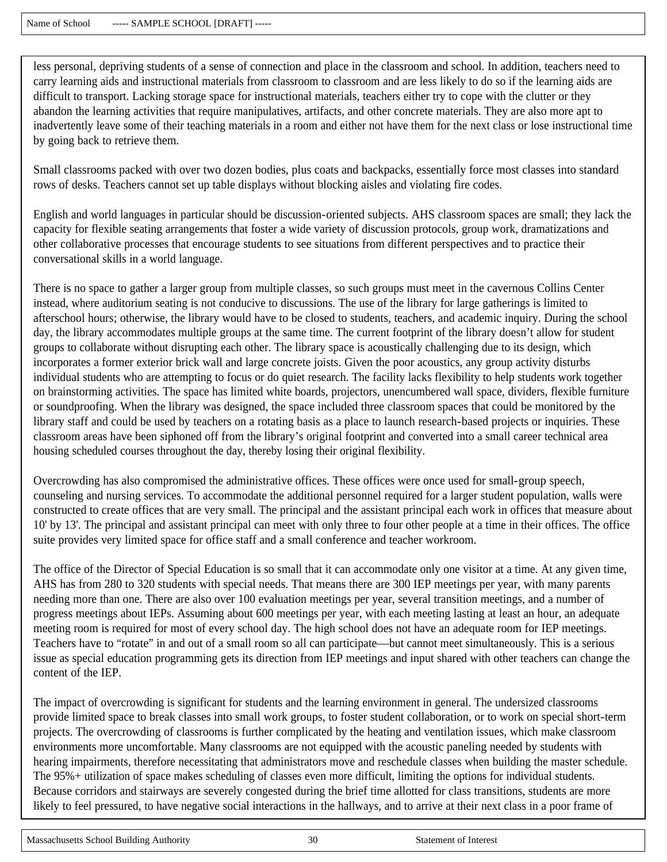less personal, depriving students of a sense of connection and place in the classroom and school. In addition, teachers need to carry learning aids and instructional materials from classroom to classroom and are less likely to do so if the learning aids are difficult to transport. Lacking storage space for instructional materials, teachers either try to cope with the clutter or they abandon the learning activities that require manipulatives, artifacts, and other concrete materials. They are also more apt to inadvertently leave some of their teaching materials in a room and either not have them for the next class or lose instructional time by going back to retrieve them.

Small classrooms packed with over two dozen bodies, plus coats and backpacks, essentially force most classes into standard rows of desks. Teachers cannot set up table displays without blocking aisles and violating fire codes.

English and world languages in particular should be discussion-oriented subjects. AHS classroom spaces are small; they lack the capacity for flexible seating arrangements that foster a wide variety of discussion protocols, group work, dramatizations and other collaborative processes that encourage students to see situations from different perspectives and to practice their conversational skills in a world language.

There is no space to gather a larger group from multiple classes, so such groups must meet in the cavernous Collins Center instead, where auditorium seating is not conducive to discussions. The use of the library for large gatherings is limited to afterschool hours; otherwise, the library would have to be closed to students, teachers, and academic inquiry. During the school day, the library accommodates multiple groups at the same time. The current footprint of the library doesn't allow for student groups to collaborate without disrupting each other. The library space is acoustically challenging due to its design, which incorporates a former exterior brick wall and large concrete joists. Given the poor acoustics, any group activity disturbs individual students who are attempting to focus or do quiet research. The facility lacks flexibility to help students work together on brainstorming activities. The space has limited white boards, projectors, unencumbered wall space, dividers, flexible furniture or soundproofing. When the library was designed, the space included three classroom spaces that could be monitored by the library staff and could be used by teachers on a rotating basis as a place to launch research-based projects or inquiries. These classroom areas have been siphoned off from the library's original footprint and converted into a small career technical area housing scheduled courses throughout the day, thereby losing their original flexibility.

Overcrowding has also compromised the administrative offices. These offices were once used for small-group speech, counseling and nursing services. To accommodate the additional personnel required for a larger student population, walls were constructed to create offices that are very small. The principal and the assistant principal each work in offices that measure about 10' by 13'. The principal and assistant principal can meet with only three to four other people at a time in their offices. The office suite provides very limited space for office staff and a small conference and teacher workroom.

The office of the Director of Special Education is so small that it can accommodate only one visitor at a time. At any given time, AHS has from 280 to 320 students with special needs. That means there are 300 IEP meetings per year, with many parents needing more than one. There are also over 100 evaluation meetings per year, several transition meetings, and a number of progress meetings about IEPs. Assuming about 600 meetings per year, with each meeting lasting at least an hour, an adequate meeting room is required for most of every school day. The high school does not have an adequate room for IEP meetings. Teachers have to "rotate" in and out of a small room so all can participate—but cannot meet simultaneously. This is a serious issue as special education programming gets its direction from IEP meetings and input shared with other teachers can change the content of the IEP.

The impact of overcrowding is significant for students and the learning environment in general. The undersized classrooms provide limited space to break classes into small work groups, to foster student collaboration, or to work on special short-term projects. The overcrowding of classrooms is further complicated by the heating and ventilation issues, which make classroom environments more uncomfortable. Many classrooms are not equipped with the acoustic paneling needed by students with hearing impairments, therefore necessitating that administrators move and reschedule classes when building the master schedule. The 95%+ utilization of space makes scheduling of classes even more difficult, limiting the options for individual students. Because corridors and stairways are severely congested during the brief time allotted for class transitions, students are more likely to feel pressured, to have negative social interactions in the hallways, and to arrive at their next class in a poor frame of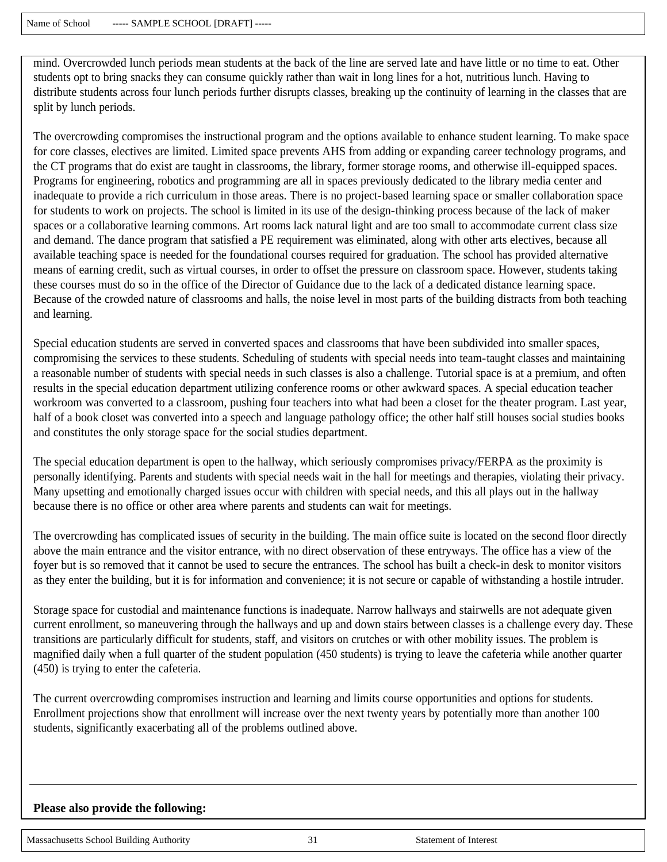mind. Overcrowded lunch periods mean students at the back of the line are served late and have little or no time to eat. Other students opt to bring snacks they can consume quickly rather than wait in long lines for a hot, nutritious lunch. Having to distribute students across four lunch periods further disrupts classes, breaking up the continuity of learning in the classes that are split by lunch periods.

The overcrowding compromises the instructional program and the options available to enhance student learning. To make space for core classes, electives are limited. Limited space prevents AHS from adding or expanding career technology programs, and the CT programs that do exist are taught in classrooms, the library, former storage rooms, and otherwise ill-equipped spaces. Programs for engineering, robotics and programming are all in spaces previously dedicated to the library media center and inadequate to provide a rich curriculum in those areas. There is no project-based learning space or smaller collaboration space for students to work on projects. The school is limited in its use of the design-thinking process because of the lack of maker spaces or a collaborative learning commons. Art rooms lack natural light and are too small to accommodate current class size and demand. The dance program that satisfied a PE requirement was eliminated, along with other arts electives, because all available teaching space is needed for the foundational courses required for graduation. The school has provided alternative means of earning credit, such as virtual courses, in order to offset the pressure on classroom space. However, students taking these courses must do so in the office of the Director of Guidance due to the lack of a dedicated distance learning space. Because of the crowded nature of classrooms and halls, the noise level in most parts of the building distracts from both teaching and learning.

Special education students are served in converted spaces and classrooms that have been subdivided into smaller spaces, compromising the services to these students. Scheduling of students with special needs into team-taught classes and maintaining a reasonable number of students with special needs in such classes is also a challenge. Tutorial space is at a premium, and often results in the special education department utilizing conference rooms or other awkward spaces. A special education teacher workroom was converted to a classroom, pushing four teachers into what had been a closet for the theater program. Last year, half of a book closet was converted into a speech and language pathology office; the other half still houses social studies books and constitutes the only storage space for the social studies department.

The special education department is open to the hallway, which seriously compromises privacy/FERPA as the proximity is personally identifying. Parents and students with special needs wait in the hall for meetings and therapies, violating their privacy. Many upsetting and emotionally charged issues occur with children with special needs, and this all plays out in the hallway because there is no office or other area where parents and students can wait for meetings.

The overcrowding has complicated issues of security in the building. The main office suite is located on the second floor directly above the main entrance and the visitor entrance, with no direct observation of these entryways. The office has a view of the foyer but is so removed that it cannot be used to secure the entrances. The school has built a check-in desk to monitor visitors as they enter the building, but it is for information and convenience; it is not secure or capable of withstanding a hostile intruder.

Storage space for custodial and maintenance functions is inadequate. Narrow hallways and stairwells are not adequate given current enrollment, so maneuvering through the hallways and up and down stairs between classes is a challenge every day. These transitions are particularly difficult for students, staff, and visitors on crutches or with other mobility issues. The problem is magnified daily when a full quarter of the student population (450 students) is trying to leave the cafeteria while another quarter (450) is trying to enter the cafeteria.

The current overcrowding compromises instruction and learning and limits course opportunities and options for students. Enrollment projections show that enrollment will increase over the next twenty years by potentially more than another 100 students, significantly exacerbating all of the problems outlined above.

#### **Please also provide the following:**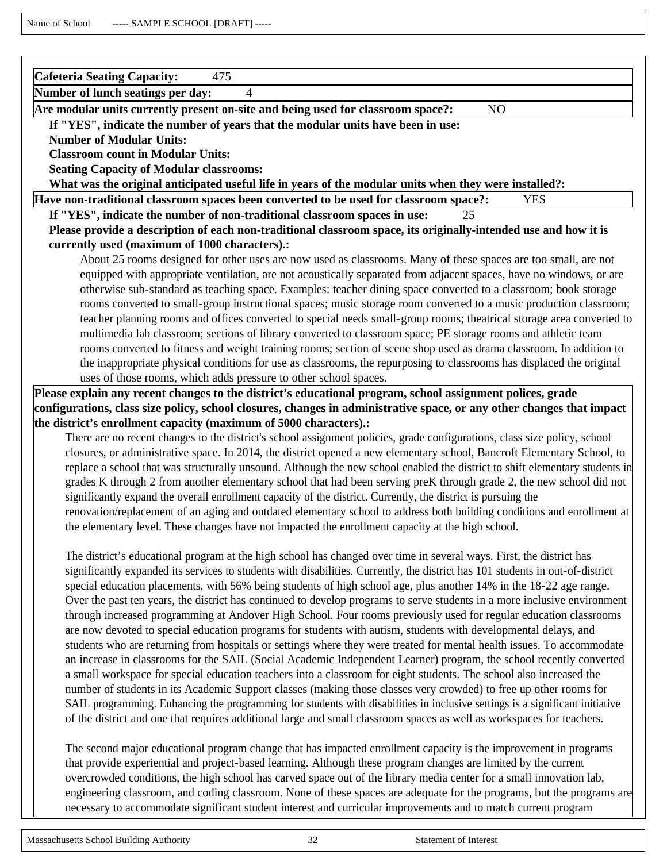| <b>Cafeteria Seating Capacity:</b><br>475                                                                             |
|-----------------------------------------------------------------------------------------------------------------------|
| Number of lunch seatings per day:<br>$\overline{4}$                                                                   |
| Are modular units currently present on-site and being used for classroom space?:<br>NO.                               |
| If "YES", indicate the number of years that the modular units have been in use:                                       |
| <b>Number of Modular Units:</b>                                                                                       |
| <b>Classroom count in Modular Units:</b>                                                                              |
| <b>Seating Capacity of Modular classrooms:</b>                                                                        |
| What was the original anticipated useful life in years of the modular units when they were installed?:                |
| Have non-traditional classroom spaces been converted to be used for classroom space?:<br><b>YES</b>                   |
| If "YES", indicate the number of non-traditional classroom spaces in use:<br>25                                       |
| Please provide a description of each non-traditional classroom space, its originally-intended use and how it is       |
| currently used (maximum of 1000 characters).:                                                                         |
| About 25 rooms designed for other uses are now used as classrooms. Many of these spaces are too small, are not        |
| equipped with appropriate ventilation, are not acoustically separated from adjacent spaces, have no windows, or are   |
| otherwise sub-standard as teaching space. Examples: teacher dining space converted to a classroom; book storage       |
| rooms converted to small-group instructional spaces; music storage room converted to a music production classroom;    |
| teacher planning rooms and offices converted to special needs small-group rooms; theatrical storage area converted to |
| multimedia lab classroom; sections of library converted to classroom space; PE storage rooms and athletic team        |
| rooms converted to fitness and weight training rooms; section of scene shop used as drama classroom. In addition to   |
| the inappropriate physical conditions for use as classrooms, the repurposing to classrooms has displaced the original |
| uses of those rooms, which adds pressure to other school spaces.                                                      |

**Please explain any recent changes to the district's educational program, school assignment polices, grade configurations, class size policy, school closures, changes in administrative space, or any other changes that impact the district's enrollment capacity (maximum of 5000 characters).:** 

There are no recent changes to the district's school assignment policies, grade configurations, class size policy, school closures, or administrative space. In 2014, the district opened a new elementary school, Bancroft Elementary School, to replace a school that was structurally unsound. Although the new school enabled the district to shift elementary students in grades K through 2 from another elementary school that had been serving preK through grade 2, the new school did not significantly expand the overall enrollment capacity of the district. Currently, the district is pursuing the renovation/replacement of an aging and outdated elementary school to address both building conditions and enrollment at the elementary level. These changes have not impacted the enrollment capacity at the high school.

The district's educational program at the high school has changed over time in several ways. First, the district has significantly expanded its services to students with disabilities. Currently, the district has 101 students in out-of-district special education placements, with 56% being students of high school age, plus another 14% in the 18-22 age range. Over the past ten years, the district has continued to develop programs to serve students in a more inclusive environment through increased programming at Andover High School. Four rooms previously used for regular education classrooms are now devoted to special education programs for students with autism, students with developmental delays, and students who are returning from hospitals or settings where they were treated for mental health issues. To accommodate an increase in classrooms for the SAIL (Social Academic Independent Learner) program, the school recently converted a small workspace for special education teachers into a classroom for eight students. The school also increased the number of students in its Academic Support classes (making those classes very crowded) to free up other rooms for SAIL programming. Enhancing the programming for students with disabilities in inclusive settings is a significant initiative of the district and one that requires additional large and small classroom spaces as well as workspaces for teachers.

The second major educational program change that has impacted enrollment capacity is the improvement in programs that provide experiential and project-based learning. Although these program changes are limited by the current overcrowded conditions, the high school has carved space out of the library media center for a small innovation lab, engineering classroom, and coding classroom. None of these spaces are adequate for the programs, but the programs are necessary to accommodate significant student interest and curricular improvements and to match current program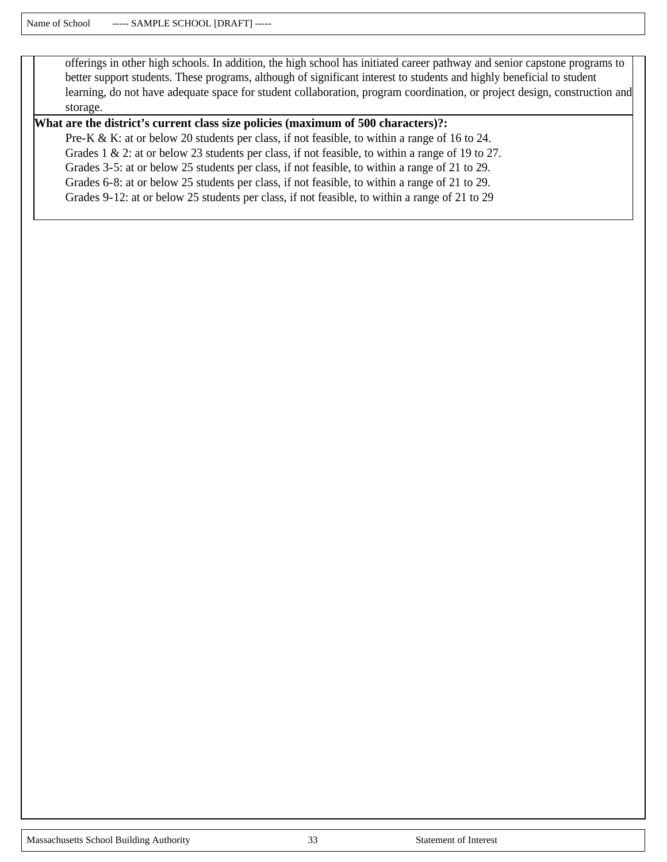offerings in other high schools. In addition, the high school has initiated career pathway and senior capstone programs to better support students. These programs, although of significant interest to students and highly beneficial to student learning, do not have adequate space for student collaboration, program coordination, or project design, construction and storage.

#### **What are the district's current class size policies (maximum of 500 characters)?:**

Pre-K & K: at or below 20 students per class, if not feasible, to within a range of 16 to 24. Grades 1 & 2: at or below 23 students per class, if not feasible, to within a range of 19 to 27. Grades 3-5: at or below 25 students per class, if not feasible, to within a range of 21 to 29. Grades 6-8: at or below 25 students per class, if not feasible, to within a range of 21 to 29. Grades 9-12: at or below 25 students per class, if not feasible, to within a range of 21 to 29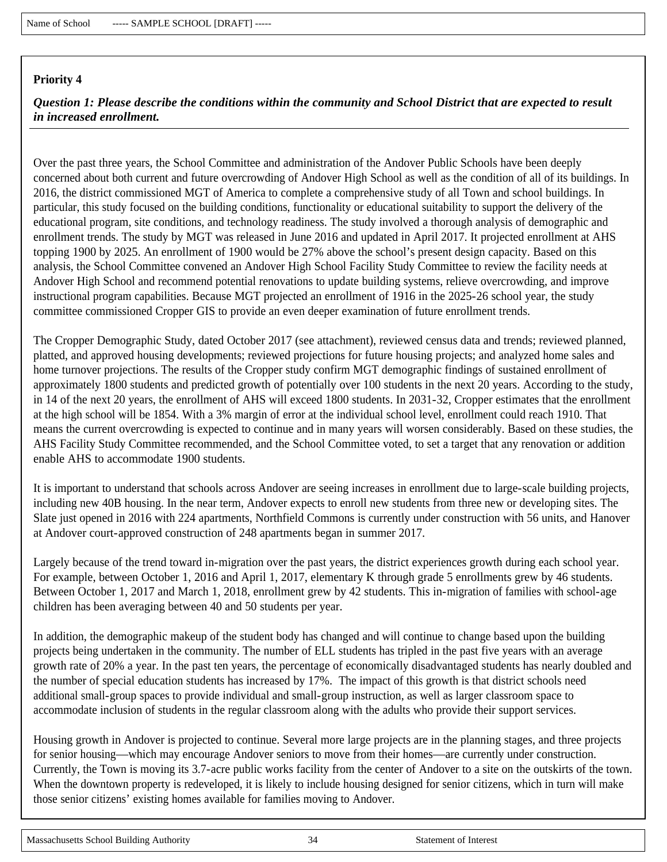*Question 1: Please describe the conditions within the community and School District that are expected to result in increased enrollment.*

Over the past three years, the School Committee and administration of the Andover Public Schools have been deeply concerned about both current and future overcrowding of Andover High School as well as the condition of all of its buildings. In 2016, the district commissioned MGT of America to complete a comprehensive study of all Town and school buildings. In particular, this study focused on the building conditions, functionality or educational suitability to support the delivery of the educational program, site conditions, and technology readiness. The study involved a thorough analysis of demographic and enrollment trends. The study by MGT was released in June 2016 and updated in April 2017. It projected enrollment at AHS topping 1900 by 2025. An enrollment of 1900 would be 27% above the school's present design capacity. Based on this analysis, the School Committee convened an Andover High School Facility Study Committee to review the facility needs at Andover High School and recommend potential renovations to update building systems, relieve overcrowding, and improve instructional program capabilities. Because MGT projected an enrollment of 1916 in the 2025-26 school year, the study committee commissioned Cropper GIS to provide an even deeper examination of future enrollment trends.

The Cropper Demographic Study, dated October 2017 (see attachment), reviewed census data and trends; reviewed planned, platted, and approved housing developments; reviewed projections for future housing projects; and analyzed home sales and home turnover projections. The results of the Cropper study confirm MGT demographic findings of sustained enrollment of approximately 1800 students and predicted growth of potentially over 100 students in the next 20 years. According to the study, in 14 of the next 20 years, the enrollment of AHS will exceed 1800 students. In 2031-32, Cropper estimates that the enrollment at the high school will be 1854. With a 3% margin of error at the individual school level, enrollment could reach 1910. That means the current overcrowding is expected to continue and in many years will worsen considerably. Based on these studies, the AHS Facility Study Committee recommended, and the School Committee voted, to set a target that any renovation or addition enable AHS to accommodate 1900 students.

It is important to understand that schools across Andover are seeing increases in enrollment due to large-scale building projects, including new 40B housing. In the near term, Andover expects to enroll new students from three new or developing sites. The Slate just opened in 2016 with 224 apartments, Northfield Commons is currently under construction with 56 units, and Hanover at Andover court-approved construction of 248 apartments began in summer 2017.

Largely because of the trend toward in-migration over the past years, the district experiences growth during each school year. For example, between October 1, 2016 and April 1, 2017, elementary K through grade 5 enrollments grew by 46 students. Between October 1, 2017 and March 1, 2018, enrollment grew by 42 students. This in-migration of families with school-age children has been averaging between 40 and 50 students per year.

In addition, the demographic makeup of the student body has changed and will continue to change based upon the building projects being undertaken in the community. The number of ELL students has tripled in the past five years with an average growth rate of 20% a year. In the past ten years, the percentage of economically disadvantaged students has nearly doubled and the number of special education students has increased by 17%. The impact of this growth is that district schools need additional small-group spaces to provide individual and small-group instruction, as well as larger classroom space to accommodate inclusion of students in the regular classroom along with the adults who provide their support services.

Housing growth in Andover is projected to continue. Several more large projects are in the planning stages, and three projects for senior housing—which may encourage Andover seniors to move from their homes—are currently under construction. Currently, the Town is moving its 3.7-acre public works facility from the center of Andover to a site on the outskirts of the town. When the downtown property is redeveloped, it is likely to include housing designed for senior citizens, which in turn will make those senior citizens' existing homes available for families moving to Andover.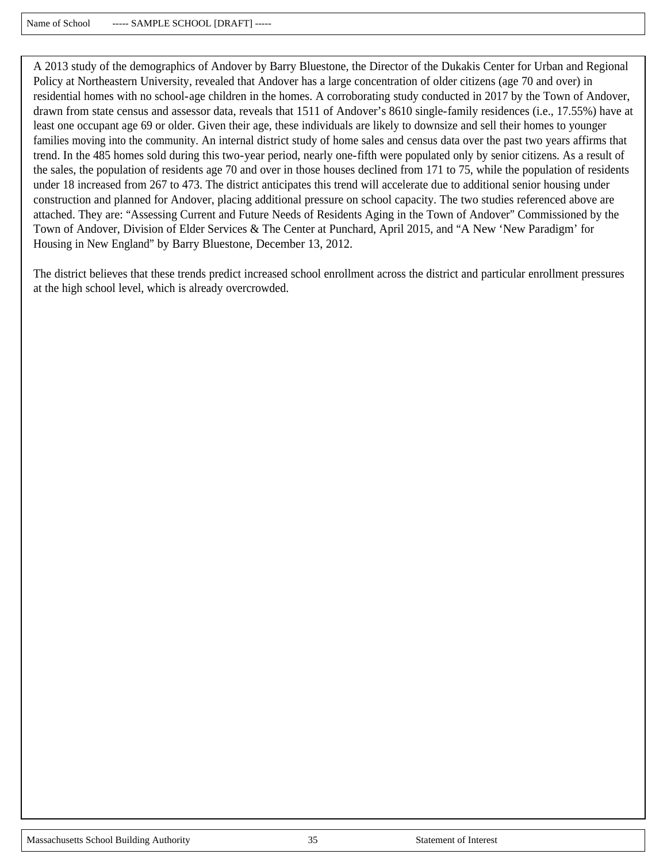A 2013 study of the demographics of Andover by Barry Bluestone, the Director of the Dukakis Center for Urban and Regional Policy at Northeastern University, revealed that Andover has a large concentration of older citizens (age 70 and over) in residential homes with no school-age children in the homes. A corroborating study conducted in 2017 by the Town of Andover, drawn from state census and assessor data, reveals that 1511 of Andover's 8610 single-family residences (i.e., 17.55%) have at least one occupant age 69 or older. Given their age, these individuals are likely to downsize and sell their homes to younger families moving into the community. An internal district study of home sales and census data over the past two years affirms that trend. In the 485 homes sold during this two-year period, nearly one-fifth were populated only by senior citizens. As a result of the sales, the population of residents age 70 and over in those houses declined from 171 to 75, while the population of residents under 18 increased from 267 to 473. The district anticipates this trend will accelerate due to additional senior housing under construction and planned for Andover, placing additional pressure on school capacity. The two studies referenced above are attached. They are: "Assessing Current and Future Needs of Residents Aging in the Town of Andover" Commissioned by the Town of Andover, Division of Elder Services & The Center at Punchard, April 2015, and "A New 'New Paradigm' for Housing in New England" by Barry Bluestone, December 13, 2012.

The district believes that these trends predict increased school enrollment across the district and particular enrollment pressures at the high school level, which is already overcrowded.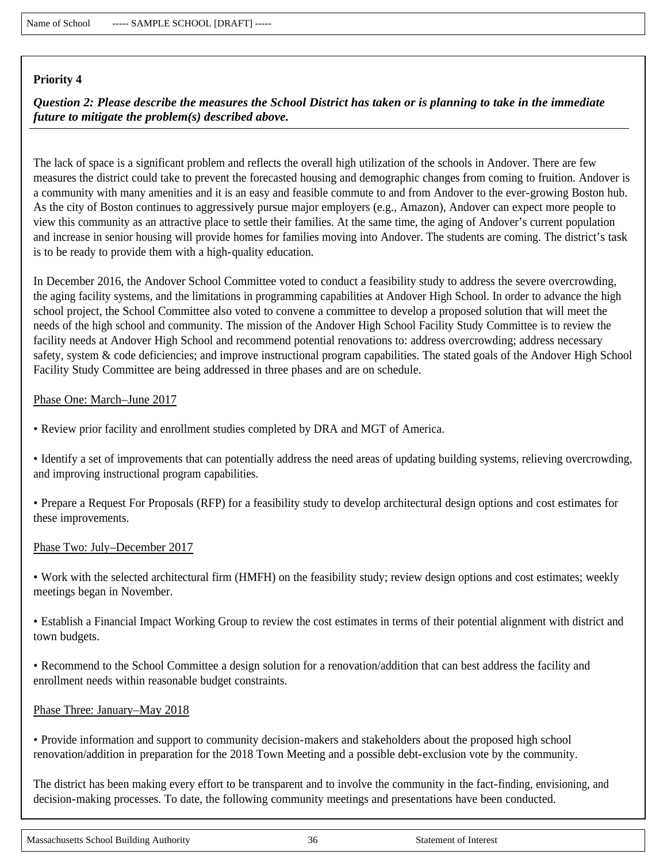*Question 2: Please describe the measures the School District has taken or is planning to take in the immediate future to mitigate the problem(s) described above.*

The lack of space is a significant problem and reflects the overall high utilization of the schools in Andover. There are few measures the district could take to prevent the forecasted housing and demographic changes from coming to fruition. Andover is a community with many amenities and it is an easy and feasible commute to and from Andover to the ever-growing Boston hub. As the city of Boston continues to aggressively pursue major employers (e.g., Amazon), Andover can expect more people to view this community as an attractive place to settle their families. At the same time, the aging of Andover's current population and increase in senior housing will provide homes for families moving into Andover. The students are coming. The district's task is to be ready to provide them with a high-quality education.

In December 2016, the Andover School Committee voted to conduct a feasibility study to address the severe overcrowding, the aging facility systems, and the limitations in programming capabilities at Andover High School. In order to advance the high school project, the School Committee also voted to convene a committee to develop a proposed solution that will meet the needs of the high school and community. The mission of the Andover High School Facility Study Committee is to review the facility needs at Andover High School and recommend potential renovations to: address overcrowding; address necessary safety, system & code deficiencies; and improve instructional program capabilities. The stated goals of the Andover High School Facility Study Committee are being addressed in three phases and are on schedule.

#### Phase One: March–June 2017

• Review prior facility and enrollment studies completed by DRA and MGT of America.

• Identify a set of improvements that can potentially address the need areas of updating building systems, relieving overcrowding, and improving instructional program capabilities.

• Prepare a Request For Proposals (RFP) for a feasibility study to develop architectural design options and cost estimates for these improvements.

#### Phase Two: July–December 2017

• Work with the selected architectural firm (HMFH) on the feasibility study; review design options and cost estimates; weekly meetings began in November.

• Establish a Financial Impact Working Group to review the cost estimates in terms of their potential alignment with district and town budgets.

• Recommend to the School Committee a design solution for a renovation/addition that can best address the facility and enrollment needs within reasonable budget constraints.

#### Phase Three: January–May 2018

• Provide information and support to community decision-makers and stakeholders about the proposed high school renovation/addition in preparation for the 2018 Town Meeting and a possible debt-exclusion vote by the community.

The district has been making every effort to be transparent and to involve the community in the fact-finding, envisioning, and decision-making processes. To date, the following community meetings and presentations have been conducted.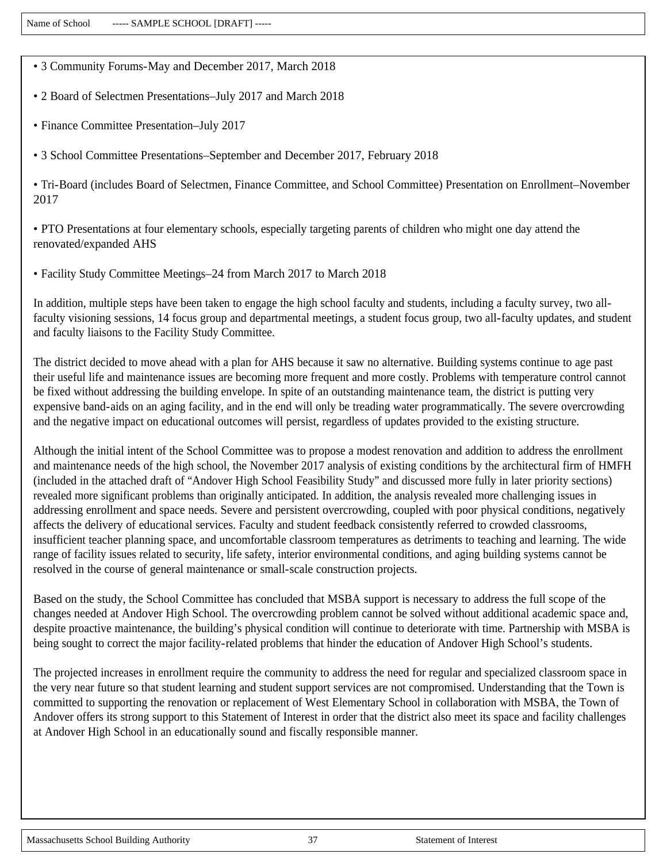• 3 Community Forums-May and December 2017, March 2018

• 2 Board of Selectmen Presentations–July 2017 and March 2018

• Finance Committee Presentation–July 2017

• 3 School Committee Presentations–September and December 2017, February 2018

• Tri-Board (includes Board of Selectmen, Finance Committee, and School Committee) Presentation on Enrollment–November 2017

• PTO Presentations at four elementary schools, especially targeting parents of children who might one day attend the renovated/expanded AHS

• Facility Study Committee Meetings–24 from March 2017 to March 2018

In addition, multiple steps have been taken to engage the high school faculty and students, including a faculty survey, two allfaculty visioning sessions, 14 focus group and departmental meetings, a student focus group, two all-faculty updates, and student and faculty liaisons to the Facility Study Committee.

The district decided to move ahead with a plan for AHS because it saw no alternative. Building systems continue to age past their useful life and maintenance issues are becoming more frequent and more costly. Problems with temperature control cannot be fixed without addressing the building envelope. In spite of an outstanding maintenance team, the district is putting very expensive band-aids on an aging facility, and in the end will only be treading water programmatically. The severe overcrowding and the negative impact on educational outcomes will persist, regardless of updates provided to the existing structure.

Although the initial intent of the School Committee was to propose a modest renovation and addition to address the enrollment and maintenance needs of the high school, the November 2017 analysis of existing conditions by the architectural firm of HMFH (included in the attached draft of "Andover High School Feasibility Study" and discussed more fully in later priority sections) revealed more significant problems than originally anticipated. In addition, the analysis revealed more challenging issues in addressing enrollment and space needs. Severe and persistent overcrowding, coupled with poor physical conditions, negatively affects the delivery of educational services. Faculty and student feedback consistently referred to crowded classrooms, insufficient teacher planning space, and uncomfortable classroom temperatures as detriments to teaching and learning. The wide range of facility issues related to security, life safety, interior environmental conditions, and aging building systems cannot be resolved in the course of general maintenance or small-scale construction projects.

Based on the study, the School Committee has concluded that MSBA support is necessary to address the full scope of the changes needed at Andover High School. The overcrowding problem cannot be solved without additional academic space and, despite proactive maintenance, the building's physical condition will continue to deteriorate with time. Partnership with MSBA is being sought to correct the major facility-related problems that hinder the education of Andover High School's students.

The projected increases in enrollment require the community to address the need for regular and specialized classroom space in the very near future so that student learning and student support services are not compromised. Understanding that the Town is committed to supporting the renovation or replacement of West Elementary School in collaboration with MSBA, the Town of Andover offers its strong support to this Statement of Interest in order that the district also meet its space and facility challenges at Andover High School in an educationally sound and fiscally responsible manner.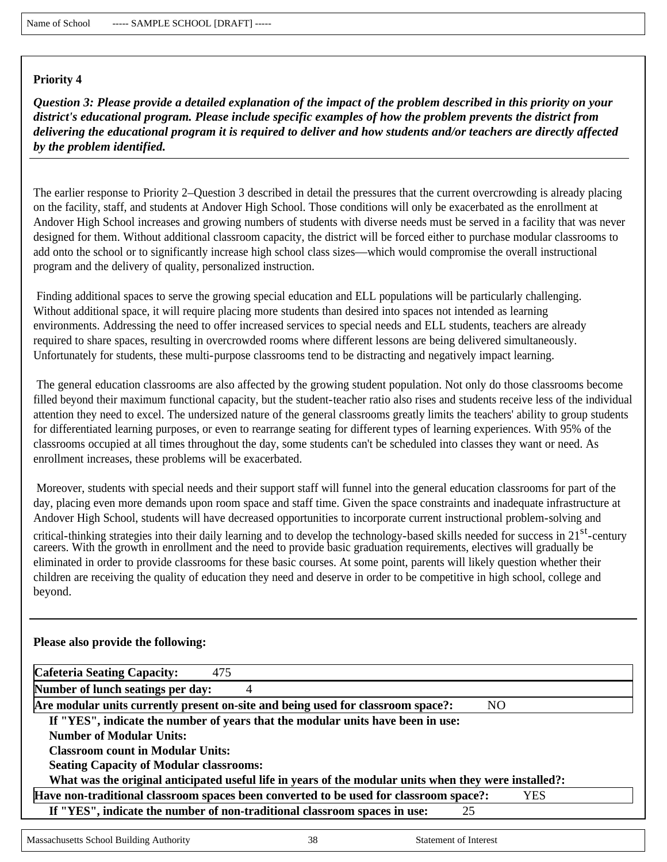*Question 3: Please provide a detailed explanation of the impact of the problem described in this priority on your district's educational program. Please include specific examples of how the problem prevents the district from delivering the educational program it is required to deliver and how students and/or teachers are directly affected by the problem identified.*

The earlier response to Priority 2–Question 3 described in detail the pressures that the current overcrowding is already placing on the facility, staff, and students at Andover High School. Those conditions will only be exacerbated as the enrollment at Andover High School increases and growing numbers of students with diverse needs must be served in a facility that was never designed for them. Without additional classroom capacity, the district will be forced either to purchase modular classrooms to add onto the school or to significantly increase high school class sizes—which would compromise the overall instructional program and the delivery of quality, personalized instruction.

Finding additional spaces to serve the growing special education and ELL populations will be particularly challenging. Without additional space, it will require placing more students than desired into spaces not intended as learning environments. Addressing the need to offer increased services to special needs and ELL students, teachers are already required to share spaces, resulting in overcrowded rooms where different lessons are being delivered simultaneously. Unfortunately for students, these multi-purpose classrooms tend to be distracting and negatively impact learning.

The general education classrooms are also affected by the growing student population. Not only do those classrooms become filled beyond their maximum functional capacity, but the student-teacher ratio also rises and students receive less of the individual attention they need to excel. The undersized nature of the general classrooms greatly limits the teachers' ability to group students for differentiated learning purposes, or even to rearrange seating for different types of learning experiences. With 95% of the classrooms occupied at all times throughout the day, some students can't be scheduled into classes they want or need. As enrollment increases, these problems will be exacerbated.

Moreover, students with special needs and their support staff will funnel into the general education classrooms for part of the day, placing even more demands upon room space and staff time. Given the space constraints and inadequate infrastructure at Andover High School, students will have decreased opportunities to incorporate current instructional problem-solving and

critical-thinking strategies into their daily learning and to develop the technology-based skills needed for success in 21<sup>st</sup>-century careers. With the growth in enrollment and the need to provide basic graduation requirements, electives will gradually be eliminated in order to provide classrooms for these basic courses. At some point, parents will likely question whether their children are receiving the quality of education they need and deserve in order to be competitive in high school, college and beyond.

#### **Please also provide the following:**

| <b>Cafeteria Seating Capacity:</b><br>475                                                              |
|--------------------------------------------------------------------------------------------------------|
| Number of lunch seatings per day:<br>4                                                                 |
| Are modular units currently present on-site and being used for classroom space?:<br>N <sub>O</sub>     |
| If "YES", indicate the number of years that the modular units have been in use:                        |
| <b>Number of Modular Units:</b>                                                                        |
| <b>Classroom count in Modular Units:</b>                                                               |
| <b>Seating Capacity of Modular classrooms:</b>                                                         |
| What was the original anticipated useful life in years of the modular units when they were installed?: |
| Have non-traditional classroom spaces been converted to be used for classroom space?:<br>YES           |
| If "YES", indicate the number of non-traditional classroom spaces in use:<br>25                        |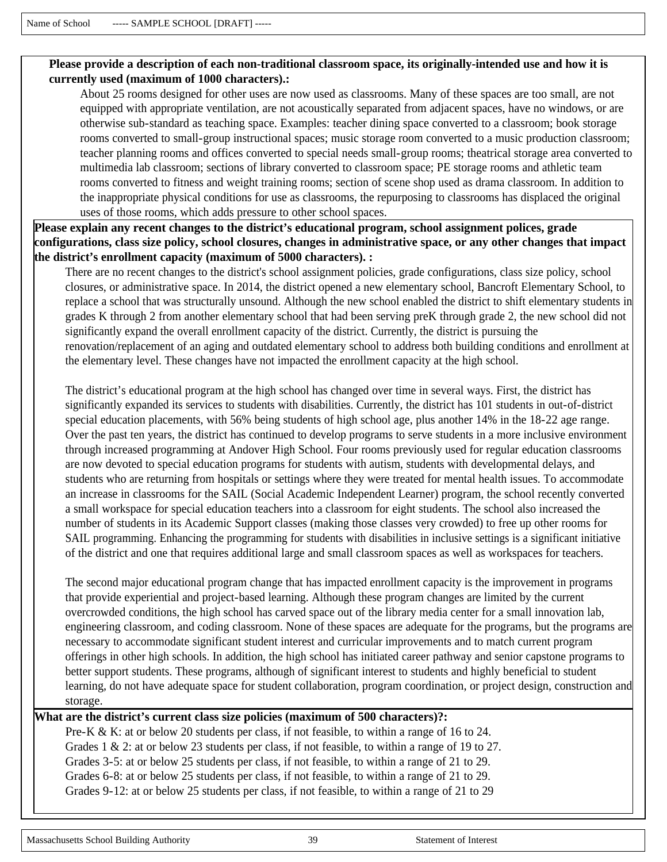#### **Please provide a description of each non-traditional classroom space, its originally-intended use and how it is currently used (maximum of 1000 characters).:**

About 25 rooms designed for other uses are now used as classrooms. Many of these spaces are too small, are not equipped with appropriate ventilation, are not acoustically separated from adjacent spaces, have no windows, or are otherwise sub-standard as teaching space. Examples: teacher dining space converted to a classroom; book storage rooms converted to small-group instructional spaces; music storage room converted to a music production classroom; teacher planning rooms and offices converted to special needs small-group rooms; theatrical storage area converted to multimedia lab classroom; sections of library converted to classroom space; PE storage rooms and athletic team rooms converted to fitness and weight training rooms; section of scene shop used as drama classroom. In addition to the inappropriate physical conditions for use as classrooms, the repurposing to classrooms has displaced the original uses of those rooms, which adds pressure to other school spaces.

**Please explain any recent changes to the district's educational program, school assignment polices, grade configurations, class size policy, school closures, changes in administrative space, or any other changes that impact the district's enrollment capacity (maximum of 5000 characters). :** 

There are no recent changes to the district's school assignment policies, grade configurations, class size policy, school closures, or administrative space. In 2014, the district opened a new elementary school, Bancroft Elementary School, to replace a school that was structurally unsound. Although the new school enabled the district to shift elementary students in grades K through 2 from another elementary school that had been serving preK through grade 2, the new school did not significantly expand the overall enrollment capacity of the district. Currently, the district is pursuing the renovation/replacement of an aging and outdated elementary school to address both building conditions and enrollment at the elementary level. These changes have not impacted the enrollment capacity at the high school.

The district's educational program at the high school has changed over time in several ways. First, the district has significantly expanded its services to students with disabilities. Currently, the district has 101 students in out-of-district special education placements, with 56% being students of high school age, plus another 14% in the 18-22 age range. Over the past ten years, the district has continued to develop programs to serve students in a more inclusive environment through increased programming at Andover High School. Four rooms previously used for regular education classrooms are now devoted to special education programs for students with autism, students with developmental delays, and students who are returning from hospitals or settings where they were treated for mental health issues. To accommodate an increase in classrooms for the SAIL (Social Academic Independent Learner) program, the school recently converted a small workspace for special education teachers into a classroom for eight students. The school also increased the number of students in its Academic Support classes (making those classes very crowded) to free up other rooms for SAIL programming. Enhancing the programming for students with disabilities in inclusive settings is a significant initiative of the district and one that requires additional large and small classroom spaces as well as workspaces for teachers.

The second major educational program change that has impacted enrollment capacity is the improvement in programs that provide experiential and project-based learning. Although these program changes are limited by the current overcrowded conditions, the high school has carved space out of the library media center for a small innovation lab, engineering classroom, and coding classroom. None of these spaces are adequate for the programs, but the programs are necessary to accommodate significant student interest and curricular improvements and to match current program offerings in other high schools. In addition, the high school has initiated career pathway and senior capstone programs to better support students. These programs, although of significant interest to students and highly beneficial to student learning, do not have adequate space for student collaboration, program coordination, or project design, construction and storage.

#### **What are the district's current class size policies (maximum of 500 characters)?:**

Pre-K & K: at or below 20 students per class, if not feasible, to within a range of 16 to 24. Grades 1 & 2: at or below 23 students per class, if not feasible, to within a range of 19 to 27. Grades 3-5: at or below 25 students per class, if not feasible, to within a range of 21 to 29. Grades 6-8: at or below 25 students per class, if not feasible, to within a range of 21 to 29. Grades 9-12: at or below 25 students per class, if not feasible, to within a range of 21 to 29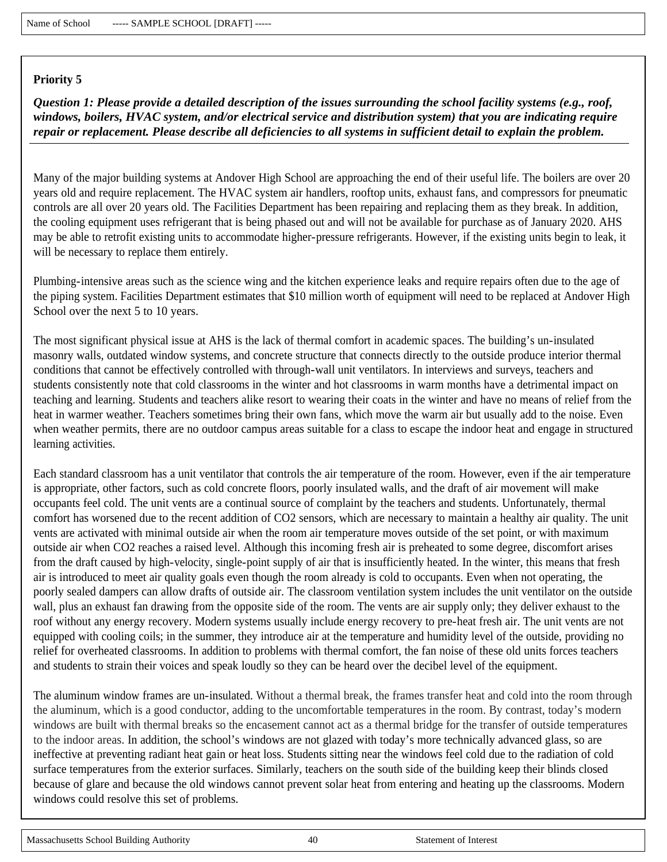*Question 1: Please provide a detailed description of the issues surrounding the school facility systems (e.g., roof, windows, boilers, HVAC system, and/or electrical service and distribution system) that you are indicating require repair or replacement. Please describe all deficiencies to all systems in sufficient detail to explain the problem.*

Many of the major building systems at Andover High School are approaching the end of their useful life. The boilers are over 20 years old and require replacement. The HVAC system air handlers, rooftop units, exhaust fans, and compressors for pneumatic controls are all over 20 years old. The Facilities Department has been repairing and replacing them as they break. In addition, the cooling equipment uses refrigerant that is being phased out and will not be available for purchase as of January 2020. AHS may be able to retrofit existing units to accommodate higher-pressure refrigerants. However, if the existing units begin to leak, it will be necessary to replace them entirely.

Plumbing-intensive areas such as the science wing and the kitchen experience leaks and require repairs often due to the age of the piping system. Facilities Department estimates that \$10 million worth of equipment will need to be replaced at Andover High School over the next 5 to 10 years.

The most significant physical issue at AHS is the lack of thermal comfort in academic spaces. The building's un-insulated masonry walls, outdated window systems, and concrete structure that connects directly to the outside produce interior thermal conditions that cannot be effectively controlled with through-wall unit ventilators. In interviews and surveys, teachers and students consistently note that cold classrooms in the winter and hot classrooms in warm months have a detrimental impact on teaching and learning. Students and teachers alike resort to wearing their coats in the winter and have no means of relief from the heat in warmer weather. Teachers sometimes bring their own fans, which move the warm air but usually add to the noise. Even when weather permits, there are no outdoor campus areas suitable for a class to escape the indoor heat and engage in structured learning activities.

Each standard classroom has a unit ventilator that controls the air temperature of the room. However, even if the air temperature is appropriate, other factors, such as cold concrete floors, poorly insulated walls, and the draft of air movement will make occupants feel cold. The unit vents are a continual source of complaint by the teachers and students. Unfortunately, thermal comfort has worsened due to the recent addition of CO2 sensors, which are necessary to maintain a healthy air quality. The unit vents are activated with minimal outside air when the room air temperature moves outside of the set point, or with maximum outside air when CO2 reaches a raised level. Although this incoming fresh air is preheated to some degree, discomfort arises from the draft caused by high-velocity, single-point supply of air that is insufficiently heated. In the winter, this means that fresh air is introduced to meet air quality goals even though the room already is cold to occupants. Even when not operating, the poorly sealed dampers can allow drafts of outside air. The classroom ventilation system includes the unit ventilator on the outside wall, plus an exhaust fan drawing from the opposite side of the room. The vents are air supply only; they deliver exhaust to the roof without any energy recovery. Modern systems usually include energy recovery to pre-heat fresh air. The unit vents are not equipped with cooling coils; in the summer, they introduce air at the temperature and humidity level of the outside, providing no relief for overheated classrooms. In addition to problems with thermal comfort, the fan noise of these old units forces teachers and students to strain their voices and speak loudly so they can be heard over the decibel level of the equipment.

The aluminum window frames are un-insulated. Without a thermal break, the frames transfer heat and cold into the room through the aluminum, which is a good conductor, adding to the uncomfortable temperatures in the room. By contrast, today's modern windows are built with thermal breaks so the encasement cannot act as a thermal bridge for the transfer of outside temperatures to the indoor areas. In addition, the school's windows are not glazed with today's more technically advanced glass, so are ineffective at preventing radiant heat gain or heat loss. Students sitting near the windows feel cold due to the radiation of cold surface temperatures from the exterior surfaces. Similarly, teachers on the south side of the building keep their blinds closed because of glare and because the old windows cannot prevent solar heat from entering and heating up the classrooms. Modern windows could resolve this set of problems.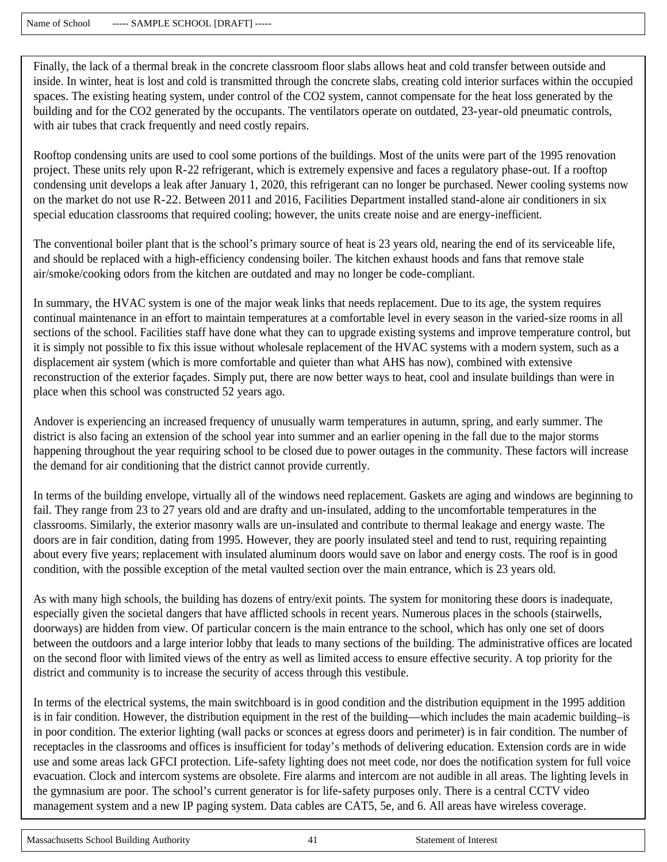Finally, the lack of a thermal break in the concrete classroom floor slabs allows heat and cold transfer between outside and inside. In winter, heat is lost and cold is transmitted through the concrete slabs, creating cold interior surfaces within the occupied spaces. The existing heating system, under control of the CO2 system, cannot compensate for the heat loss generated by the building and for the CO2 generated by the occupants. The ventilators operate on outdated, 23-year-old pneumatic controls, with air tubes that crack frequently and need costly repairs.

Rooftop condensing units are used to cool some portions of the buildings. Most of the units were part of the 1995 renovation project. These units rely upon R-22 refrigerant, which is extremely expensive and faces a regulatory phase-out. If a rooftop condensing unit develops a leak after January 1, 2020, this refrigerant can no longer be purchased. Newer cooling systems now on the market do not use R-22. Between 2011 and 2016, Facilities Department installed stand-alone air conditioners in six special education classrooms that required cooling; however, the units create noise and are energy-inefficient.

The conventional boiler plant that is the school's primary source of heat is 23 years old, nearing the end of its serviceable life, and should be replaced with a high-efficiency condensing boiler. The kitchen exhaust hoods and fans that remove stale air/smoke/cooking odors from the kitchen are outdated and may no longer be code-compliant.

In summary, the HVAC system is one of the major weak links that needs replacement. Due to its age, the system requires continual maintenance in an effort to maintain temperatures at a comfortable level in every season in the varied-size rooms in all sections of the school. Facilities staff have done what they can to upgrade existing systems and improve temperature control, but it is simply not possible to fix this issue without wholesale replacement of the HVAC systems with a modern system, such as a displacement air system (which is more comfortable and quieter than what AHS has now), combined with extensive reconstruction of the exterior façades. Simply put, there are now better ways to heat, cool and insulate buildings than were in place when this school was constructed 52 years ago.

Andover is experiencing an increased frequency of unusually warm temperatures in autumn, spring, and early summer. The district is also facing an extension of the school year into summer and an earlier opening in the fall due to the major storms happening throughout the year requiring school to be closed due to power outages in the community. These factors will increase the demand for air conditioning that the district cannot provide currently.

In terms of the building envelope, virtually all of the windows need replacement. Gaskets are aging and windows are beginning to fail. They range from 23 to 27 years old and are drafty and un-insulated, adding to the uncomfortable temperatures in the classrooms. Similarly, the exterior masonry walls are un-insulated and contribute to thermal leakage and energy waste. The doors are in fair condition, dating from 1995. However, they are poorly insulated steel and tend to rust, requiring repainting about every five years; replacement with insulated aluminum doors would save on labor and energy costs. The roof is in good condition, with the possible exception of the metal vaulted section over the main entrance, which is 23 years old.

As with many high schools, the building has dozens of entry/exit points. The system for monitoring these doors is inadequate, especially given the societal dangers that have afflicted schools in recent years. Numerous places in the schools (stairwells, doorways) are hidden from view. Of particular concern is the main entrance to the school, which has only one set of doors between the outdoors and a large interior lobby that leads to many sections of the building. The administrative offices are located on the second floor with limited views of the entry as well as limited access to ensure effective security. A top priority for the district and community is to increase the security of access through this vestibule.

In terms of the electrical systems, the main switchboard is in good condition and the distribution equipment in the 1995 addition is in fair condition. However, the distribution equipment in the rest of the building—which includes the main academic building–is in poor condition. The exterior lighting (wall packs or sconces at egress doors and perimeter) is in fair condition. The number of receptacles in the classrooms and offices is insufficient for today's methods of delivering education. Extension cords are in wide use and some areas lack GFCI protection. Life-safety lighting does not meet code, nor does the notification system for full voice evacuation. Clock and intercom systems are obsolete. Fire alarms and intercom are not audible in all areas. The lighting levels in the gymnasium are poor. The school's current generator is for life-safety purposes only. There is a central CCTV video management system and a new IP paging system. Data cables are CAT5, 5e, and 6. All areas have wireless coverage.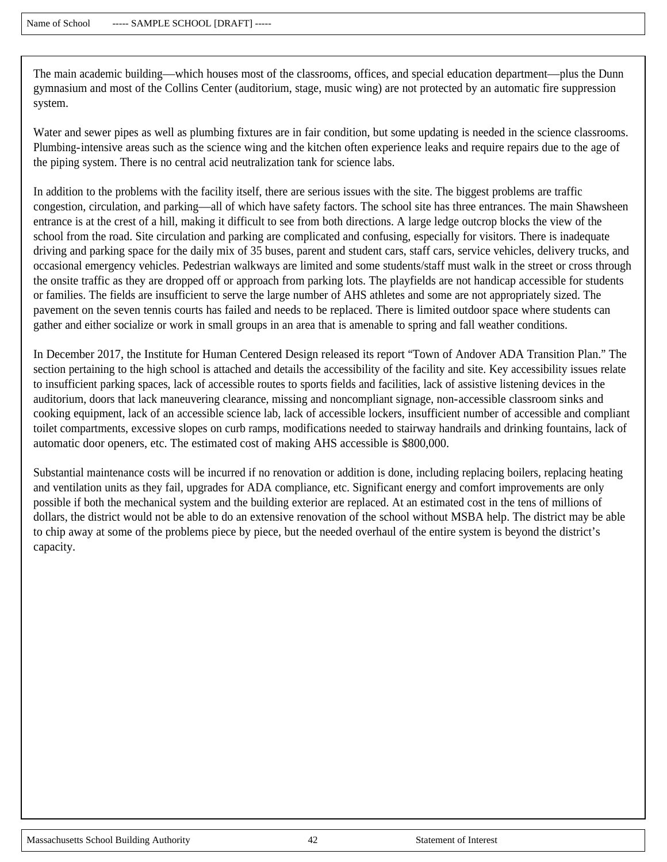The main academic building—which houses most of the classrooms, offices, and special education department—plus the Dunn gymnasium and most of the Collins Center (auditorium, stage, music wing) are not protected by an automatic fire suppression system.

Water and sewer pipes as well as plumbing fixtures are in fair condition, but some updating is needed in the science classrooms. Plumbing-intensive areas such as the science wing and the kitchen often experience leaks and require repairs due to the age of the piping system. There is no central acid neutralization tank for science labs.

In addition to the problems with the facility itself, there are serious issues with the site. The biggest problems are traffic congestion, circulation, and parking—all of which have safety factors. The school site has three entrances. The main Shawsheen entrance is at the crest of a hill, making it difficult to see from both directions. A large ledge outcrop blocks the view of the school from the road. Site circulation and parking are complicated and confusing, especially for visitors. There is inadequate driving and parking space for the daily mix of 35 buses, parent and student cars, staff cars, service vehicles, delivery trucks, and occasional emergency vehicles. Pedestrian walkways are limited and some students/staff must walk in the street or cross through the onsite traffic as they are dropped off or approach from parking lots. The playfields are not handicap accessible for students or families. The fields are insufficient to serve the large number of AHS athletes and some are not appropriately sized. The pavement on the seven tennis courts has failed and needs to be replaced. There is limited outdoor space where students can gather and either socialize or work in small groups in an area that is amenable to spring and fall weather conditions.

In December 2017, the Institute for Human Centered Design released its report "Town of Andover ADA Transition Plan." The section pertaining to the high school is attached and details the accessibility of the facility and site. Key accessibility issues relate to insufficient parking spaces, lack of accessible routes to sports fields and facilities, lack of assistive listening devices in the auditorium, doors that lack maneuvering clearance, missing and noncompliant signage, non-accessible classroom sinks and cooking equipment, lack of an accessible science lab, lack of accessible lockers, insufficient number of accessible and compliant toilet compartments, excessive slopes on curb ramps, modifications needed to stairway handrails and drinking fountains, lack of automatic door openers, etc. The estimated cost of making AHS accessible is \$800,000.

Substantial maintenance costs will be incurred if no renovation or addition is done, including replacing boilers, replacing heating and ventilation units as they fail, upgrades for ADA compliance, etc. Significant energy and comfort improvements are only possible if both the mechanical system and the building exterior are replaced. At an estimated cost in the tens of millions of dollars, the district would not be able to do an extensive renovation of the school without MSBA help. The district may be able to chip away at some of the problems piece by piece, but the needed overhaul of the entire system is beyond the district's capacity.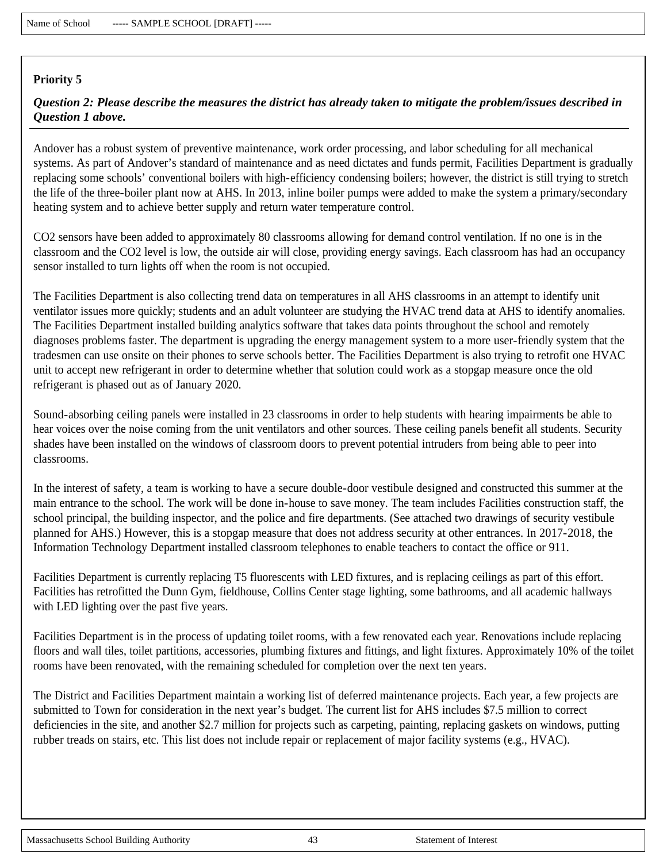## *Question 2: Please describe the measures the district has already taken to mitigate the problem/issues described in Question 1 above.*

Andover has a robust system of preventive maintenance, work order processing, and labor scheduling for all mechanical systems. As part of Andover's standard of maintenance and as need dictates and funds permit, Facilities Department is gradually replacing some schools' conventional boilers with high-efficiency condensing boilers; however, the district is still trying to stretch the life of the three-boiler plant now at AHS. In 2013, inline boiler pumps were added to make the system a primary/secondary heating system and to achieve better supply and return water temperature control.

CO2 sensors have been added to approximately 80 classrooms allowing for demand control ventilation. If no one is in the classroom and the CO2 level is low, the outside air will close, providing energy savings. Each classroom has had an occupancy sensor installed to turn lights off when the room is not occupied.

The Facilities Department is also collecting trend data on temperatures in all AHS classrooms in an attempt to identify unit ventilator issues more quickly; students and an adult volunteer are studying the HVAC trend data at AHS to identify anomalies. The Facilities Department installed building analytics software that takes data points throughout the school and remotely diagnoses problems faster. The department is upgrading the energy management system to a more user-friendly system that the tradesmen can use onsite on their phones to serve schools better. The Facilities Department is also trying to retrofit one HVAC unit to accept new refrigerant in order to determine whether that solution could work as a stopgap measure once the old refrigerant is phased out as of January 2020.

Sound-absorbing ceiling panels were installed in 23 classrooms in order to help students with hearing impairments be able to hear voices over the noise coming from the unit ventilators and other sources. These ceiling panels benefit all students. Security shades have been installed on the windows of classroom doors to prevent potential intruders from being able to peer into classrooms.

In the interest of safety, a team is working to have a secure double-door vestibule designed and constructed this summer at the main entrance to the school. The work will be done in-house to save money. The team includes Facilities construction staff, the school principal, the building inspector, and the police and fire departments. (See attached two drawings of security vestibule planned for AHS.) However, this is a stopgap measure that does not address security at other entrances. In 2017-2018, the Information Technology Department installed classroom telephones to enable teachers to contact the office or 911.

Facilities Department is currently replacing T5 fluorescents with LED fixtures, and is replacing ceilings as part of this effort. Facilities has retrofitted the Dunn Gym, fieldhouse, Collins Center stage lighting, some bathrooms, and all academic hallways with LED lighting over the past five years.

Facilities Department is in the process of updating toilet rooms, with a few renovated each year. Renovations include replacing floors and wall tiles, toilet partitions, accessories, plumbing fixtures and fittings, and light fixtures. Approximately 10% of the toilet rooms have been renovated, with the remaining scheduled for completion over the next ten years.

The District and Facilities Department maintain a working list of deferred maintenance projects. Each year, a few projects are submitted to Town for consideration in the next year's budget. The current list for AHS includes \$7.5 million to correct deficiencies in the site, and another \$2.7 million for projects such as carpeting, painting, replacing gaskets on windows, putting rubber treads on stairs, etc. This list does not include repair or replacement of major facility systems (e.g., HVAC).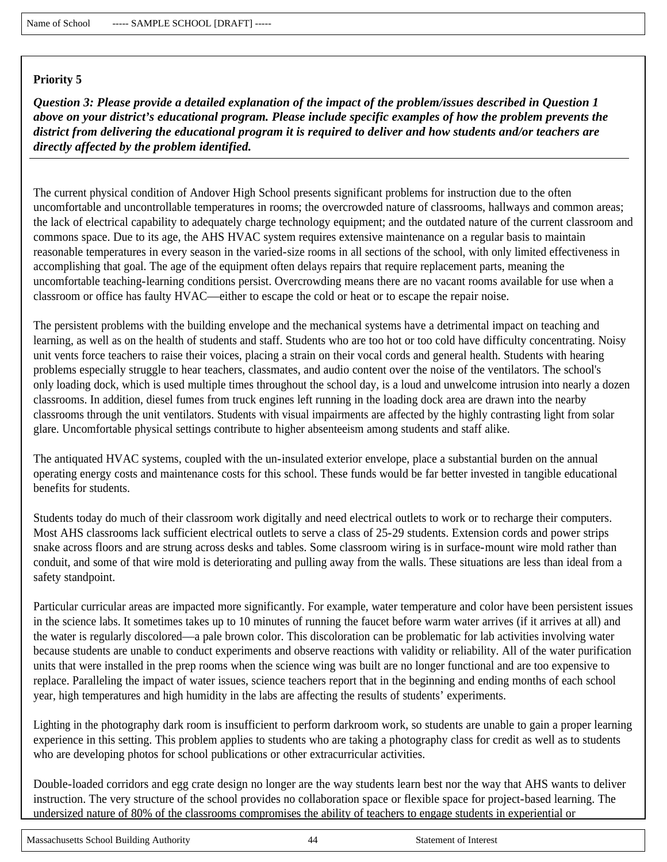*Question 3: Please provide a detailed explanation of the impact of the problem/issues described in Question 1 above on your district's educational program. Please include specific examples of how the problem prevents the district from delivering the educational program it is required to deliver and how students and/or teachers are directly affected by the problem identified.*

The current physical condition of Andover High School presents significant problems for instruction due to the often uncomfortable and uncontrollable temperatures in rooms; the overcrowded nature of classrooms, hallways and common areas; the lack of electrical capability to adequately charge technology equipment; and the outdated nature of the current classroom and commons space. Due to its age, the AHS HVAC system requires extensive maintenance on a regular basis to maintain reasonable temperatures in every season in the varied-size rooms in all sections of the school, with only limited effectiveness in accomplishing that goal. The age of the equipment often delays repairs that require replacement parts, meaning the uncomfortable teaching-learning conditions persist. Overcrowding means there are no vacant rooms available for use when a classroom or office has faulty HVAC—either to escape the cold or heat or to escape the repair noise.

The persistent problems with the building envelope and the mechanical systems have a detrimental impact on teaching and learning, as well as on the health of students and staff. Students who are too hot or too cold have difficulty concentrating. Noisy unit vents force teachers to raise their voices, placing a strain on their vocal cords and general health. Students with hearing problems especially struggle to hear teachers, classmates, and audio content over the noise of the ventilators. The school's only loading dock, which is used multiple times throughout the school day, is a loud and unwelcome intrusion into nearly a dozen classrooms. In addition, diesel fumes from truck engines left running in the loading dock area are drawn into the nearby classrooms through the unit ventilators. Students with visual impairments are affected by the highly contrasting light from solar glare. Uncomfortable physical settings contribute to higher absenteeism among students and staff alike.

The antiquated HVAC systems, coupled with the un-insulated exterior envelope, place a substantial burden on the annual operating energy costs and maintenance costs for this school. These funds would be far better invested in tangible educational benefits for students.

Students today do much of their classroom work digitally and need electrical outlets to work or to recharge their computers. Most AHS classrooms lack sufficient electrical outlets to serve a class of 25-29 students. Extension cords and power strips snake across floors and are strung across desks and tables. Some classroom wiring is in surface-mount wire mold rather than conduit, and some of that wire mold is deteriorating and pulling away from the walls. These situations are less than ideal from a safety standpoint.

Particular curricular areas are impacted more significantly. For example, water temperature and color have been persistent issues in the science labs. It sometimes takes up to 10 minutes of running the faucet before warm water arrives (if it arrives at all) and the water is regularly discolored—a pale brown color. This discoloration can be problematic for lab activities involving water because students are unable to conduct experiments and observe reactions with validity or reliability. All of the water purification units that were installed in the prep rooms when the science wing was built are no longer functional and are too expensive to replace. Paralleling the impact of water issues, science teachers report that in the beginning and ending months of each school year, high temperatures and high humidity in the labs are affecting the results of students' experiments.

Lighting in the photography dark room is insufficient to perform darkroom work, so students are unable to gain a proper learning experience in this setting. This problem applies to students who are taking a photography class for credit as well as to students who are developing photos for school publications or other extracurricular activities.

Double-loaded corridors and egg crate design no longer are the way students learn best nor the way that AHS wants to deliver instruction. The very structure of the school provides no collaboration space or flexible space for project-based learning. The undersized nature of 80% of the classrooms compromises the ability of teachers to engage students in experiential or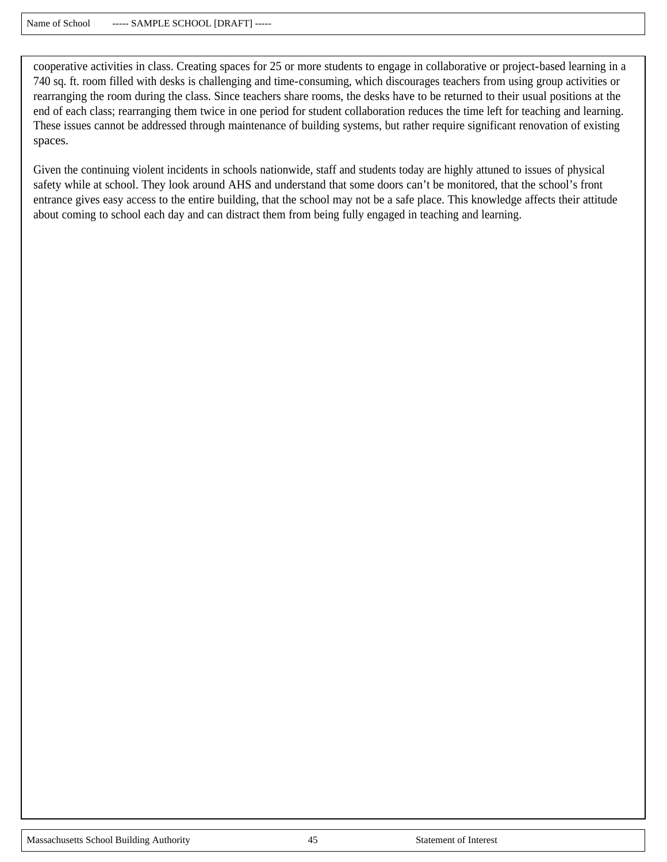cooperative activities in class. Creating spaces for 25 or more students to engage in collaborative or project-based learning in a 740 sq. ft. room filled with desks is challenging and time-consuming, which discourages teachers from using group activities or rearranging the room during the class. Since teachers share rooms, the desks have to be returned to their usual positions at the end of each class; rearranging them twice in one period for student collaboration reduces the time left for teaching and learning. These issues cannot be addressed through maintenance of building systems, but rather require significant renovation of existing spaces.

Given the continuing violent incidents in schools nationwide, staff and students today are highly attuned to issues of physical safety while at school. They look around AHS and understand that some doors can't be monitored, that the school's front entrance gives easy access to the entire building, that the school may not be a safe place. This knowledge affects their attitude about coming to school each day and can distract them from being fully engaged in teaching and learning.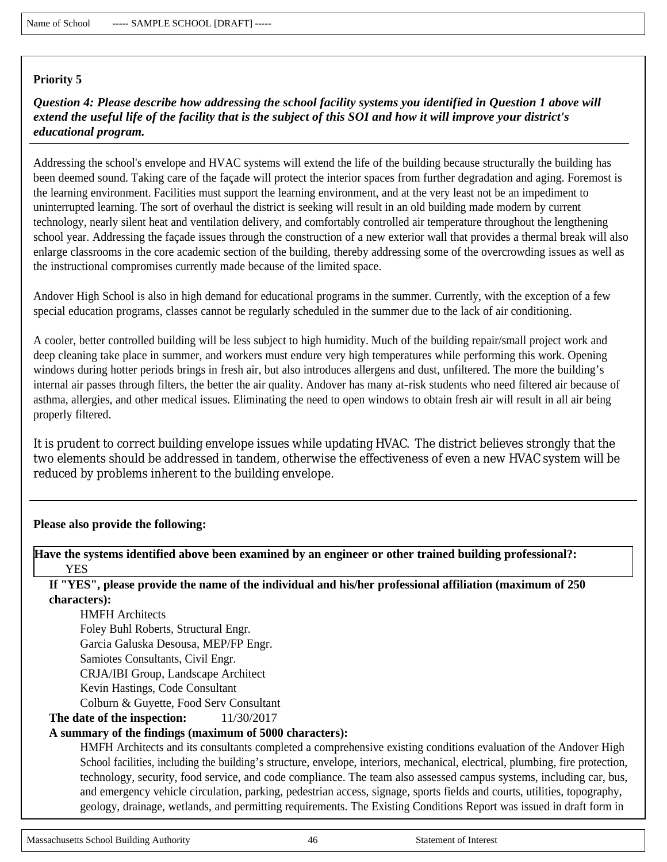*Question 4: Please describe how addressing the school facility systems you identified in Question 1 above will extend the useful life of the facility that is the subject of this SOI and how it will improve your district's educational program.*

Addressing the school's envelope and HVAC systems will extend the life of the building because structurally the building has been deemed sound. Taking care of the façade will protect the interior spaces from further degradation and aging. Foremost is the learning environment. Facilities must support the learning environment, and at the very least not be an impediment to uninterrupted learning. The sort of overhaul the district is seeking will result in an old building made modern by current technology, nearly silent heat and ventilation delivery, and comfortably controlled air temperature throughout the lengthening school year. Addressing the façade issues through the construction of a new exterior wall that provides a thermal break will also enlarge classrooms in the core academic section of the building, thereby addressing some of the overcrowding issues as well as the instructional compromises currently made because of the limited space.

Andover High School is also in high demand for educational programs in the summer. Currently, with the exception of a few special education programs, classes cannot be regularly scheduled in the summer due to the lack of air conditioning.

A cooler, better controlled building will be less subject to high humidity. Much of the building repair/small project work and deep cleaning take place in summer, and workers must endure very high temperatures while performing this work. Opening windows during hotter periods brings in fresh air, but also introduces allergens and dust, unfiltered. The more the building's internal air passes through filters, the better the air quality. Andover has many at-risk students who need filtered air because of asthma, allergies, and other medical issues. Eliminating the need to open windows to obtain fresh air will result in all air being properly filtered.

It is prudent to correct building envelope issues while updating HVAC. The district believes strongly that the two elements should be addressed in tandem, otherwise the effectiveness of even a new HVAC system will be reduced by problems inherent to the building envelope.

#### **Please also provide the following:**

**Have the systems identified above been examined by an engineer or other trained building professional?: YES** 

**If "YES", please provide the name of the individual and his/her professional affiliation (maximum of 250 characters):** 

HMFH Architects Foley Buhl Roberts, Structural Engr. Garcia Galuska Desousa, MEP/FP Engr. Samiotes Consultants, Civil Engr. CRJA/IBI Group, Landscape Architect Kevin Hastings, Code Consultant Colburn & Guyette, Food Serv Consultant

**The date of the inspection:** 11/30/2017

### **A summary of the findings (maximum of 5000 characters):**

HMFH Architects and its consultants completed a comprehensive existing conditions evaluation of the Andover High School facilities, including the building's structure, envelope, interiors, mechanical, electrical, plumbing, fire protection, technology, security, food service, and code compliance. The team also assessed campus systems, including car, bus, and emergency vehicle circulation, parking, pedestrian access, signage, sports fields and courts, utilities, topography, geology, drainage, wetlands, and permitting requirements. The Existing Conditions Report was issued in draft form in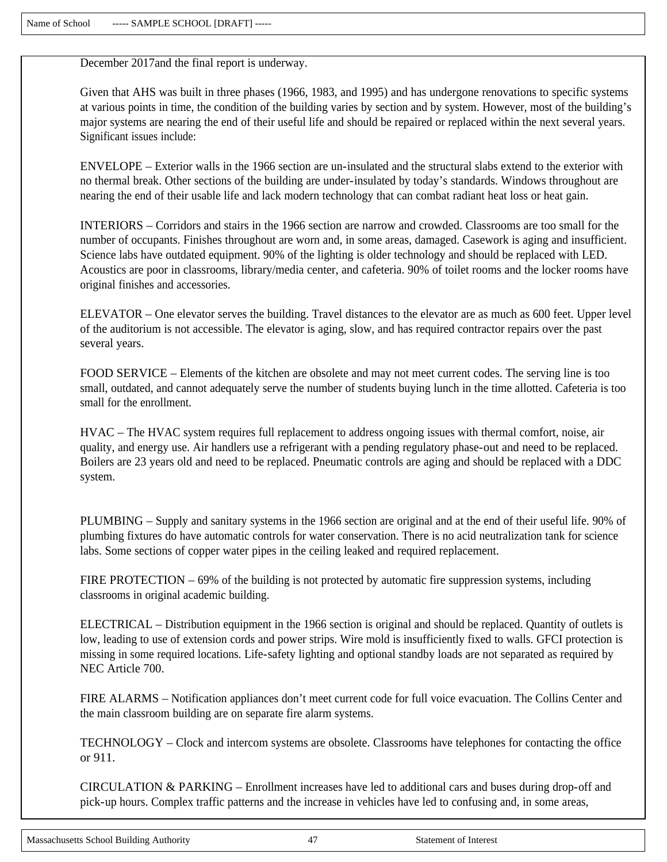December 2017and the final report is underway.

Given that AHS was built in three phases (1966, 1983, and 1995) and has undergone renovations to specific systems at various points in time, the condition of the building varies by section and by system. However, most of the building's major systems are nearing the end of their useful life and should be repaired or replaced within the next several years. Significant issues include:

ENVELOPE – Exterior walls in the 1966 section are un-insulated and the structural slabs extend to the exterior with no thermal break. Other sections of the building are under-insulated by today's standards. Windows throughout are nearing the end of their usable life and lack modern technology that can combat radiant heat loss or heat gain.

INTERIORS – Corridors and stairs in the 1966 section are narrow and crowded. Classrooms are too small for the number of occupants. Finishes throughout are worn and, in some areas, damaged. Casework is aging and insufficient. Science labs have outdated equipment. 90% of the lighting is older technology and should be replaced with LED. Acoustics are poor in classrooms, library/media center, and cafeteria. 90% of toilet rooms and the locker rooms have original finishes and accessories.

ELEVATOR – One elevator serves the building. Travel distances to the elevator are as much as 600 feet. Upper level of the auditorium is not accessible. The elevator is aging, slow, and has required contractor repairs over the past several years.

FOOD SERVICE – Elements of the kitchen are obsolete and may not meet current codes. The serving line is too small, outdated, and cannot adequately serve the number of students buying lunch in the time allotted. Cafeteria is too small for the enrollment.

HVAC – The HVAC system requires full replacement to address ongoing issues with thermal comfort, noise, air quality, and energy use. Air handlers use a refrigerant with a pending regulatory phase-out and need to be replaced. Boilers are 23 years old and need to be replaced. Pneumatic controls are aging and should be replaced with a DDC system.

PLUMBING – Supply and sanitary systems in the 1966 section are original and at the end of their useful life. 90% of plumbing fixtures do have automatic controls for water conservation. There is no acid neutralization tank for science labs. Some sections of copper water pipes in the ceiling leaked and required replacement.

FIRE PROTECTION – 69% of the building is not protected by automatic fire suppression systems, including classrooms in original academic building.

ELECTRICAL – Distribution equipment in the 1966 section is original and should be replaced. Quantity of outlets is low, leading to use of extension cords and power strips. Wire mold is insufficiently fixed to walls. GFCI protection is missing in some required locations. Life-safety lighting and optional standby loads are not separated as required by NEC Article 700.

FIRE ALARMS – Notification appliances don't meet current code for full voice evacuation. The Collins Center and the main classroom building are on separate fire alarm systems.

TECHNOLOGY – Clock and intercom systems are obsolete. Classrooms have telephones for contacting the office or 911.

CIRCULATION & PARKING – Enrollment increases have led to additional cars and buses during drop-off and pick-up hours. Complex traffic patterns and the increase in vehicles have led to confusing and, in some areas,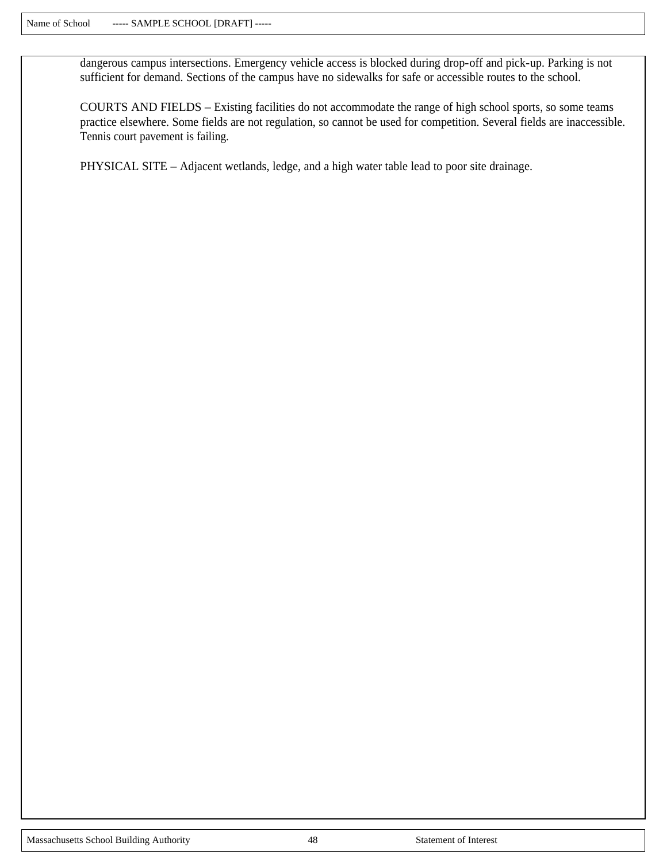dangerous campus intersections. Emergency vehicle access is blocked during drop-off and pick-up. Parking is not sufficient for demand. Sections of the campus have no sidewalks for safe or accessible routes to the school.

COURTS AND FIELDS – Existing facilities do not accommodate the range of high school sports, so some teams practice elsewhere. Some fields are not regulation, so cannot be used for competition. Several fields are inaccessible. Tennis court pavement is failing.

PHYSICAL SITE – Adjacent wetlands, ledge, and a high water table lead to poor site drainage.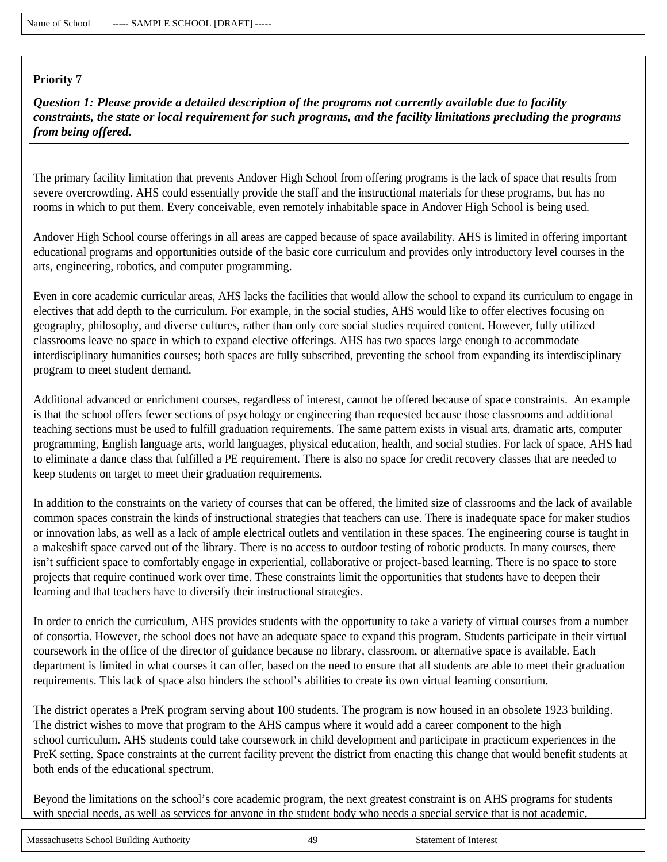*Question 1: Please provide a detailed description of the programs not currently available due to facility constraints, the state or local requirement for such programs, and the facility limitations precluding the programs from being offered.*

The primary facility limitation that prevents Andover High School from offering programs is the lack of space that results from severe overcrowding. AHS could essentially provide the staff and the instructional materials for these programs, but has no rooms in which to put them. Every conceivable, even remotely inhabitable space in Andover High School is being used.

Andover High School course offerings in all areas are capped because of space availability. AHS is limited in offering important educational programs and opportunities outside of the basic core curriculum and provides only introductory level courses in the arts, engineering, robotics, and computer programming.

Even in core academic curricular areas, AHS lacks the facilities that would allow the school to expand its curriculum to engage in electives that add depth to the curriculum. For example, in the social studies, AHS would like to offer electives focusing on geography, philosophy, and diverse cultures, rather than only core social studies required content. However, fully utilized classrooms leave no space in which to expand elective offerings. AHS has two spaces large enough to accommodate interdisciplinary humanities courses; both spaces are fully subscribed, preventing the school from expanding its interdisciplinary program to meet student demand.

Additional advanced or enrichment courses, regardless of interest, cannot be offered because of space constraints. An example is that the school offers fewer sections of psychology or engineering than requested because those classrooms and additional teaching sections must be used to fulfill graduation requirements. The same pattern exists in visual arts, dramatic arts, computer programming, English language arts, world languages, physical education, health, and social studies. For lack of space, AHS had to eliminate a dance class that fulfilled a PE requirement. There is also no space for credit recovery classes that are needed to keep students on target to meet their graduation requirements.

In addition to the constraints on the variety of courses that can be offered, the limited size of classrooms and the lack of available common spaces constrain the kinds of instructional strategies that teachers can use. There is inadequate space for maker studios or innovation labs, as well as a lack of ample electrical outlets and ventilation in these spaces. The engineering course is taught in a makeshift space carved out of the library. There is no access to outdoor testing of robotic products. In many courses, there isn't sufficient space to comfortably engage in experiential, collaborative or project-based learning. There is no space to store projects that require continued work over time. These constraints limit the opportunities that students have to deepen their learning and that teachers have to diversify their instructional strategies.

In order to enrich the curriculum, AHS provides students with the opportunity to take a variety of virtual courses from a number of consortia. However, the school does not have an adequate space to expand this program. Students participate in their virtual coursework in the office of the director of guidance because no library, classroom, or alternative space is available. Each department is limited in what courses it can offer, based on the need to ensure that all students are able to meet their graduation requirements. This lack of space also hinders the school's abilities to create its own virtual learning consortium.

The district operates a PreK program serving about 100 students. The program is now housed in an obsolete 1923 building. The district wishes to move that program to the AHS campus where it would add a career component to the high school curriculum. AHS students could take coursework in child development and participate in practicum experiences in the PreK setting. Space constraints at the current facility prevent the district from enacting this change that would benefit students at both ends of the educational spectrum.

Beyond the limitations on the school's core academic program, the next greatest constraint is on AHS programs for students with special needs, as well as services for anyone in the student body who needs a special service that is not academic.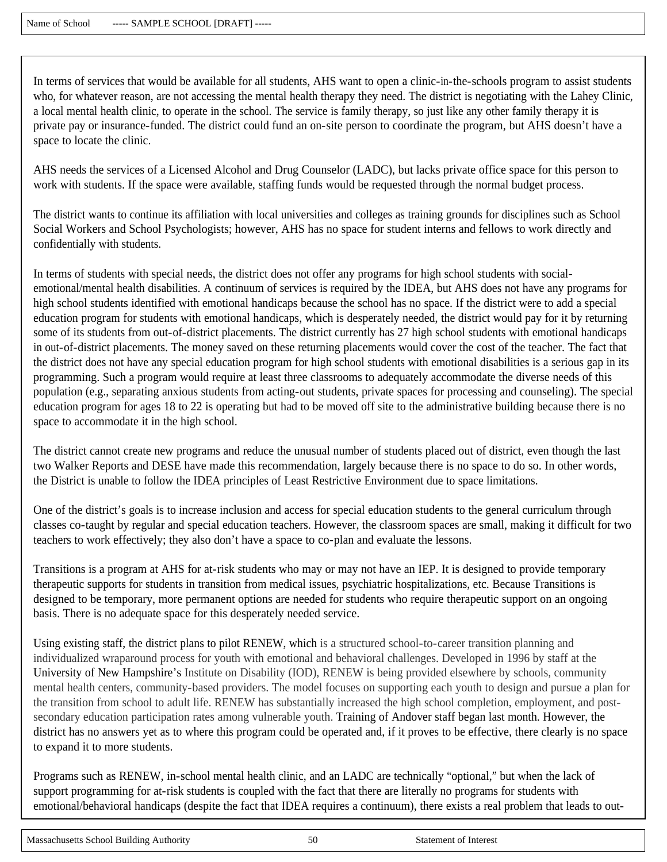In terms of services that would be available for all students, AHS want to open a clinic-in-the-schools program to assist students who, for whatever reason, are not accessing the mental health therapy they need. The district is negotiating with the Lahey Clinic, a local mental health clinic, to operate in the school. The service is family therapy, so just like any other family therapy it is private pay or insurance-funded. The district could fund an on-site person to coordinate the program, but AHS doesn't have a space to locate the clinic.

AHS needs the services of a Licensed Alcohol and Drug Counselor (LADC), but lacks private office space for this person to work with students. If the space were available, staffing funds would be requested through the normal budget process.

The district wants to continue its affiliation with local universities and colleges as training grounds for disciplines such as School Social Workers and School Psychologists; however, AHS has no space for student interns and fellows to work directly and confidentially with students.

In terms of students with special needs, the district does not offer any programs for high school students with socialemotional/mental health disabilities. A continuum of services is required by the IDEA, but AHS does not have any programs for high school students identified with emotional handicaps because the school has no space. If the district were to add a special education program for students with emotional handicaps, which is desperately needed, the district would pay for it by returning some of its students from out-of-district placements. The district currently has 27 high school students with emotional handicaps in out-of-district placements. The money saved on these returning placements would cover the cost of the teacher. The fact that the district does not have any special education program for high school students with emotional disabilities is a serious gap in its programming. Such a program would require at least three classrooms to adequately accommodate the diverse needs of this population (e.g., separating anxious students from acting-out students, private spaces for processing and counseling). The special education program for ages 18 to 22 is operating but had to be moved off site to the administrative building because there is no space to accommodate it in the high school.

The district cannot create new programs and reduce the unusual number of students placed out of district, even though the last two Walker Reports and DESE have made this recommendation, largely because there is no space to do so. In other words, the District is unable to follow the IDEA principles of Least Restrictive Environment due to space limitations.

One of the district's goals is to increase inclusion and access for special education students to the general curriculum through classes co-taught by regular and special education teachers. However, the classroom spaces are small, making it difficult for two teachers to work effectively; they also don't have a space to co-plan and evaluate the lessons.

Transitions is a program at AHS for at-risk students who may or may not have an IEP. It is designed to provide temporary therapeutic supports for students in transition from medical issues, psychiatric hospitalizations, etc. Because Transitions is designed to be temporary, more permanent options are needed for students who require therapeutic support on an ongoing basis. There is no adequate space for this desperately needed service.

Using existing staff, the district plans to pilot RENEW, which is a structured school-to-career transition planning and individualized wraparound process for youth with emotional and behavioral challenges. Developed in 1996 by staff at the University of New Hampshire's Institute on Disability (IOD), RENEW is being provided elsewhere by schools, community mental health centers, community-based providers. The model focuses on supporting each youth to design and pursue a plan for the transition from school to adult life. RENEW has substantially increased the high school completion, employment, and postsecondary education participation rates among vulnerable youth. Training of Andover staff began last month. However, the district has no answers yet as to where this program could be operated and, if it proves to be effective, there clearly is no space to expand it to more students.

Programs such as RENEW, in-school mental health clinic, and an LADC are technically "optional," but when the lack of support programming for at-risk students is coupled with the fact that there are literally no programs for students with emotional/behavioral handicaps (despite the fact that IDEA requires a continuum), there exists a real problem that leads to out-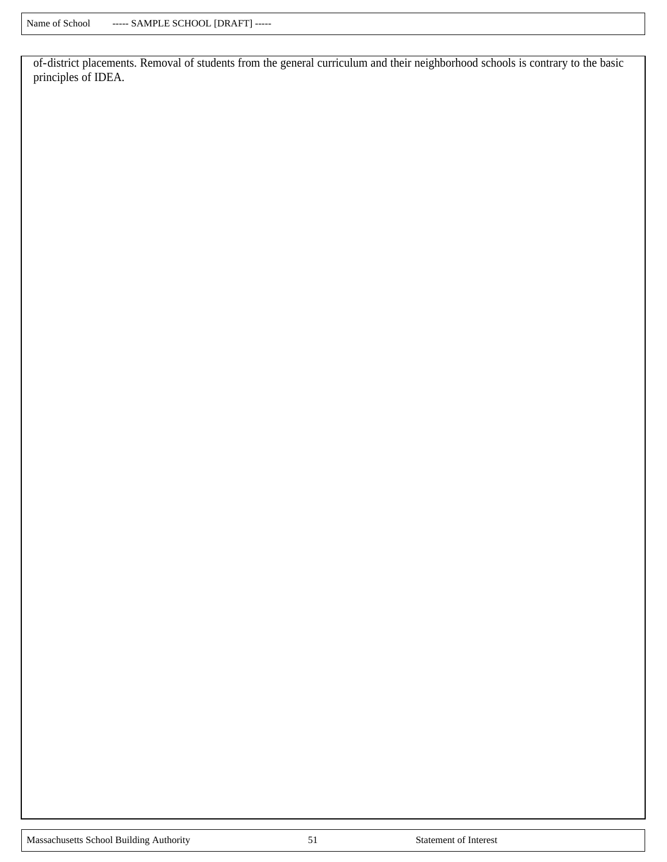of-district placements. Removal of students from the general curriculum and their neighborhood schools is contrary to the basic principles of IDEA.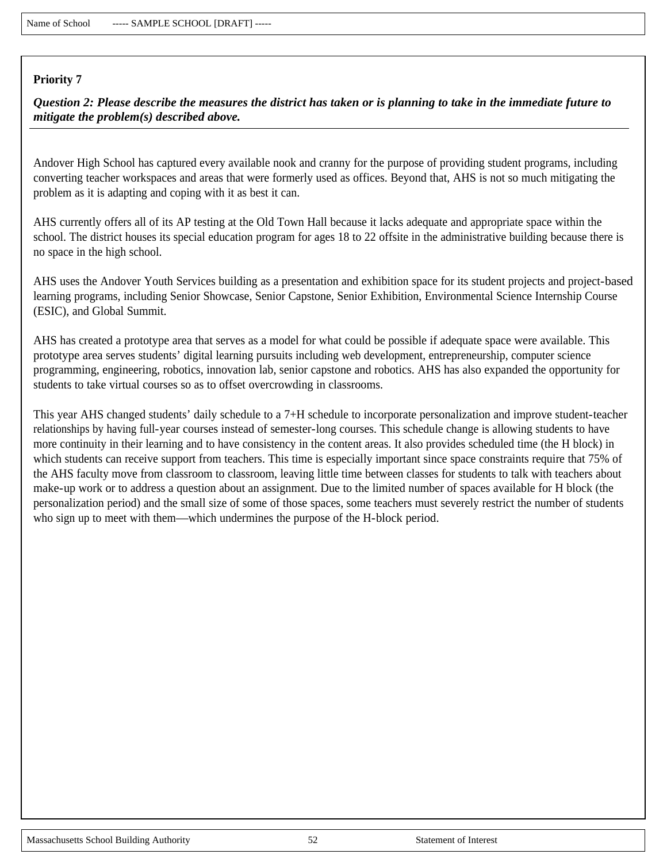*Question 2: Please describe the measures the district has taken or is planning to take in the immediate future to mitigate the problem(s) described above.*

Andover High School has captured every available nook and cranny for the purpose of providing student programs, including converting teacher workspaces and areas that were formerly used as offices. Beyond that, AHS is not so much mitigating the problem as it is adapting and coping with it as best it can.

AHS currently offers all of its AP testing at the Old Town Hall because it lacks adequate and appropriate space within the school. The district houses its special education program for ages 18 to 22 offsite in the administrative building because there is no space in the high school.

AHS uses the Andover Youth Services building as a presentation and exhibition space for its student projects and project-based learning programs, including Senior Showcase, Senior Capstone, Senior Exhibition, Environmental Science Internship Course (ESIC), and Global Summit.

AHS has created a prototype area that serves as a model for what could be possible if adequate space were available. This prototype area serves students' digital learning pursuits including web development, entrepreneurship, computer science programming, engineering, robotics, innovation lab, senior capstone and robotics. AHS has also expanded the opportunity for students to take virtual courses so as to offset overcrowding in classrooms.

This year AHS changed students' daily schedule to a 7+H schedule to incorporate personalization and improve student-teacher relationships by having full-year courses instead of semester-long courses. This schedule change is allowing students to have more continuity in their learning and to have consistency in the content areas. It also provides scheduled time (the H block) in which students can receive support from teachers. This time is especially important since space constraints require that 75% of the AHS faculty move from classroom to classroom, leaving little time between classes for students to talk with teachers about make-up work or to address a question about an assignment. Due to the limited number of spaces available for H block (the personalization period) and the small size of some of those spaces, some teachers must severely restrict the number of students who sign up to meet with them—which undermines the purpose of the H-block period.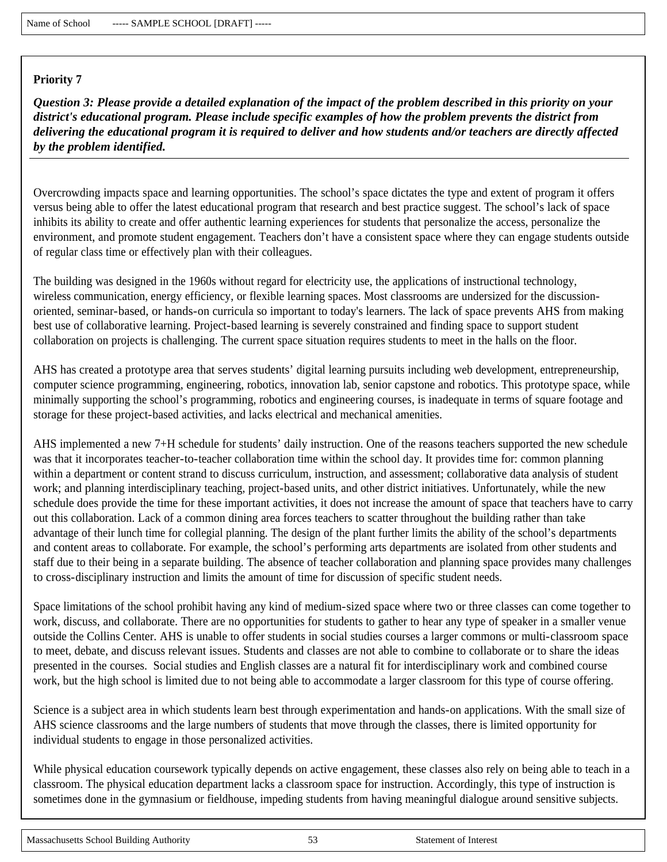*Question 3: Please provide a detailed explanation of the impact of the problem described in this priority on your district's educational program. Please include specific examples of how the problem prevents the district from delivering the educational program it is required to deliver and how students and/or teachers are directly affected by the problem identified.*

Overcrowding impacts space and learning opportunities. The school's space dictates the type and extent of program it offers versus being able to offer the latest educational program that research and best practice suggest. The school's lack of space inhibits its ability to create and offer authentic learning experiences for students that personalize the access, personalize the environment, and promote student engagement. Teachers don't have a consistent space where they can engage students outside of regular class time or effectively plan with their colleagues.

The building was designed in the 1960s without regard for electricity use, the applications of instructional technology, wireless communication, energy efficiency, or flexible learning spaces. Most classrooms are undersized for the discussionoriented, seminar-based, or hands-on curricula so important to today's learners. The lack of space prevents AHS from making best use of collaborative learning. Project-based learning is severely constrained and finding space to support student collaboration on projects is challenging. The current space situation requires students to meet in the halls on the floor.

AHS has created a prototype area that serves students' digital learning pursuits including web development, entrepreneurship, computer science programming, engineering, robotics, innovation lab, senior capstone and robotics. This prototype space, while minimally supporting the school's programming, robotics and engineering courses, is inadequate in terms of square footage and storage for these project-based activities, and lacks electrical and mechanical amenities.

AHS implemented a new 7+H schedule for students' daily instruction. One of the reasons teachers supported the new schedule was that it incorporates teacher-to-teacher collaboration time within the school day. It provides time for: common planning within a department or content strand to discuss curriculum, instruction, and assessment; collaborative data analysis of student work; and planning interdisciplinary teaching, project-based units, and other district initiatives. Unfortunately, while the new schedule does provide the time for these important activities, it does not increase the amount of space that teachers have to carry out this collaboration. Lack of a common dining area forces teachers to scatter throughout the building rather than take advantage of their lunch time for collegial planning. The design of the plant further limits the ability of the school's departments and content areas to collaborate. For example, the school's performing arts departments are isolated from other students and staff due to their being in a separate building. The absence of teacher collaboration and planning space provides many challenges to cross-disciplinary instruction and limits the amount of time for discussion of specific student needs.

Space limitations of the school prohibit having any kind of medium-sized space where two or three classes can come together to work, discuss, and collaborate. There are no opportunities for students to gather to hear any type of speaker in a smaller venue outside the Collins Center. AHS is unable to offer students in social studies courses a larger commons or multi-classroom space to meet, debate, and discuss relevant issues. Students and classes are not able to combine to collaborate or to share the ideas presented in the courses. Social studies and English classes are a natural fit for interdisciplinary work and combined course work, but the high school is limited due to not being able to accommodate a larger classroom for this type of course offering.

Science is a subject area in which students learn best through experimentation and hands-on applications. With the small size of AHS science classrooms and the large numbers of students that move through the classes, there is limited opportunity for individual students to engage in those personalized activities.

While physical education coursework typically depends on active engagement, these classes also rely on being able to teach in a classroom. The physical education department lacks a classroom space for instruction. Accordingly, this type of instruction is sometimes done in the gymnasium or fieldhouse, impeding students from having meaningful dialogue around sensitive subjects.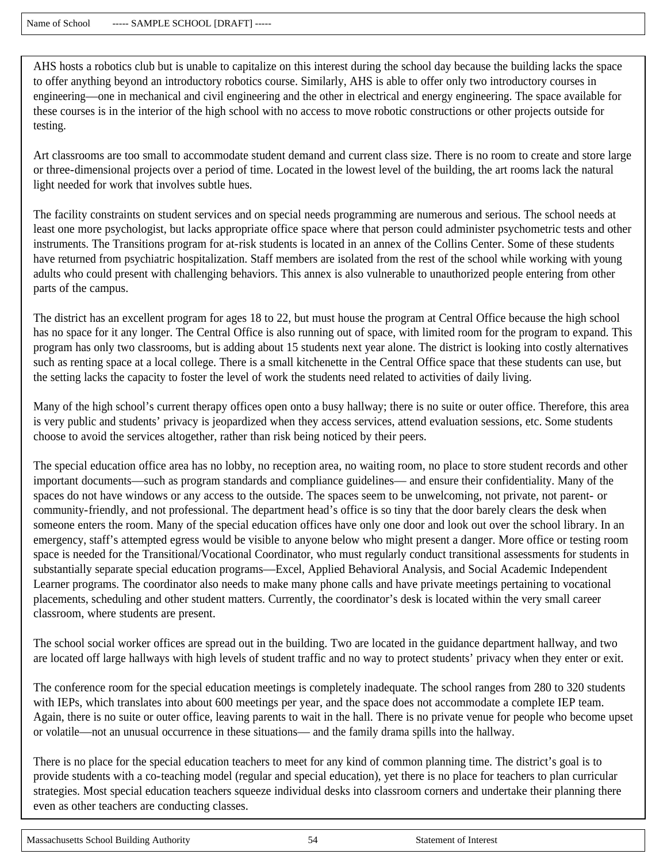AHS hosts a robotics club but is unable to capitalize on this interest during the school day because the building lacks the space to offer anything beyond an introductory robotics course. Similarly, AHS is able to offer only two introductory courses in engineering—one in mechanical and civil engineering and the other in electrical and energy engineering. The space available for these courses is in the interior of the high school with no access to move robotic constructions or other projects outside for testing.

Art classrooms are too small to accommodate student demand and current class size. There is no room to create and store large or three-dimensional projects over a period of time. Located in the lowest level of the building, the art rooms lack the natural light needed for work that involves subtle hues.

The facility constraints on student services and on special needs programming are numerous and serious. The school needs at least one more psychologist, but lacks appropriate office space where that person could administer psychometric tests and other instruments. The Transitions program for at-risk students is located in an annex of the Collins Center. Some of these students have returned from psychiatric hospitalization. Staff members are isolated from the rest of the school while working with young adults who could present with challenging behaviors. This annex is also vulnerable to unauthorized people entering from other parts of the campus.

The district has an excellent program for ages 18 to 22, but must house the program at Central Office because the high school has no space for it any longer. The Central Office is also running out of space, with limited room for the program to expand. This program has only two classrooms, but is adding about 15 students next year alone. The district is looking into costly alternatives such as renting space at a local college. There is a small kitchenette in the Central Office space that these students can use, but the setting lacks the capacity to foster the level of work the students need related to activities of daily living.

Many of the high school's current therapy offices open onto a busy hallway; there is no suite or outer office. Therefore, this area is very public and students' privacy is jeopardized when they access services, attend evaluation sessions, etc. Some students choose to avoid the services altogether, rather than risk being noticed by their peers.

The special education office area has no lobby, no reception area, no waiting room, no place to store student records and other important documents—such as program standards and compliance guidelines— and ensure their confidentiality. Many of the spaces do not have windows or any access to the outside. The spaces seem to be unwelcoming, not private, not parent- or community-friendly, and not professional. The department head's office is so tiny that the door barely clears the desk when someone enters the room. Many of the special education offices have only one door and look out over the school library. In an emergency, staff's attempted egress would be visible to anyone below who might present a danger. More office or testing room space is needed for the Transitional/Vocational Coordinator, who must regularly conduct transitional assessments for students in substantially separate special education programs—Excel, Applied Behavioral Analysis, and Social Academic Independent Learner programs. The coordinator also needs to make many phone calls and have private meetings pertaining to vocational placements, scheduling and other student matters. Currently, the coordinator's desk is located within the very small career classroom, where students are present.

The school social worker offices are spread out in the building. Two are located in the guidance department hallway, and two are located off large hallways with high levels of student traffic and no way to protect students' privacy when they enter or exit.

The conference room for the special education meetings is completely inadequate. The school ranges from 280 to 320 students with IEPs, which translates into about 600 meetings per year, and the space does not accommodate a complete IEP team. Again, there is no suite or outer office, leaving parents to wait in the hall. There is no private venue for people who become upset or volatile—not an unusual occurrence in these situations— and the family drama spills into the hallway.

There is no place for the special education teachers to meet for any kind of common planning time. The district's goal is to provide students with a co-teaching model (regular and special education), yet there is no place for teachers to plan curricular strategies. Most special education teachers squeeze individual desks into classroom corners and undertake their planning there even as other teachers are conducting classes.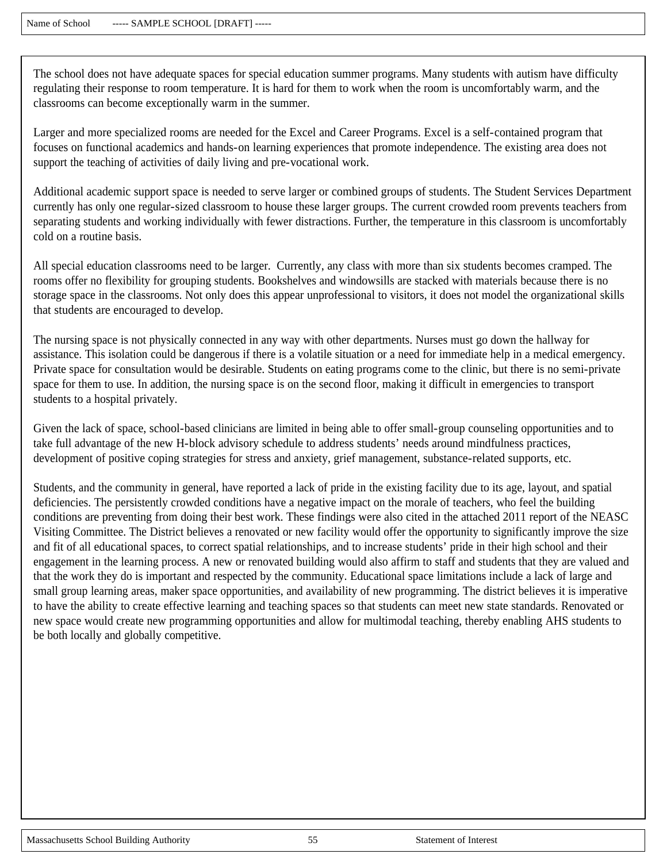The school does not have adequate spaces for special education summer programs. Many students with autism have difficulty regulating their response to room temperature. It is hard for them to work when the room is uncomfortably warm, and the classrooms can become exceptionally warm in the summer.

Larger and more specialized rooms are needed for the Excel and Career Programs. Excel is a self-contained program that focuses on functional academics and hands-on learning experiences that promote independence. The existing area does not support the teaching of activities of daily living and pre-vocational work.

Additional academic support space is needed to serve larger or combined groups of students. The Student Services Department currently has only one regular-sized classroom to house these larger groups. The current crowded room prevents teachers from separating students and working individually with fewer distractions. Further, the temperature in this classroom is uncomfortably cold on a routine basis.

All special education classrooms need to be larger. Currently, any class with more than six students becomes cramped. The rooms offer no flexibility for grouping students. Bookshelves and windowsills are stacked with materials because there is no storage space in the classrooms. Not only does this appear unprofessional to visitors, it does not model the organizational skills that students are encouraged to develop.

The nursing space is not physically connected in any way with other departments. Nurses must go down the hallway for assistance. This isolation could be dangerous if there is a volatile situation or a need for immediate help in a medical emergency. Private space for consultation would be desirable. Students on eating programs come to the clinic, but there is no semi-private space for them to use. In addition, the nursing space is on the second floor, making it difficult in emergencies to transport students to a hospital privately.

Given the lack of space, school-based clinicians are limited in being able to offer small-group counseling opportunities and to take full advantage of the new H-block advisory schedule to address students' needs around mindfulness practices, development of positive coping strategies for stress and anxiety, grief management, substance-related supports, etc.

Students, and the community in general, have reported a lack of pride in the existing facility due to its age, layout, and spatial deficiencies. The persistently crowded conditions have a negative impact on the morale of teachers, who feel the building conditions are preventing from doing their best work. These findings were also cited in the attached 2011 report of the NEASC Visiting Committee. The District believes a renovated or new facility would offer the opportunity to significantly improve the size and fit of all educational spaces, to correct spatial relationships, and to increase students' pride in their high school and their engagement in the learning process. A new or renovated building would also affirm to staff and students that they are valued and that the work they do is important and respected by the community. Educational space limitations include a lack of large and small group learning areas, maker space opportunities, and availability of new programming. The district believes it is imperative to have the ability to create effective learning and teaching spaces so that students can meet new state standards. Renovated or new space would create new programming opportunities and allow for multimodal teaching, thereby enabling AHS students to be both locally and globally competitive.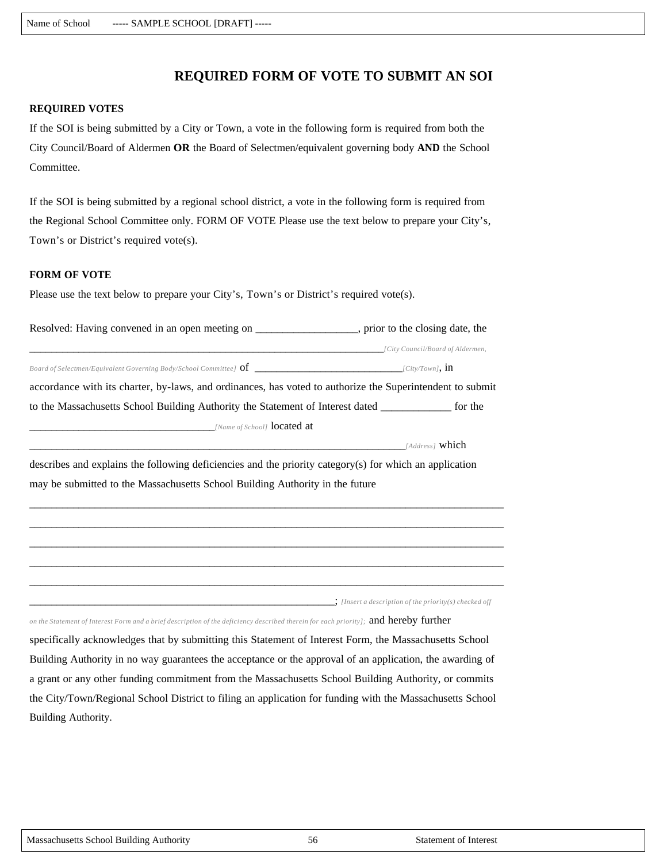# **REQUIRED FORM OF VOTE TO SUBMIT AN SOI**

#### **REQUIRED VOTES**

If the SOI is being submitted by a City or Town, a vote in the following form is required from both the City Council/Board of Aldermen **OR** the Board of Selectmen/equivalent governing body **AND** the School Committee.

If the SOI is being submitted by a regional school district, a vote in the following form is required from the Regional School Committee only. FORM OF VOTE Please use the text below to prepare your City's, Town's or District's required vote(s).

#### **FORM OF VOTE**

Please use the text below to prepare your City's, Town's or District's required vote(s).

| Resolved: Having convened in an open meeting on                                                           | , prior to the closing date, the |
|-----------------------------------------------------------------------------------------------------------|----------------------------------|
|                                                                                                           | [City Council/Board of Aldermen, |
| Board of Selectmen/Equivalent Governing Body/School Committee] $\text{of}$ [City/Town], $\text{in}$       |                                  |
| accordance with its charter, by-laws, and ordinances, has voted to authorize the Superintendent to submit |                                  |
| to the Massachusetts School Building Authority the Statement of Interest dated                            | for the                          |
| [Name of School] <b>located at</b>                                                                        |                                  |
|                                                                                                           | [Address] <b>which</b>           |

describes and explains the following deficiencies and the priority category(s) for which an application may be submitted to the Massachusetts School Building Authority in the future

\_\_\_\_\_\_\_\_\_\_\_\_\_\_\_\_\_\_\_\_\_\_\_\_\_\_\_\_\_\_\_\_\_\_\_\_\_\_\_\_\_\_\_\_\_\_\_\_\_\_\_\_\_\_\_\_\_\_\_\_\_\_\_\_\_\_\_\_\_\_\_\_\_\_\_\_\_\_\_\_\_\_\_\_\_\_\_ \_\_\_\_\_\_\_\_\_\_\_\_\_\_\_\_\_\_\_\_\_\_\_\_\_\_\_\_\_\_\_\_\_\_\_\_\_\_\_\_\_\_\_\_\_\_\_\_\_\_\_\_\_\_\_\_\_\_\_\_\_\_\_\_\_\_\_\_\_\_\_\_\_\_\_\_\_\_\_\_\_\_\_\_\_\_\_ \_\_\_\_\_\_\_\_\_\_\_\_\_\_\_\_\_\_\_\_\_\_\_\_\_\_\_\_\_\_\_\_\_\_\_\_\_\_\_\_\_\_\_\_\_\_\_\_\_\_\_\_\_\_\_\_\_\_\_\_\_\_\_\_\_\_\_\_\_\_\_\_\_\_\_\_\_\_\_\_\_\_\_\_\_\_\_ \_\_\_\_\_\_\_\_\_\_\_\_\_\_\_\_\_\_\_\_\_\_\_\_\_\_\_\_\_\_\_\_\_\_\_\_\_\_\_\_\_\_\_\_\_\_\_\_\_\_\_\_\_\_\_\_\_\_\_\_\_\_\_\_\_\_\_\_\_\_\_\_\_\_\_\_\_\_\_\_\_\_\_\_\_\_\_ \_\_\_\_\_\_\_\_\_\_\_\_\_\_\_\_\_\_\_\_\_\_\_\_\_\_\_\_\_\_\_\_\_\_\_\_\_\_\_\_\_\_\_\_\_\_\_\_\_\_\_\_\_\_\_\_\_\_\_\_\_\_\_\_\_\_\_\_\_\_\_\_\_\_\_\_\_\_\_\_\_\_\_\_\_\_\_

\_\_\_\_\_\_\_\_\_\_\_\_\_\_\_\_\_\_\_\_\_\_\_\_\_\_\_\_\_\_\_\_\_\_\_\_\_\_\_\_\_\_\_\_\_\_\_\_\_\_\_\_\_\_\_\_; *[Insert a description of the priority(s) checked off* 

*on the Statement of Interest Form and a brief description of the deficiency described therein for each priority];* and hereby further

specifically acknowledges that by submitting this Statement of Interest Form, the Massachusetts School Building Authority in no way guarantees the acceptance or the approval of an application, the awarding of a grant or any other funding commitment from the Massachusetts School Building Authority, or commits the City/Town/Regional School District to filing an application for funding with the Massachusetts School Building Authority.